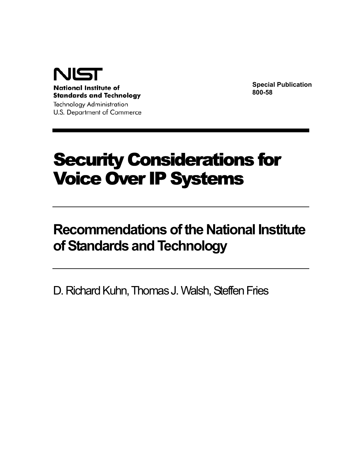

**National Institute of Standards and Technology** Technology Administration U.S. Department of Commerce **Special Publication 800-58** 

# Security Considerations for Voice Over IP Systems

# **Recommendations of the National Institute of Standards and Technology**

D. Richard Kuhn, Thomas J. Walsh, Steffen Fries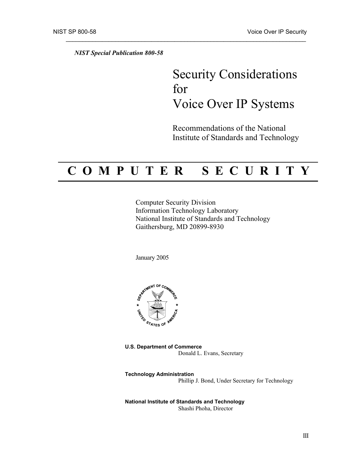*NIST Special Publication 800-58*

# Security Considerations for Voice Over IP Systems

Recommendations of the National Institute of Standards and Technology

# **C O M P U T E R S E C U R I T Y**

 $\_$  . The contribution of the contribution of the contribution of the contribution of the contribution of the contribution of  $\mathcal{L}_\text{max}$ 

Computer Security Division Information Technology Laboratory National Institute of Standards and Technology Gaithersburg, MD 20899-8930

January 2005



**U.S. Department of Commerce** Donald L. Evans, Secretary

**Technology Administration** Phillip J. Bond, Under Secretary for Technology

**National Institute of Standards and Technology** Shashi Phoha, Director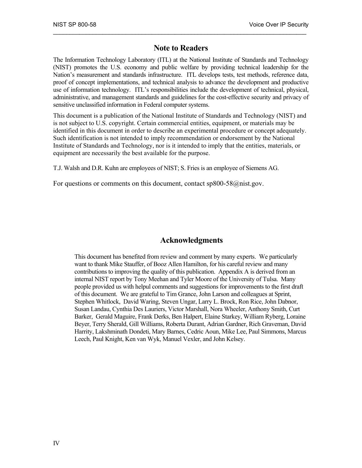## **Note to Readers**

 $\mathcal{L}_\text{max}$  , and the set of the set of the set of the set of the set of the set of the set of the set of the set of the set of the set of the set of the set of the set of the set of the set of the set of the set of the

The Information Technology Laboratory (ITL) at the National Institute of Standards and Technology (NIST) promotes the U.S. economy and public welfare by providing technical leadership for the Nation's measurement and standards infrastructure. ITL develops tests, test methods, reference data, proof of concept implementations, and technical analysis to advance the development and productive use of information technology. ITL's responsibilities include the development of technical, physical, administrative, and management standards and guidelines for the cost-effective security and privacy of sensitive unclassified information in Federal computer systems.

This document is a publication of the National Institute of Standards and Technology (NIST) and is not subject to U.S. copyright. Certain commercial entities, equipment, or materials may be identified in this document in order to describe an experimental procedure or concept adequately. Such identification is not intended to imply recommendation or endorsement by the National Institute of Standards and Technology, nor is it intended to imply that the entities, materials, or equipment are necessarily the best available for the purpose.

T.J. Walsh and D.R. Kuhn are employees of NIST; S. Fries is an employee of Siemens AG.

For questions or comments on this document, contact sp800-58@nist.gov.

## **Acknowledgments**

This document has benefited from review and comment by many experts. We particularly want to thank Mike Stauffer, of Booz Allen Hamilton, for his careful review and many contributions to improving the quality of this publication. Appendix A is derived from an internal NIST report by Tony Meehan and Tyler Moore of the University of Tulsa. Many people provided us with helpul comments and suggestions for improvements to the first draft of this document. We are grateful to Tim Grance, John Larson and colleagues at Sprint, Stephen Whitlock,David Waring, Steven Ungar, Larry L. Brock, Ron Rice, John Dabnor, Susan Landau, Cynthia Des Lauriers, Victor Marshall, Nora Wheeler, Anthony Smith, Curt Barker, Gerald Maguire, Frank Derks, Ben Halpert, Elaine Starkey, William Ryberg, Loraine Beyer, Terry Sherald, Gill Williams, Roberta Durant, Adrian Gardner, Rich Graveman, David Harrity, Lakshminath Dondeti, Mary Barnes, Cedric Aoun, Mike Lee, Paul Simmons, Marcus Leech, Paul Knight, Ken van Wyk, Manuel Vexler, and John Kelsey.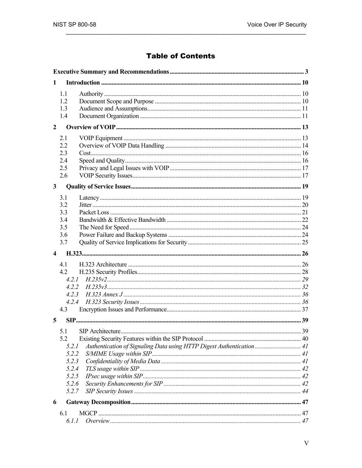## **Table of Contents**

| 1                       |                                                                      |  |
|-------------------------|----------------------------------------------------------------------|--|
| 1.1                     |                                                                      |  |
| 1.2                     |                                                                      |  |
| 1.3                     |                                                                      |  |
| 1.4                     |                                                                      |  |
| $\overline{2}$          |                                                                      |  |
| 2.1                     |                                                                      |  |
| 2.2                     |                                                                      |  |
| 2.3                     |                                                                      |  |
| 2.4                     |                                                                      |  |
| 2.5                     |                                                                      |  |
| 2.6                     |                                                                      |  |
| $\mathbf{3}$            |                                                                      |  |
| 3.1                     |                                                                      |  |
| 3.2                     |                                                                      |  |
| 3.3                     |                                                                      |  |
| 3.4                     |                                                                      |  |
| 3.5                     |                                                                      |  |
| 3.6                     |                                                                      |  |
| 3.7                     |                                                                      |  |
|                         |                                                                      |  |
| $\overline{\mathbf{4}}$ |                                                                      |  |
| 41                      |                                                                      |  |
| 4.2                     |                                                                      |  |
| 4.2.1                   |                                                                      |  |
| 4.2.2                   |                                                                      |  |
| 4.2.3                   |                                                                      |  |
| 4.2.4                   |                                                                      |  |
| 4.3                     |                                                                      |  |
| 5                       |                                                                      |  |
|                         |                                                                      |  |
| 5.1<br>5.2              |                                                                      |  |
| 5.2.1                   |                                                                      |  |
| 5.2.2                   | Authentication of Signaling Data using HTTP Digest Authentication 41 |  |
| 5.2.3                   |                                                                      |  |
| 5.2.4                   |                                                                      |  |
| 5.2.5                   |                                                                      |  |
| 5.2.6                   |                                                                      |  |
| 5.2.7                   |                                                                      |  |
| 6                       |                                                                      |  |
| 6.1                     |                                                                      |  |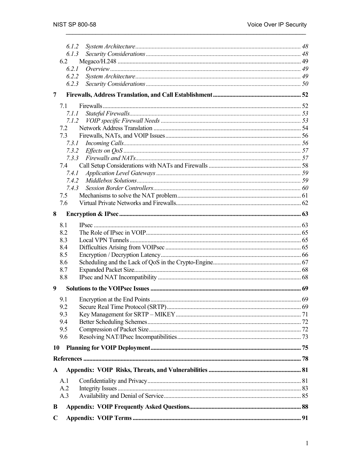|              | 6.1.2   |    |
|--------------|---------|----|
|              | 6.1.3   |    |
| 6.2          |         |    |
|              | 6.2.1   |    |
|              | 6.2.2   |    |
|              | 6.2.3   |    |
| 7            |         |    |
| 7.1          |         |    |
|              | 7. L. L |    |
|              | 7.1.2   |    |
| 7.2          |         |    |
| 7.3          |         |    |
|              | 7.3.1   |    |
|              | 7.3.2   |    |
|              | 7.3.3   |    |
| 7.4          |         |    |
|              | 7.4.1   |    |
|              | 7.4.2   |    |
|              | 7.4.3   |    |
| 7.5          |         |    |
| 7.6          |         |    |
| 8            |         |    |
| 8.1          |         |    |
| 8.2          |         |    |
| 8.3          |         |    |
| 8.4          |         |    |
| 8.5          |         |    |
| 8.6          |         |    |
| 8.7          |         |    |
| 8.8          |         |    |
| 9            |         |    |
| 9.1          |         |    |
| 9.2          |         | 69 |
| 9.3          |         |    |
| 9.4          |         |    |
| 9.5          |         |    |
| 9.6          |         |    |
| <b>10</b>    |         |    |
|              |         |    |
| $\mathbf{A}$ |         |    |
| A.1          |         |    |
| A.2          |         |    |
| A.3          |         |    |
| B            |         |    |
| $\mathbf C$  |         |    |
|              |         |    |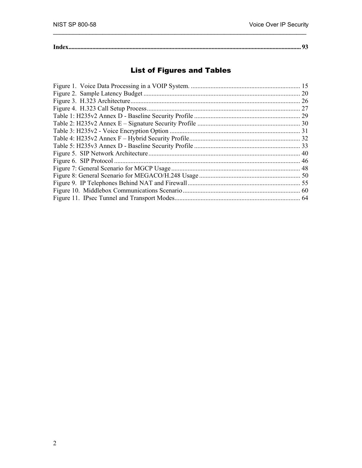# **List of Figures and Tables**

| 15 |
|----|
| 20 |
| 26 |
| 27 |
|    |
|    |
| 31 |
|    |
|    |
|    |
|    |
|    |
|    |
|    |
|    |
|    |
|    |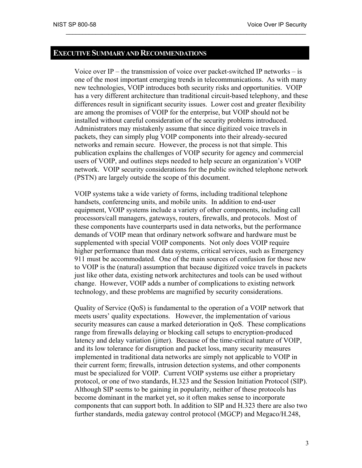### <span id="page-7-0"></span>**EXECUTIVE SUMMARY AND RECOMMENDATIONS**

Voice over  $IP$  – the transmission of voice over packet-switched IP networks – is one of the most important emerging trends in telecommunications. As with many new technologies, VOIP introduces both security risks and opportunities. VOIP has a very different architecture than traditional circuit-based telephony, and these differences result in significant security issues. Lower cost and greater flexibility are among the promises of VOIP for the enterprise, but VOIP should not be installed without careful consideration of the security problems introduced. Administrators may mistakenly assume that since digitized voice travels in packets, they can simply plug VOIP components into their already-secured networks and remain secure. However, the process is not that simple. This publication explains the challenges of VOIP security for agency and commercial users of VOIP, and outlines steps needed to help secure an organization's VOIP network. VOIP security considerations for the public switched telephone network (PSTN) are largely outside the scope of this document.

 $\_$  . The contribution of the contribution of the contribution of the contribution of the contribution of the contribution of  $\mathcal{L}_\text{max}$ 

VOIP systems take a wide variety of forms, including traditional telephone handsets, conferencing units, and mobile units. In addition to end-user equipment, VOIP systems include a variety of other components, including call processors/call managers, gateways, routers, firewalls, and protocols. Most of these components have counterparts used in data networks, but the performance demands of VOIP mean that ordinary network software and hardware must be supplemented with special VOIP components. Not only does VOIP require higher performance than most data systems, critical services, such as Emergency 911 must be accommodated. One of the main sources of confusion for those new to VOIP is the (natural) assumption that because digitized voice travels in packets just like other data, existing network architectures and tools can be used without change. However, VOIP adds a number of complications to existing network technology, and these problems are magnified by security considerations.

Quality of Service (QoS) is fundamental to the operation of a VOIP network that meets users' quality expectations. However, the implementation of various security measures can cause a marked deterioration in QoS. These complications range from firewalls delaying or blocking call setups to encryption-produced latency and delay variation (jitter). Because of the time-critical nature of VOIP, and its low tolerance for disruption and packet loss, many security measures implemented in traditional data networks are simply not applicable to VOIP in their current form; firewalls, intrusion detection systems, and other components must be specialized for VOIP. Current VOIP systems use either a proprietary protocol, or one of two standards, H.323 and the Session Initiation Protocol (SIP). Although SIP seems to be gaining in popularity, neither of these protocols has become dominant in the market yet, so it often makes sense to incorporate components that can support both. In addition to SIP and H.323 there are also two further standards, media gateway control protocol (MGCP) and Megaco/H.248,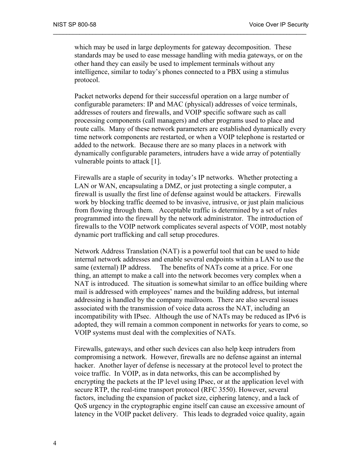which may be used in large deployments for gateway decomposition. These standards may be used to ease message handling with media gateways, or on the other hand they can easily be used to implement terminals without any intelligence, similar to today's phones connected to a PBX using a stimulus protocol.

 $\mathcal{L}_\text{max}$  , and the set of the set of the set of the set of the set of the set of the set of the set of the set of the set of the set of the set of the set of the set of the set of the set of the set of the set of the

Packet networks depend for their successful operation on a large number of configurable parameters: IP and MAC (physical) addresses of voice terminals, addresses of routers and firewalls, and VOIP specific software such as call processing components (call managers) and other programs used to place and route calls. Many of these network parameters are established dynamically every time network components are restarted, or when a VOIP telephone is restarted or added to the network. Because there are so many places in a network with dynamically configurable parameters, intruders have a wide array of potentially vulnerable points to attack [[1\]](#page-86-1).

Firewalls are a staple of security in today's IP networks. Whether protecting a LAN or WAN, encapsulating a DMZ, or just protecting a single computer, a firewall is usually the first line of defense against would be attackers. Firewalls work by blocking traffic deemed to be invasive, intrusive, or just plain malicious from flowing through them. Acceptable traffic is determined by a set of rules programmed into the firewall by the network administrator. The introduction of firewalls to the VOIP network complicates several aspects of VOIP, most notably dynamic port trafficking and call setup procedures.

Network Address Translation (NAT) is a powerful tool that can be used to hide internal network addresses and enable several endpoints within a LAN to use the same (external) IP address. The benefits of NATs come at a price. For one thing, an attempt to make a call into the network becomes very complex when a NAT is introduced. The situation is somewhat similar to an office building where mail is addressed with employees' names and the building address, but internal addressing is handled by the company mailroom. There are also several issues associated with the transmission of voice data across the NAT, including an incompatibility with IPsec. Although the use of NATs may be reduced as IPv6 is adopted, they will remain a common component in networks for years to come, so VOIP systems must deal with the complexities of NATs.

Firewalls, gateways, and other such devices can also help keep intruders from compromising a network. However, firewalls are no defense against an internal hacker. Another layer of defense is necessary at the protocol level to protect the voice traffic. In VOIP, as in data networks, this can be accomplished by encrypting the packets at the IP level using IPsec, or at the application level with secure RTP, the real-time transport protocol (RFC 3550). However, several factors, including the expansion of packet size, ciphering latency, and a lack of QoS urgency in the cryptographic engine itself can cause an excessive amount of latency in the VOIP packet delivery. This leads to degraded voice quality, again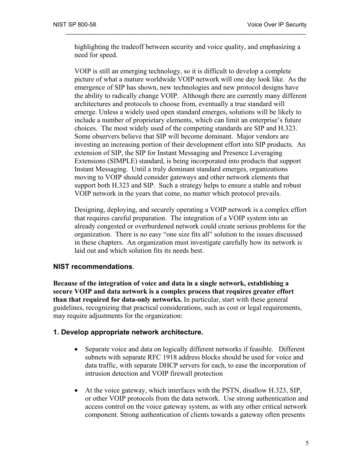highlighting the tradeoff between security and voice quality, and emphasizing a need for speed.

 $\_$  . The contribution of the contribution of the contribution of the contribution of the contribution of the contribution of  $\mathcal{L}_\text{max}$ 

VOIP is still an emerging technology, so it is difficult to develop a complete picture of what a mature worldwide VOIP network will one day look like. As the emergence of SIP has shown, new technologies and new protocol designs have the ability to radically change VOIP. Although there are currently many different architectures and protocols to choose from, eventually a true standard will emerge. Unless a widely used open standard emerges, solutions will be likely to include a number of proprietary elements, which can limit an enterprise's future choices. The most widely used of the competing standards are SIP and H.323. Some observers believe that SIP will become dominant. Major vendors are investing an increasing portion of their development effort into SIP products. An extension of SIP, the SIP for Instant Messaging and Presence Leveraging Extensions (SIMPLE) standard, is being incorporated into products that support Instant Messaging. Until a truly dominant standard emerges, organizations moving to VOIP should consider gateways and other network elements that support both H.323 and SIP. Such a strategy helps to ensure a stable and robust VOIP network in the years that come, no matter which protocol prevails.

Designing, deploying, and securely operating a VOIP network is a complex effort that requires careful preparation. The integration of a VOIP system into an already congested or overburdened network could create serious problems for the organization. There is no easy "one size fits all" solution to the issues discussed in these chapters. An organization must investigate carefully how its network is laid out and which solution fits its needs best.

#### **NIST recommendations**.

**Because of the integration of voice and data in a single network, establishing a secure VOIP and data network is a complex process that requires greater effort than that required for data-only networks.** In particular, start with these general guidelines, recognizing that practical considerations, such as cost or legal requirements, may require adjustments for the organization:

#### **1. Develop appropriate network architecture.**

- Separate voice and data on logically different networks if feasible. Different subnets with separate RFC 1918 address blocks should be used for voice and data traffic, with separate DHCP servers for each, to ease the incorporation of intrusion detection and VOIP firewall protection
- At the voice gateway, which interfaces with the PSTN, disallow H.323, SIP, or other VOIP protocols from the data network. Use strong authentication and access control on the voice gateway system, as with any other critical network component. Strong authentication of clients towards a gateway often presents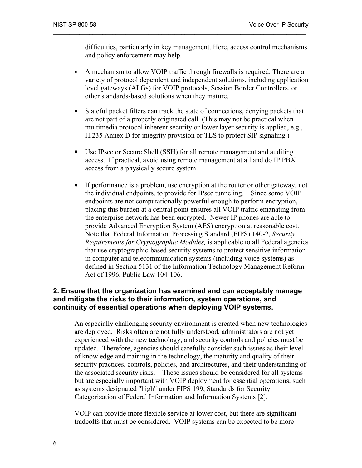difficulties, particularly in key management. Here, access control mechanisms and policy enforcement may help.

 $\mathcal{L}_\text{max}$  , and the set of the set of the set of the set of the set of the set of the set of the set of the set of the set of the set of the set of the set of the set of the set of the set of the set of the set of the

- A mechanism to allow VOIP traffic through firewalls is required. There are a variety of protocol dependent and independent solutions, including application level gateways (ALGs) for VOIP protocols, Session Border Controllers, or other standards-based solutions when they mature.
- Stateful packet filters can track the state of connections, denying packets that are not part of a properly originated call. (This may not be practical when multimedia protocol inherent security or lower layer security is applied, e.g., H.235 Annex D for integrity provision or TLS to protect SIP signaling.)
- Use IPsec or Secure Shell (SSH) for all remote management and auditing access. If practical, avoid using remote management at all and do IP PBX access from a physically secure system.
- If performance is a problem, use encryption at the router or other gateway, not the individual endpoints, to provide for IPsec tunneling. Since some VOIP endpoints are not computationally powerful enough to perform encryption, placing this burden at a central point ensures all VOIP traffic emanating from the enterprise network has been encrypted. Newer IP phones are able to provide Advanced Encryption System (AES) encryption at reasonable cost. Note that Federal Information Processing Standard (FIPS) 140-2, *Security Requirements for Cryptographic Modules,* is applicable to all Federal agencies that use cryptographic-based security systems to protect sensitive information in computer and telecommunication systems (including voice systems) as defined in Section 5131 of the Information Technology Management Reform Act of 1996, Public Law 104-106.

#### **2. Ensure that the organization has examined and can acceptably manage and mitigate the risks to their information, system operations, and continuity of essential operations when deploying VOIP systems.**

An especially challenging security environment is created when new technologies are deployed. Risks often are not fully understood, administrators are not yet experienced with the new technology, and security controls and policies must be updated. Therefore, agencies should carefully consider such issues as their level of knowledge and training in the technology, the maturity and quality of their security practices, controls, policies, and architectures, and their understanding of the associated security risks. These issues should be considered for all systems but are especially important with VOIP deployment for essential operations, such as systems designated "high" under FIPS 199, Standards for Security Categorization of Federal Information and Information Systems [[2\]](#page-86-2).

VOIP can provide more flexible service at lower cost, but there are significant tradeoffs that must be considered. VOIP systems can be expected to be more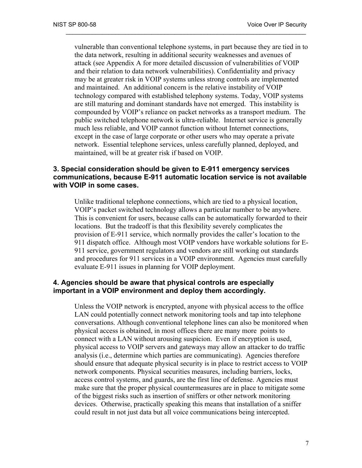vulnerable than conventional telephone systems, in part because they are tied in to the data network, resulting in additional security weaknesses and avenues of attack (see Appendix A for more detailed discussion of vulnerabilities of VOIP and their relation to data network vulnerabilities). Confidentiality and privacy may be at greater risk in VOIP systems unless strong controls are implemented and maintained. An additional concern is the relative instability of VOIP technology compared with established telephony systems. Today, VOIP systems are still maturing and dominant standards have not emerged. This instability is compounded by VOIP's reliance on packet networks as a transport medium. The public switched telephone network is ultra-reliable. Internet service is generally much less reliable, and VOIP cannot function without Internet connections, except in the case of large corporate or other users who may operate a private network. Essential telephone services, unless carefully planned, deployed, and maintained, will be at greater risk if based on VOIP.

 $\_$  . The contribution of the contribution of the contribution of the contribution of the contribution of the contribution of  $\mathcal{L}_\text{max}$ 

#### **3. Special consideration should be given to E-911 emergency services communications, because E-911 automatic location service is not available with VOIP in some cases.**

Unlike traditional telephone connections, which are tied to a physical location, VOIP's packet switched technology allows a particular number to be anywhere. This is convenient for users, because calls can be automatically forwarded to their locations. But the tradeoff is that this flexibility severely complicates the provision of E-911 service, which normally provides the caller's location to the 911 dispatch office. Although most VOIP vendors have workable solutions for E-911 service, government regulators and vendors are still working out standards and procedures for 911 services in a VOIP environment. Agencies must carefully evaluate E-911 issues in planning for VOIP deployment.

#### **4. Agencies should be aware that physical controls are especially important in a VOIP environment and deploy them accordingly.**

Unless the VOIP network is encrypted, anyone with physical access to the office LAN could potentially connect network monitoring tools and tap into telephone conversations. Although conventional telephone lines can also be monitored when physical access is obtained, in most offices there are many more points to connect with a LAN without arousing suspicion. Even if encryption is used, physical access to VOIP servers and gateways may allow an attacker to do traffic analysis (i.e., determine which parties are communicating). Agencies therefore should ensure that adequate physical security is in place to restrict access to VOIP network components. Physical securities measures, including barriers, locks, access control systems, and guards, are the first line of defense. Agencies must make sure that the proper physical countermeasures are in place to mitigate some of the biggest risks such as insertion of sniffers or other network monitoring devices. Otherwise, practically speaking this means that installation of a sniffer could result in not just data but all voice communications being intercepted.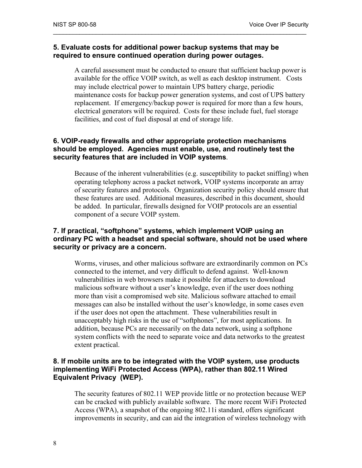#### **5. Evaluate costs for additional power backup systems that may be required to ensure continued operation during power outages.**

 $\mathcal{L}_\text{max}$  , and the set of the set of the set of the set of the set of the set of the set of the set of the set of the set of the set of the set of the set of the set of the set of the set of the set of the set of the

A careful assessment must be conducted to ensure that sufficient backup power is available for the office VOIP switch, as well as each desktop instrument. Costs may include electrical power to maintain UPS battery charge, periodic maintenance costs for backup power generation systems, and cost of UPS battery replacement. If emergency/backup power is required for more than a few hours, electrical generators will be required. Costs for these include fuel, fuel storage facilities, and cost of fuel disposal at end of storage life.

#### **6. VOIP-ready firewalls and other appropriate protection mechanisms should be employed. Agencies must enable, use, and routinely test the security features that are included in VOIP systems**.

Because of the inherent vulnerabilities (e.g. susceptibility to packet sniffing) when operating telephony across a packet network, VOIP systems incorporate an array of security features and protocols. Organization security policy should ensure that these features are used. Additional measures, described in this document, should be added. In particular, firewalls designed for VOIP protocols are an essential component of a secure VOIP system.

#### **7. If practical, "softphone" systems, which implement VOIP using an ordinary PC with a headset and special software, should not be used where security or privacy are a concern.**

Worms, viruses, and other malicious software are extraordinarily common on PCs connected to the internet, and very difficult to defend against. Well-known vulnerabilities in web browsers make it possible for attackers to download malicious software without a user's knowledge, even if the user does nothing more than visit a compromised web site. Malicious software attached to email messages can also be installed without the user's knowledge, in some cases even if the user does not open the attachment. These vulnerabilities result in unacceptably high risks in the use of "softphones", for most applications. In addition, because PCs are necessarily on the data network, using a softphone system conflicts with the need to separate voice and data networks to the greatest extent practical.

#### **8. If mobile units are to be integrated with the VOIP system, use products implementing WiFi Protected Access (WPA), rather than 802.11 Wired Equivalent Privacy (WEP).**

The security features of 802.11 WEP provide little or no protection because WEP can be cracked with publicly available software. The more recent WiFi Protected Access (WPA), a snapshot of the ongoing 802.11i standard, offers significant improvements in security, and can aid the integration of wireless technology with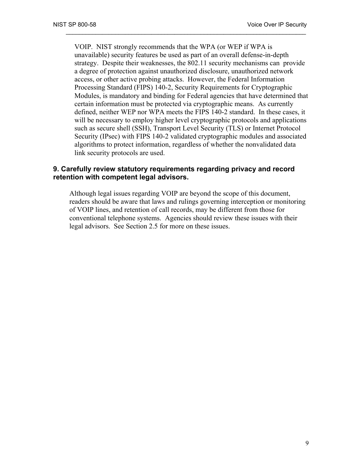VOIP. NIST strongly recommends that the WPA (or WEP if WPA is unavailable) security features be used as part of an overall defense-in-depth strategy. Despite their weaknesses, the 802.11 security mechanisms can provide a degree of protection against unauthorized disclosure, unauthorized network access, or other active probing attacks. However, the Federal Information Processing Standard (FIPS) 140-2, Security Requirements for Cryptographic Modules, is mandatory and binding for Federal agencies that have determined that certain information must be protected via cryptographic means. As currently defined, neither WEP nor WPA meets the FIPS 140-2 standard. In these cases, it will be necessary to employ higher level cryptographic protocols and applications such as secure shell (SSH), Transport Level Security (TLS) or Internet Protocol Security (IPsec) with FIPS 140-2 validated cryptographic modules and associated algorithms to protect information, regardless of whether the nonvalidated data link security protocols are used.

 $\_$  . The contribution of the contribution of the contribution of the contribution of the contribution of the contribution of  $\mathcal{L}_\text{max}$ 

#### **9. Carefully review statutory requirements regarding privacy and record retention with competent legal advisors.**

Although legal issues regarding VOIP are beyond the scope of this document, readers should be aware that laws and rulings governing interception or monitoring of VOIP lines, and retention of call records, may be different from those for conventional telephone systems. Agencies should review these issues with their legal advisors. See Section [2.5](#page-21-1) for more on these issues.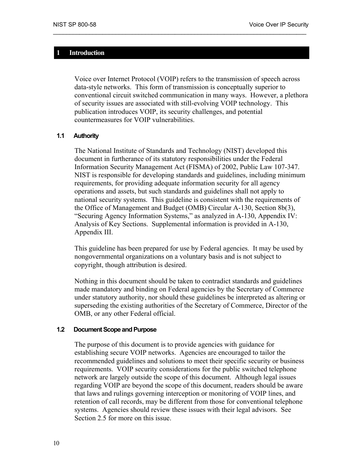#### **1 Introduction**

Voice over Internet Protocol (VOIP) refers to the transmission of speech across data-style networks. This form of transmission is conceptually superior to conventional circuit switched communication in many ways. However, a plethora of security issues are associated with still-evolving VOIP technology. This publication introduces VOIP, its security challenges, and potential countermeasures for VOIP vulnerabilities.

<span id="page-14-0"></span> $\mathcal{L}_\text{max}$  , and the set of the set of the set of the set of the set of the set of the set of the set of the set of the set of the set of the set of the set of the set of the set of the set of the set of the set of the

#### **1.1 Authority**

The National Institute of Standards and Technology (NIST) developed this document in furtherance of its statutory responsibilities under the Federal Information Security Management Act (FISMA) of 2002, Public Law 107-347. NIST is responsible for developing standards and guidelines, including minimum requirements, for providing adequate information security for all agency operations and assets, but such standards and guidelines shall not apply to national security systems. This guideline is consistent with the requirements of the Office of Management and Budget (OMB) Circular A-130, Section 8b(3), "Securing Agency Information Systems," as analyzed in A-130, Appendix IV: Analysis of Key Sections. Supplemental information is provided in A-130, Appendix III.

This guideline has been prepared for use by Federal agencies. It may be used by nongovernmental organizations on a voluntary basis and is not subject to copyright, though attribution is desired.

Nothing in this document should be taken to contradict standards and guidelines made mandatory and binding on Federal agencies by the Secretary of Commerce under statutory authority, nor should these guidelines be interpreted as altering or superseding the existing authorities of the Secretary of Commerce, Director of the OMB, or any other Federal official.

#### **1.2 Document Scope and Purpose**

The purpose of this document is to provide agencies with guidance for establishing secure VOIP networks. Agencies are encouraged to tailor the recommended guidelines and solutions to meet their specific security or business requirements. VOIP security considerations for the public switched telephone network are largely outside the scope of this document. Although legal issues regarding VOIP are beyond the scope of this document, readers should be aware that laws and rulings governing interception or monitoring of VOIP lines, and retention of call records, may be different from those for conventional telephone systems. Agencies should review these issues with their legal advisors. See Section [2.5](#page-21-1) for more on this issue.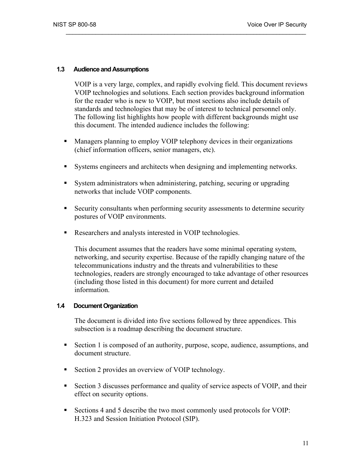#### **1.3 Audience andAssumptions**

VOIP is a very large, complex, and rapidly evolving field. This document reviews VOIP technologies and solutions. Each section provides background information for the reader who is new to VOIP, but most sections also include details of standards and technologies that may be of interest to technical personnel only. The following list highlights how people with different backgrounds might use this document. The intended audience includes the following:

<span id="page-15-0"></span> $\_$  . The contribution of the contribution of the contribution of the contribution of the contribution of the contribution of  $\mathcal{L}_\text{max}$ 

- Managers planning to employ VOIP telephony devices in their organizations (chief information officers, senior managers, etc).
- Systems engineers and architects when designing and implementing networks.
- System administrators when administering, patching, securing or upgrading networks that include VOIP components.
- Security consultants when performing security assessments to determine security postures of VOIP environments.
- Researchers and analysts interested in VOIP technologies.

This document assumes that the readers have some minimal operating system, networking, and security expertise. Because of the rapidly changing nature of the telecommunications industry and the threats and vulnerabilities to these technologies, readers are strongly encouraged to take advantage of other resources (including those listed in this document) for more current and detailed information.

#### **1.4 Document Organization**

The document is divided into five sections followed by three appendices. This subsection is a roadmap describing the document structure.

- Section 1 is composed of an authority, purpose, scope, audience, assumptions, and document structure.
- Section 2 provides an overview of VOIP technology.
- Section 3 discusses performance and quality of service aspects of VOIP, and their effect on security options.
- Sections 4 and 5 describe the two most commonly used protocols for VOIP: H.323 and Session Initiation Protocol (SIP).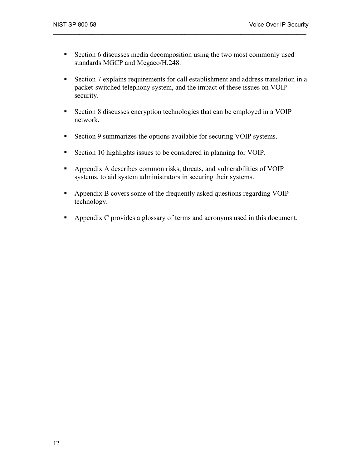■ Section 6 discusses media decomposition using the two most commonly used standards MGCP and Megaco/H.248.

 $\mathcal{L}_\text{max}$  , and the set of the set of the set of the set of the set of the set of the set of the set of the set of the set of the set of the set of the set of the set of the set of the set of the set of the set of the

- Section 7 explains requirements for call establishment and address translation in a packet-switched telephony system, and the impact of these issues on VOIP security.
- Section 8 discusses encryption technologies that can be employed in a VOIP network.
- Section 9 summarizes the options available for securing VOIP systems.
- Section 10 highlights issues to be considered in planning for VOIP.
- Appendix A describes common risks, threats, and vulnerabilities of VOIP systems, to aid system administrators in securing their systems.
- Appendix B covers some of the frequently asked questions regarding VOIP technology.
- Appendix C provides a glossary of terms and acronyms used in this document.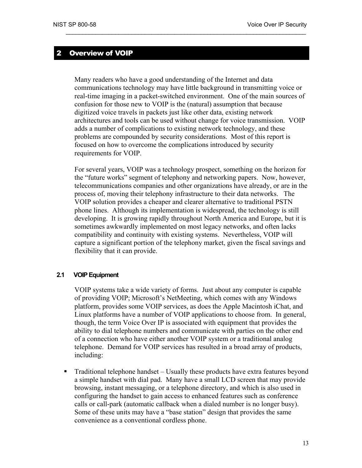### 2 Overview of VOIP

Many readers who have a good understanding of the Internet and data communications technology may have little background in transmitting voice or real-time imaging in a packet-switched environment. One of the main sources of confusion for those new to VOIP is the (natural) assumption that because digitized voice travels in packets just like other data, existing network architectures and tools can be used without change for voice transmission. VOIP adds a number of complications to existing network technology, and these problems are compounded by security considerations. Most of this report is focused on how to overcome the complications introduced by security requirements for VOIP.

<span id="page-17-0"></span> $\_$  . The contribution of the contribution of the contribution of the contribution of the contribution of the contribution of  $\mathcal{L}_\text{max}$ 

For several years, VOIP was a technology prospect, something on the horizon for the "future works" segment of telephony and networking papers. Now, however, telecommunications companies and other organizations have already, or are in the process of, moving their telephony infrastructure to their data networks. The VOIP solution provides a cheaper and clearer alternative to traditional PSTN phone lines. Although its implementation is widespread, the technology is still developing. It is growing rapidly throughout North America and Europe, but it is sometimes awkwardly implemented on most legacy networks, and often lacks compatibility and continuity with existing systems. Nevertheless, VOIP will capture a significant portion of the telephony market, given the fiscal savings and flexibility that it can provide.

#### **2.1 VOIP Equipment**

VOIP systems take a wide variety of forms. Just about any computer is capable of providing VOIP; Microsoft's NetMeeting, which comes with any Windows platform, provides some VOIP services, as does the Apple Macintosh iChat, and Linux platforms have a number of VOIP applications to choose from. In general, though, the term Voice Over IP is associated with equipment that provides the ability to dial telephone numbers and communicate with parties on the other end of a connection who have either another VOIP system or a traditional analog telephone. Demand for VOIP services has resulted in a broad array of products, including:

 $\blacksquare$  Traditional telephone handset – Usually these products have extra features beyond a simple handset with dial pad. Many have a small LCD screen that may provide browsing, instant messaging, or a telephone directory, and which is also used in configuring the handset to gain access to enhanced features such as conference calls or call-park (automatic callback when a dialed number is no longer busy). Some of these units may have a "base station" design that provides the same convenience as a conventional cordless phone.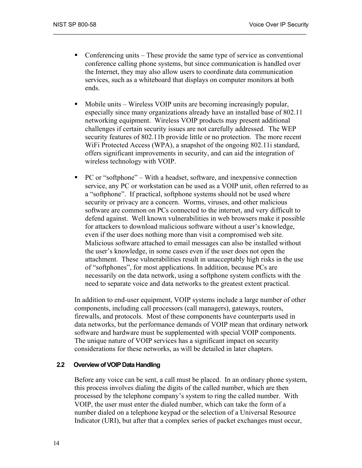• Conferencing units – These provide the same type of service as conventional conference calling phone systems, but since communication is handled over the Internet, they may also allow users to coordinate data communication services, such as a whiteboard that displays on computer monitors at both ends.

<span id="page-18-0"></span> $\mathcal{L}_\text{max}$  , and the set of the set of the set of the set of the set of the set of the set of the set of the set of the set of the set of the set of the set of the set of the set of the set of the set of the set of the

- Mobile units Wireless VOIP units are becoming increasingly popular, especially since many organizations already have an installed base of 802.11 networking equipment. Wireless VOIP products may present additional challenges if certain security issues are not carefully addressed. The WEP security features of 802.11b provide little or no protection. The more recent WiFi Protected Access (WPA), a snapshot of the ongoing 802.11i standard, offers significant improvements in security, and can aid the integration of wireless technology with VOIP.
- PC or "softphone" With a headset, software, and inexpensive connection service, any PC or workstation can be used as a VOIP unit, often referred to as a "softphone". If practical, softphone systems should not be used where security or privacy are a concern. Worms, viruses, and other malicious software are common on PCs connected to the internet, and very difficult to defend against. Well known vulnerabilities in web browsers make it possible for attackers to download malicious software without a user's knowledge, even if the user does nothing more than visit a compromised web site. Malicious software attached to email messages can also be installed without the user's knowledge, in some cases even if the user does not open the attachment. These vulnerabilities result in unacceptably high risks in the use of "softphones", for most applications. In addition, because PCs are necessarily on the data network, using a softphone system conflicts with the need to separate voice and data networks to the greatest extent practical.

In addition to end-user equipment, VOIP systems include a large number of other components, including call processors (call managers), gateways, routers, firewalls, and protocols. Most of these components have counterparts used in data networks, but the performance demands of VOIP mean that ordinary network software and hardware must be supplemented with special VOIP components. The unique nature of VOIP services has a significant impact on security considerations for these networks, as will be detailed in later chapters.

#### **2.2 Overview of VOIP Data Handling**

Before any voice can be sent, a call must be placed. In an ordinary phone system, this process involves dialing the digits of the called number, which are then processed by the telephone company's system to ring the called number. With VOIP, the user must enter the dialed number, which can take the form of a number dialed on a telephone keypad or the selection of a Universal Resource Indicator (URI), but after that a complex series of packet exchanges must occur,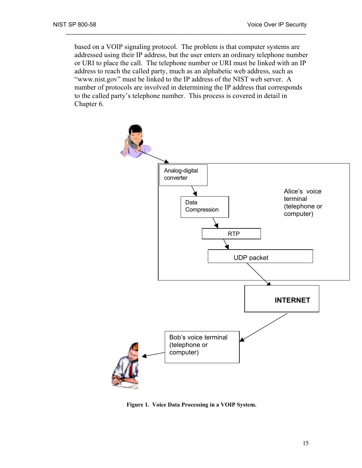based on a VOIP signaling protocol. The problem is that computer systems are addressed using their IP address, but the user enters an ordinary telephone number or URI to place the call. The telephone number or URI must be linked with an IP address to reach the called party, much as an alphabetic web address, such as "www.nist.gov" must be linked to the IP address of the NIST web server. A number of protocols are involved in determining the IP address that corresponds to the called party's telephone number. This process is covered in detail in Chapter [6.](#page-56-1)

<span id="page-19-0"></span> $\_$  . The contribution of the contribution of the contribution of the contribution of the contribution of the contribution of  $\mathcal{L}_\text{max}$ 



<span id="page-19-1"></span>**Figure 1. Voice Data Processing in a VOIP System.**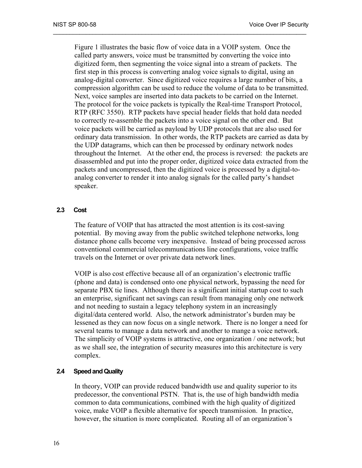[Figure 1](#page-19-1) illustrates the basic flow of voice data in a VOIP system. Once the called party answers, voice must be transmitted by converting the voice into digitized form, then segmenting the voice signal into a stream of packets. The first step in this process is converting analog voice signals to digital, using an analog-digital converter. Since digitized voice requires a large number of bits, a compression algorithm can be used to reduce the volume of data to be transmitted. Next, voice samples are inserted into data packets to be carried on the Internet. The protocol for the voice packets is typically the Real-time Transport Protocol, RTP (RFC 3550). RTP packets have special header fields that hold data needed to correctly re-assemble the packets into a voice signal on the other end. But voice packets will be carried as payload by UDP protocols that are also used for ordinary data transmission. In other words, the RTP packets are carried as data by the UDP datagrams, which can then be processed by ordinary network nodes throughout the Internet. At the other end, the process is reversed: the packets are disassembled and put into the proper order, digitized voice data extracted from the packets and uncompressed, then the digitized voice is processed by a digital-toanalog converter to render it into analog signals for the called party's handset speaker.

<span id="page-20-0"></span> $\mathcal{L}_\text{max}$  , and the set of the set of the set of the set of the set of the set of the set of the set of the set of the set of the set of the set of the set of the set of the set of the set of the set of the set of the

#### **2.3 Cost**

The feature of VOIP that has attracted the most attention is its cost-saving potential. By moving away from the public switched telephone networks, long distance phone calls become very inexpensive. Instead of being processed across conventional commercial telecommunications line configurations, voice traffic travels on the Internet or over private data network lines.

VOIP is also cost effective because all of an organization's electronic traffic (phone and data) is condensed onto one physical network, bypassing the need for separate PBX tie lines. Although there is a significant initial startup cost to such an enterprise, significant net savings can result from managing only one network and not needing to sustain a legacy telephony system in an increasingly digital/data centered world. Also, the network administrator's burden may be lessened as they can now focus on a single network. There is no longer a need for several teams to manage a data network and another to mange a voice network. The simplicity of VOIP systems is attractive, one organization / one network; but as we shall see, the integration of security measures into this architecture is very complex.

#### **2.4 Speed and Quality**

In theory, VOIP can provide reduced bandwidth use and quality superior to its predecessor, the conventional PSTN. That is, the use of high bandwidth media common to data communications, combined with the high quality of digitized voice, make VOIP a flexible alternative for speech transmission. In practice, however, the situation is more complicated. Routing all of an organization's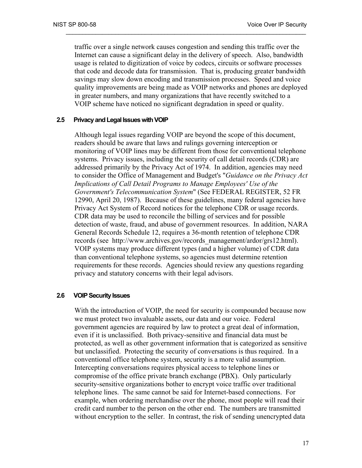traffic over a single network causes congestion and sending this traffic over the Internet can cause a significant delay in the delivery of speech. Also, bandwidth usage is related to digitization of voice by codecs, circuits or software processes that code and decode data for transmission. That is, producing greater bandwidth savings may slow down encoding and transmission processes. Speed and voice quality improvements are being made as VOIP networks and phones are deployed in greater numbers, and many organizations that have recently switched to a VOIP scheme have noticed no significant degradation in speed or quality.

<span id="page-21-0"></span> $\_$  . The contribution of the contribution of the contribution of the contribution of the contribution of the contribution of  $\mathcal{L}_\text{max}$ 

#### **2.5 Privacy and Legal Issues with VOIP**

<span id="page-21-1"></span>Although legal issues regarding VOIP are beyond the scope of this document, readers should be aware that laws and rulings governing interception or monitoring of VOIP lines may be different from those for conventional telephone systems. Privacy issues, including the security of call detail records (CDR) are addressed primarily by the Privacy Act of 1974. In addition, agencies may need to consider the Office of Management and Budget's "*Guidance on the Privacy Act Implications of Call Detail Programs to Manage Employees' Use of the Government's Telecommunication System*" (See FEDERAL REGISTER, 52 FR 12990, April 20, 1987). Because of these guidelines, many federal agencies have Privacy Act System of Record notices for the telephone CDR or usage records. CDR data may be used to reconcile the billing of services and for possible detection of waste, fraud, and abuse of government resources. In addition, NARA General Records Schedule 12, requires a 36-month retention of telephone CDR records (see [http://www.archives.gov/records\\_management/ardor/grs12.html\)](http://www.archives.gov/records_management/ardor/grs12.html). VOIP systems may produce different types (and a higher volume) of CDR data than conventional telephone systems, so agencies must determine retention requirements for these records. Agencies should review any questions regarding privacy and statutory concerns with their legal advisors.

#### **2.6 VOIP Security Issues**

With the introduction of VOIP, the need for security is compounded because now we must protect two invaluable assets, our data and our voice. Federal government agencies are required by law to protect a great deal of information, even if it is unclassified. Both privacy-sensitive and financial data must be protected, as well as other government information that is categorized as sensitive but unclassified. Protecting the security of conversations is thus required. In a conventional office telephone system, security is a more valid assumption. Intercepting conversations requires physical access to telephone lines or compromise of the office private branch exchange (PBX). Only particularly security-sensitive organizations bother to encrypt voice traffic over traditional telephone lines. The same cannot be said for Internet-based connections. For example, when ordering merchandise over the phone, most people will read their credit card number to the person on the other end. The numbers are transmitted without encryption to the seller. In contrast, the risk of sending unencrypted data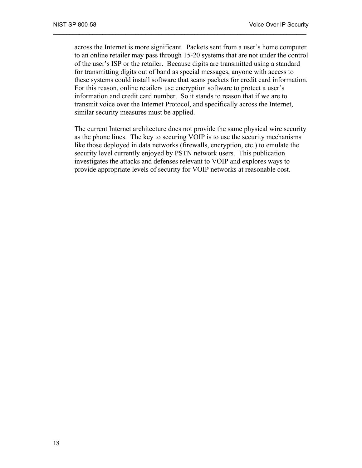across the Internet is more significant. Packets sent from a user's home computer to an online retailer may pass through 15-20 systems that are not under the control of the user's ISP or the retailer. Because digits are transmitted using a standard for transmitting digits out of band as special messages, anyone with access to these systems could install software that scans packets for credit card information. For this reason, online retailers use encryption software to protect a user's information and credit card number. So it stands to reason that if we are to transmit voice over the Internet Protocol, and specifically across the Internet, similar security measures must be applied.

 $\mathcal{L}_\text{max}$  , and the set of the set of the set of the set of the set of the set of the set of the set of the set of the set of the set of the set of the set of the set of the set of the set of the set of the set of the

The current Internet architecture does not provide the same physical wire security as the phone lines. The key to securing VOIP is to use the security mechanisms like those deployed in data networks (firewalls, encryption, etc.) to emulate the security level currently enjoyed by PSTN network users. This publication investigates the attacks and defenses relevant to VOIP and explores ways to provide appropriate levels of security for VOIP networks at reasonable cost.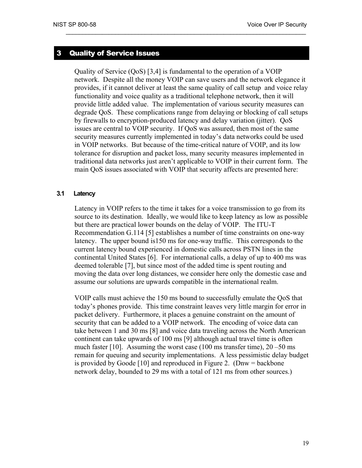#### 3 Quality of Service Issues

Quality of Service (QoS) [[3,4\]](#page-86-3) is fundamental to the operation of a VOIP network. Despite all the money VOIP can save users and the network elegance it provides, if it cannot deliver at least the same quality of call setup and voice relay functionality and voice quality as a traditional telephone network, then it will provide little added value. The implementation of various security measures can degrade QoS. These complications range from delaying or blocking of call setups by firewalls to encryption-produced latency and delay variation (jitter). QoS issues are central to VOIP security. If QoS was assured, then most of the same security measures currently implemented in today's data networks could be used in VOIP networks. But because of the time-critical nature of VOIP, and its low tolerance for disruption and packet loss, many security measures implemented in traditional data networks just aren't applicable to VOIP in their current form. The main QoS issues associated with VOIP that security affects are presented here:

<span id="page-23-0"></span> $\_$  . The contribution of the contribution of the contribution of the contribution of the contribution of the contribution of  $\mathcal{L}_\text{max}$ 

#### **3.1 Latency**

Latency in VOIP refers to the time it takes for a voice transmission to go from its source to its destination. Ideally, we would like to keep latency as low as possible but there are practical lower bounds on the delay of VOIP. The ITU-T Recommendation G.114 [[5\]](#page-86-4) establishes a number of time constraints on one-way latency. The upper bound is150 ms for one-way traffic. This corresponds to the current latency bound experienced in domestic calls across PSTN lines in the continental United States [[6\]](#page-86-5). For international calls, a delay of up to 400 ms was deemed tolerable [\[7\]](#page-86-6), but since most of the added time is spent routing and moving the data over long distances, we consider here only the domestic case and assume our solutions are upwards compatible in the international realm.

<span id="page-23-3"></span><span id="page-23-2"></span><span id="page-23-1"></span>VOIP calls must achieve the 150 ms bound to successfully emulate the QoS that today's phones provide. This time constraint leaves very little margin for error in packet delivery. Furthermore, it places a genuine constraint on the amount of security that can be added to a VOIP network. The encoding of voice data can take between 1 and 30 ms [\[8\]](#page-86-7) and voice data traveling across the North American continent can take upwards of 100 ms [[9\]](#page-86-8) although actual travel time is often much faster [\[10\]](#page-86-9). Assuming the worst case (100 ms transfer time), 20 –50 ms remain for queuing and security implementations. A less pessimistic delay budget is provided by Goode [\[10\]](#page-23-1) and reproduced in [Figure 2.](#page-24-1) (Dnw = backbone network delay, bounded to 29 ms with a total of 121 ms from other sources.)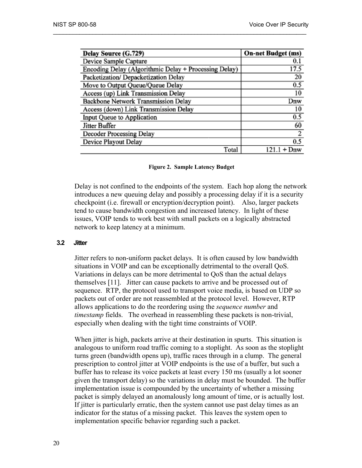<span id="page-24-1"></span>

| Delay Source (G.729)                                  | <b>On-net Budget (ms)</b> |
|-------------------------------------------------------|---------------------------|
| Device Sample Capture                                 | 0.1                       |
| Encoding Delay (Algorithmic Delay + Processing Delay) | 17.5                      |
| Packetization/ Depacketization Delay                  | 20                        |
| Move to Output Queue/Queue Delay                      | 0.5                       |
| Access (up) Link Transmission Delay                   | 10                        |
| Backbone Network Transmission Delay                   | Dnw                       |
| Access (down) Link Transmission Delay                 | 10                        |
| Input Queue to Application                            | 0.5                       |
| Jitter Buffer                                         | 60                        |
| Decoder Processing Delay                              | 2                         |
| Device Playout Delay                                  | 0.5                       |
| Total                                                 | 121.1 + Dnw               |

<span id="page-24-0"></span> $\mathcal{L}_\text{max}$  , and the set of the set of the set of the set of the set of the set of the set of the set of the set of the set of the set of the set of the set of the set of the set of the set of the set of the set of the

#### **Figure 2. Sample Latency Budget**

Delay is not confined to the endpoints of the system. Each hop along the network introduces a new queuing delay and possibly a processing delay if it is a security checkpoint (i.e. firewall or encryption/decryption point). Also, larger packets tend to cause bandwidth congestion and increased latency. In light of these issues, VOIP tends to work best with small packets on a logically abstracted network to keep latency at a minimum.

#### **3.2 Jitter**

Jitter refers to non-uniform packet delays. It is often caused by low bandwidth situations in VOIP and can be exceptionally detrimental to the overall QoS. Variations in delays can be more detrimental to QoS than the actual delays themselves [\[11\]](#page-86-10). Jitter can cause packets to arrive and be processed out of sequence. RTP, the protocol used to transport voice media, is based on UDP so packets out of order are not reassembled at the protocol level. However, RTP allows applications to do the reordering using the *sequence number* and *timestamp* fields. The overhead in reassembling these packets is non-trivial, especially when dealing with the tight time constraints of VOIP.

When jitter is high, packets arrive at their destination in spurts. This situation is analogous to uniform road traffic coming to a stoplight. As soon as the stoplight turns green (bandwidth opens up), traffic races through in a clump. The general prescription to control jitter at VOIP endpoints is the use of a buffer, but such a buffer has to release its voice packets at least every 150 ms (usually a lot sooner given the transport delay) so the variations in delay must be bounded. The buffer implementation issue is compounded by the uncertainty of whether a missing packet is simply delayed an anomalously long amount of time, or is actually lost. If jitter is particularly erratic, then the system cannot use past delay times as an indicator for the status of a missing packet. This leaves the system open to implementation specific behavior regarding such a packet.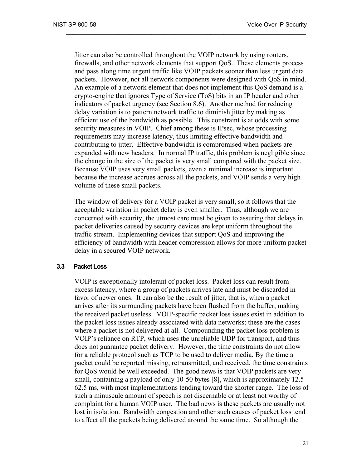Jitter can also be controlled throughout the VOIP network by using routers, firewalls, and other network elements that support QoS. These elements process and pass along time urgent traffic like VOIP packets sooner than less urgent data packets. However, not all network components were designed with QoS in mind. An example of a network element that does not implement this QoS demand is a crypto-engine that ignores Type of Service (ToS) bits in an IP header and other indicators of packet urgency (see Section [8.6\)](#page-71-1). Another method for reducing delay variation is to pattern network traffic to diminish jitter by making as efficient use of the bandwidth as possible. This constraint is at odds with some security measures in VOIP. Chief among these is IPsec, whose processing requirements may increase latency, thus limiting effective bandwidth and contributing to jitter. Effective bandwidth is compromised when packets are expanded with new headers. In normal IP traffic, this problem is negligible since the change in the size of the packet is very small compared with the packet size. Because VOIP uses very small packets, even a minimal increase is important because the increase accrues across all the packets, and VOIP sends a very high volume of these small packets.

<span id="page-25-0"></span> $\_$  . The contribution of the contribution of the contribution of the contribution of the contribution of the contribution of  $\mathcal{L}_\text{max}$ 

The window of delivery for a VOIP packet is very small, so it follows that the acceptable variation in packet delay is even smaller. Thus, although we are concerned with security, the utmost care must be given to assuring that delays in packet deliveries caused by security devices are kept uniform throughout the traffic stream. Implementing devices that support QoS and improving the efficiency of bandwidth with header compression allows for more uniform packet delay in a secured VOIP network.

#### **3.3 Packet Loss**

VOIP is exceptionally intolerant of packet loss. Packet loss can result from excess latency, where a group of packets arrives late and must be discarded in favor of newer ones. It can also be the result of jitter, that is, when a packet arrives after its surrounding packets have been flushed from the buffer, making the received packet useless. VOIP-specific packet loss issues exist in addition to the packet loss issues already associated with data networks; these are the cases where a packet is not delivered at all. Compounding the packet loss problem is VOIP's reliance on RTP, which uses the unreliable UDP for transport, and thus does not guarantee packet delivery. However, the time constraints do not allow for a reliable protocol such as TCP to be used to deliver media. By the time a packet could be reported missing, retransmitted, and received, the time constraints for QoS would be well exceeded. The good news is that VOIP packets are very small, containing a payload of only 10-50 bytes [\[8\]](#page-23-2), which is approximately 12.5- 62.5 ms, with most implementations tending toward the shorter range. The loss of such a minuscule amount of speech is not discernable or at least not worthy of complaint for a human VOIP user. The bad news is these packets are usually not lost in isolation. Bandwidth congestion and other such causes of packet loss tend to affect all the packets being delivered around the same time. So although the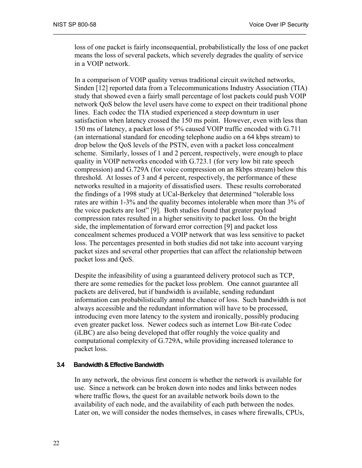loss of one packet is fairly inconsequential, probabilistically the loss of one packet means the loss of several packets, which severely degrades the quality of service in a VOIP network.

<span id="page-26-0"></span> $\mathcal{L}_\text{max}$  , and the set of the set of the set of the set of the set of the set of the set of the set of the set of the set of the set of the set of the set of the set of the set of the set of the set of the set of the

In a comparison of VOIP quality versus traditional circuit switched networks, Sinden [[12\]](#page-86-11) reported data from a Telecommunications Industry Association (TIA) study that showed even a fairly small percentage of lost packets could push VOIP network QoS below the level users have come to expect on their traditional phone lines. Each codec the TIA studied experienced a steep downturn in user satisfaction when latency crossed the 150 ms point. However, even with less than 150 ms of latency, a packet loss of 5% caused VOIP traffic encoded with G.711 (an international standard for encoding telephone audio on a 64 kbps stream) to drop below the QoS levels of the PSTN, even with a packet loss concealment scheme. Similarly, losses of 1 and 2 percent, respectively, were enough to place quality in VOIP networks encoded with G.723.1 (for very low bit rate speech compression) and G.729A (for voice compression on an 8kbps stream) below this threshold. At losses of 3 and 4 percent, respectively, the performance of these networks resulted in a majority of dissatisfied users. These results corroborated the findings of a 1998 study at UCal-Berkeley that determined "tolerable loss rates are within 1-3% and the quality becomes intolerable when more than 3% of the voice packets are lost" [\[9\]](#page-23-3). Both studies found that greater payload compression rates resulted in a higher sensitivity to packet loss. On the bright side, the implementation of forward error correction [\[9\]](#page-23-3) and packet loss concealment schemes produced a VOIP network that was less sensitive to packet loss. The percentages presented in both studies did not take into account varying packet sizes and several other properties that can affect the relationship between packet loss and QoS.

Despite the infeasibility of using a guaranteed delivery protocol such as TCP, there are some remedies for the packet loss problem. One cannot guarantee all packets are delivered, but if bandwidth is available, sending redundant information can probabilistically annul the chance of loss. Such bandwidth is not always accessible and the redundant information will have to be processed, introducing even more latency to the system and ironically, possibly producing even greater packet loss. Newer codecs such as internet Low Bit-rate Codec (iLBC) are also being developed that offer roughly the voice quality and computational complexity of G.729A, while providing increased tolerance to packet loss.

#### **3.4 Bandwidth & Effective Bandwidth**

In any network, the obvious first concern is whether the network is available for use. Since a network can be broken down into nodes and links between nodes where traffic flows, the quest for an available network boils down to the availability of each node, and the availability of each path between the nodes. Later on, we will consider the nodes themselves, in cases where firewalls, CPUs,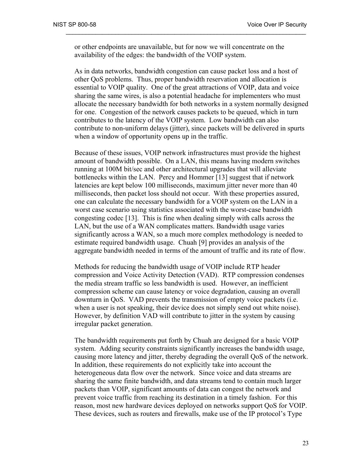or other endpoints are unavailable, but for now we will concentrate on the availability of the edges: the bandwidth of the VOIP system.

 $\_$  . The contribution of the contribution of the contribution of the contribution of the contribution of the contribution of  $\mathcal{L}_\text{max}$ 

As in data networks, bandwidth congestion can cause packet loss and a host of other QoS problems. Thus, proper bandwidth reservation and allocation is essential to VOIP quality. One of the great attractions of VOIP, data and voice sharing the same wires, is also a potential headache for implementers who must allocate the necessary bandwidth for both networks in a system normally designed for one. Congestion of the network causes packets to be queued, which in turn contributes to the latency of the VOIP system. Low bandwidth can also contribute to non-uniform delays (jitter), since packets will be delivered in spurts when a window of opportunity opens up in the traffic.

<span id="page-27-0"></span>Because of these issues, VOIP network infrastructures must provide the highest amount of bandwidth possible. On a LAN, this means having modern switches running at 100M bit/sec and other architectural upgrades that will alleviate bottlenecks within the LAN. Percy and Hommer [[13\]](#page-86-12) suggest that if network latencies are kept below 100 milliseconds, maximum jitter never more than 40 milliseconds, then packet loss should not occur. With these properties assured, one can calculate the necessary bandwidth for a VOIP system on the LAN in a worst case scenario using statistics associated with the worst-case bandwidth congesting codec [\[13\]](#page-27-0). This is fine when dealing simply with calls across the LAN, but the use of a WAN complicates matters. Bandwidth usage varies significantly across a WAN, so a much more complex methodology is needed to estimate required bandwidth usage. Chuah [\[9\]](#page-23-3) provides an analysis of the aggregate bandwidth needed in terms of the amount of traffic and its rate of flow.

Methods for reducing the bandwidth usage of VOIP include RTP header compression and Voice Activity Detection (VAD). RTP compression condenses the media stream traffic so less bandwidth is used. However, an inefficient compression scheme can cause latency or voice degradation, causing an overall downturn in QoS. VAD prevents the transmission of empty voice packets (i.e. when a user is not speaking, their device does not simply send out white noise). However, by definition VAD will contribute to jitter in the system by causing irregular packet generation.

The bandwidth requirements put forth by Chuah are designed for a basic VOIP system. Adding security constraints significantly increases the bandwidth usage, causing more latency and jitter, thereby degrading the overall QoS of the network. In addition, these requirements do not explicitly take into account the heterogeneous data flow over the network. Since voice and data streams are sharing the same finite bandwidth, and data streams tend to contain much larger packets than VOIP, significant amounts of data can congest the network and prevent voice traffic from reaching its destination in a timely fashion. For this reason, most new hardware devices deployed on networks support QoS for VOIP. These devices, such as routers and firewalls, make use of the IP protocol's Type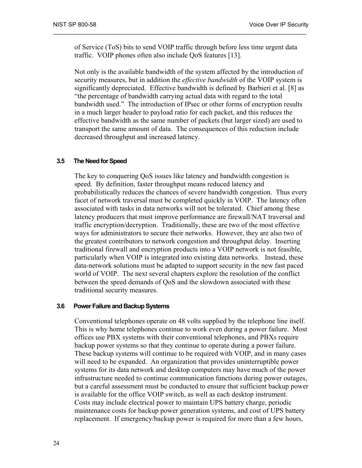of Service (ToS) bits to send VOIP traffic through before less time urgent data traffic. VOIP phones often also include QoS features [\[13\]](#page-27-0).

<span id="page-28-0"></span> $\mathcal{L}_\text{max}$  , and the set of the set of the set of the set of the set of the set of the set of the set of the set of the set of the set of the set of the set of the set of the set of the set of the set of the set of the

Not only is the available bandwidth of the system affected by the introduction of security measures, but in addition the *effective bandwidth* of the VOIP system is significantly depreciated. Effective bandwidth is defined by Barbieri et al. [\[8\]](#page-23-2) as "the percentage of bandwidth carrying actual data with regard to the total bandwidth used." The introduction of IPsec or other forms of encryption results in a much larger header to payload ratio for each packet, and this reduces the effective bandwidth as the same number of packets (but larger sized) are used to transport the same amount of data. The consequences of this reduction include decreased throughput and increased latency.

#### **3.5 The Needfor Speed**

The key to conquering QoS issues like latency and bandwidth congestion is speed. By definition, faster throughput means reduced latency and probabilistically reduces the chances of severe bandwidth congestion. Thus every facet of network traversal must be completed quickly in VOIP. The latency often associated with tasks in data networks will not be tolerated. Chief among these latency producers that must improve performance are firewall/NAT traversal and traffic encryption/decryption. Traditionally, these are two of the most effective ways for administrators to secure their networks. However, they are also two of the greatest contributors to network congestion and throughput delay. Inserting traditional firewall and encryption products into a VOIP network is not feasible, particularly when VOIP is integrated into existing data networks. Instead, these data-network solutions must be adapted to support security in the new fast paced world of VOIP. The next several chapters explore the resolution of the conflict between the speed demands of QoS and the slowdown associated with these traditional security measures.

#### **3.6 Power Failure and Backup Systems**

Conventional telephones operate on 48 volts supplied by the telephone line itself. This is why home telephones continue to work even during a power failure. Most offices use PBX systems with their conventional telephones, and PBXs require backup power systems so that they continue to operate during a power failure. These backup systems will continue to be required with VOIP, and in many cases will need to be expanded. An organization that provides uninterruptible power systems for its data network and desktop computers may have much of the power infrastructure needed to continue communication functions during power outages, but a careful assessment must be conducted to ensure that sufficient backup power is available for the office VOIP switch, as well as each desktop instrument. Costs may include electrical power to maintain UPS battery charge, periodic maintenance costs for backup power generation systems, and cost of UPS battery replacement. If emergency/backup power is required for more than a few hours,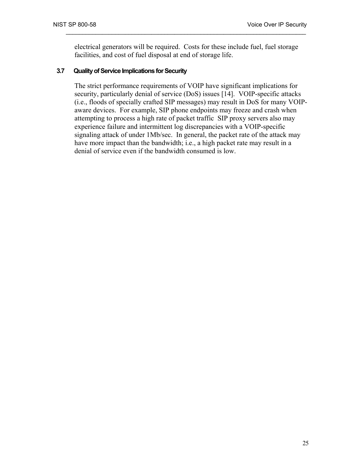electrical generators will be required. Costs for these include fuel, fuel storage facilities, and cost of fuel disposal at end of storage life.

<span id="page-29-0"></span> $\_$  . The contribution of the contribution of the contribution of the contribution of the contribution of the contribution of  $\mathcal{L}_\text{max}$ 

#### **3.7 Quality of Service Implications for Security**

The strict performance requirements of VOIP have significant implications for security, particularly denial of service (DoS) issues [[14\]](#page-86-13). VOIP-specific attacks (i.e., floods of specially crafted SIP messages) may result in DoS for many VOIPaware devices. For example, SIP phone endpoints may freeze and crash when attempting to process a high rate of packet traffic SIP proxy servers also may experience failure and intermittent log discrepancies with a VOIP-specific signaling attack of under 1Mb/sec. In general, the packet rate of the attack may have more impact than the bandwidth; i.e., a high packet rate may result in a denial of service even if the bandwidth consumed is low.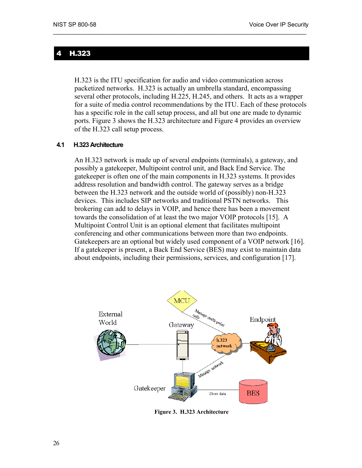#### **H.323**

H.323 is the ITU specification for audio and video communication across packetized networks. H.323 is actually an umbrella standard, encompassing several other protocols, including H.225, H.245, and others. It acts as a wrapper for a suite of media control recommendations by the ITU. Each of these protocols has a specific role in the call setup process, and all but one are made to dynamic ports. Figure 3 shows the H.323 architecture and Figure [4](#page-31-1) provides an overview of the H.323 call setup process.

<span id="page-30-0"></span> $\mathcal{L}_\text{max}$  , and the set of the set of the set of the set of the set of the set of the set of the set of the set of the set of the set of the set of the set of the set of the set of the set of the set of the set of the

#### **4.1 H.323 Architecture**

An H.323 network is made up of several endpoints (terminals), a gateway, and possibly a gatekeeper, Multipoint control unit, and Back End Service. The gatekeeper is often one of the main components in H.323 systems. It provides address resolution and bandwidth control. The gateway serves as a bridge between the H.323 network and the outside world of (possibly) non-H.323 devices. This includes SIP networks and traditional PSTN networks. This brokering can add to delays in VOIP, and hence there has been a movement towards the consolidation of at least the two major VOIP protocols [[15\]](#page-86-14). A Multipoint Control Unit is an optional element that facilitates multipoint conferencing and other communications between more than two endpoints. Gatekeepers are an optional but widely used component of a VOIP network [[16\]](#page-86-15). If a gatekeeper is present, a Back End Service (BES) may exist to maintain data about endpoints, including their permissions, services, and configuration [[17\]](#page-86-16).



**Figure 3. H.323 Architecture**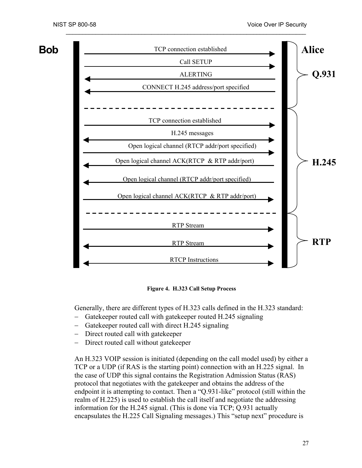<span id="page-31-1"></span><span id="page-31-0"></span>

**Figure 4. H.323 Call Setup Process** 

Generally, there are different types of H.323 calls defined in the H.323 standard:

- − Gatekeeper routed call with gatekeeper routed H.245 signaling
- − Gatekeeper routed call with direct H.245 signaling
- − Direct routed call with gatekeeper
- − Direct routed call without gatekeeper

An H.323 VOIP session is initiated (depending on the call model used) by either a TCP or a UDP (if RAS is the starting point) connection with an H.225 signal. In the case of UDP this signal contains the Registration Admission Status (RAS) protocol that negotiates with the gatekeeper and obtains the address of the endpoint it is attempting to contact. Then a "Q.931-like" protocol (still within the realm of H.225) is used to establish the call itself and negotiate the addressing information for the H.245 signal. (This is done via TCP; Q.931 actually encapsulates the H.225 Call Signaling messages.) This "setup next" procedure is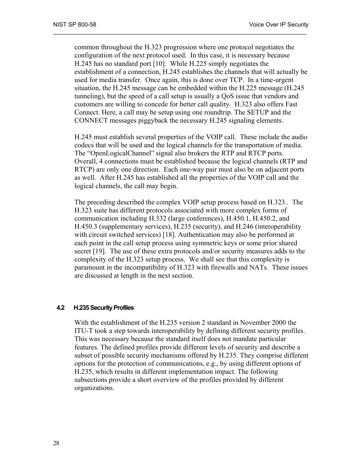common throughout the H.323 progression where one protocol negotiates the configuration of the next protocol used. In this case, it is necessary because H.245 has no standard port [\[10\]](#page-23-1). While H.225 simply negotiates the establishment of a connection, H.245 establishes the channels that will actually be used for media transfer. Once again, this is done over TCP. In a time-urgent situation, the H.245 message can be embedded within the H.225 message (H.245 tunneling), but the speed of a call setup is usually a QoS issue that vendors and customers are willing to concede for better call quality. H.323 also offers Fast Connect. Here, a call may be setup using one roundtrip. The SETUP and the CONNECT messages piggyback the necessary H.245 signaling elements.

<span id="page-32-0"></span> $\mathcal{L}_\text{max}$  , and the set of the set of the set of the set of the set of the set of the set of the set of the set of the set of the set of the set of the set of the set of the set of the set of the set of the set of the

H.245 must establish several properties of the VOIP call. These include the audio codecs that will be used and the logical channels for the transportation of media. The "OpenLogicalChannel" signal also brokers the RTP and RTCP ports. Overall, 4 connections must be established because the logical channels (RTP and RTCP) are only one direction. Each one-way pair must also be on adjacent ports as well. After H.245 has established all the properties of the VOIP call and the logical channels, the call may begin.

The preceding described the complex VOIP setup process based on H.323.. The H.323 suite has different protocols associated with more complex forms of communication including H.332 (large conferences), H.450.1, H.450.2, and H.450.3 (supplementary services), H.235 (security), and H.246 (interoperability with circuit switched services) [\[18\]](#page-86-17). Authentication may also be performed at each point in the call setup process using symmetric keys or some prior shared secret [[19\]](#page-86-18). The use of these extra protocols and/or security measures adds to the complexity of the H.323 setup process. We shall see that this complexity is paramount in the incompatibility of H.323 with firewalls and NATs. These issues are discussed at length in the next section.

#### **4.2 H.235 Security Profiles**

With the establishment of the H.235 version 2 standard in November 2000 the ITU-T took a step towards interoperability by defining different security profiles. This was necessary because the standard itself does not mandate particular features. The defined profiles provide different levels of security and describe a subset of possible security mechanisms offered by H.235. They comprise different options for the protection of communications, e.g., by using different options of H.235, which results in different implementation impact. The following subsections provide a short overview of the profiles provided by different organizations.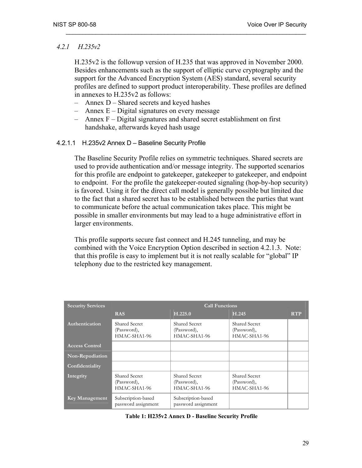#### <span id="page-33-0"></span>*4.2.1 H.235v2*

H.235v2 is the followup version of H.235 that was approved in November 2000. Besides enhancements such as the support of elliptic curve cryptography and the support for the Advanced Encryption System (AES) standard, several security profiles are defined to support product interoperability. These profiles are defined in annexes to H.235v2 as follows:

 $\_$  . The contribution of the contribution of the contribution of the contribution of the contribution of the contribution of  $\mathcal{L}_\text{max}$ 

- Annex D Shared secrets and keyed hashes
- $-$  Annex  $E -$  Digital signatures on every message
- Annex F Digital signatures and shared secret establishment on first handshake, afterwards keyed hash usage

#### 4.2.1.1 H.235v2 Annex D – Baseline Security Profile

The Baseline Security Profile relies on symmetric techniques. Shared secrets are used to provide authentication and/or message integrity. The supported scenarios for this profile are endpoint to gatekeeper, gatekeeper to gatekeeper, and endpoint to endpoint. For the profile the gatekeeper-routed signaling (hop-by-hop security) is favored. Using it for the direct call model is generally possible but limited due to the fact that a shared secret has to be established between the parties that want to communicate before the actual communication takes place. This might be possible in smaller environments but may lead to a huge administrative effort in larger environments.

This profile supports secure fast connect and H.245 tunneling, and may be combined with the Voice Encryption Option described in section [4.2.1.3.](#page-34-1) Note: that this profile is easy to implement but it is not really scalable for "global" IP telephony due to the restricted key management.

| <b>Security Services</b> | <b>Call Functions</b>                        |                                              |                                              |            |  |
|--------------------------|----------------------------------------------|----------------------------------------------|----------------------------------------------|------------|--|
|                          | <b>RAS</b>                                   | H.225.0                                      | H.245                                        | <b>RTP</b> |  |
| Authentication           | Shared Secret<br>(Password),<br>HMAC-SHA1-96 | Shared Secret<br>(Password),<br>HMAC-SHA1-96 | Shared Secret<br>(Password),<br>HMAC-SHA1-96 |            |  |
| <b>Access Control</b>    |                                              |                                              |                                              |            |  |
| Non-Repudiation          |                                              |                                              |                                              |            |  |
| Confidentiality          |                                              |                                              |                                              |            |  |
| Integrity                | Shared Secret<br>(Password),<br>HMAC-SHA1-96 | Shared Secret<br>(Password),<br>HMAC-SHA1-96 | Shared Secret<br>(Password),<br>HMAC-SHA1-96 |            |  |
| <b>Key Management</b>    | Subscription-based<br>password assignment    | Subscription-based<br>password assignment    |                                              |            |  |

**Table 1: H235v2 Annex D - Baseline Security Profile**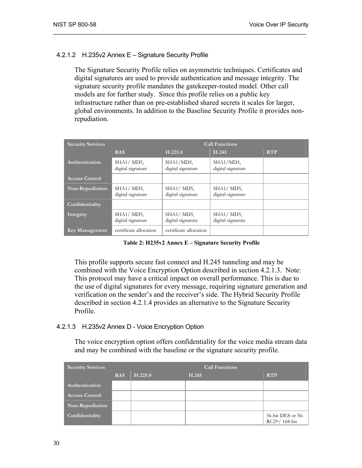#### 4.2.1.2 H.235v2 Annex E – Signature Security Profile

The Signature Security Profile relies on asymmetric techniques. Certificates and digital signatures are used to provide authentication and message integrity. The signature security profile mandates the gatekeeper-routed model. Other call models are for further study. Since this profile relies on a public key infrastructure rather than on pre-established shared secrets it scales for larger, global environments. In addition to the Baseline Security Profile it provides nonrepudiation.

<span id="page-34-0"></span> $\mathcal{L}_\text{max}$  , and the set of the set of the set of the set of the set of the set of the set of the set of the set of the set of the set of the set of the set of the set of the set of the set of the set of the set of the

| <b>Security Services</b> | <b>Call Functions</b>          |                                |                                |            |  |
|--------------------------|--------------------------------|--------------------------------|--------------------------------|------------|--|
|                          | <b>RAS</b>                     | H.225.0                        | H.245                          | <b>RTP</b> |  |
| Authentication           | SHA1/MD5,<br>digital signature | SHA1/MD5,<br>digital signature | SHA1/MD5,<br>digital signature |            |  |
| <b>Access Control</b>    |                                |                                |                                |            |  |
| Non-Repudiation          | SHA1/MD5,<br>digital signature | SHA1/MD5,<br>digital signature | SHA1/MD5,<br>digital signature |            |  |
| Confidentiality          |                                |                                |                                |            |  |
| Integrity                | SHA1/MD5,<br>digital signature | SHA1/MD5,<br>digital signature | SHA1/MD5,<br>digital signature |            |  |
| <b>Key Management</b>    | certificate allocation         | certificate allocation         |                                |            |  |

**Table 2: H235v2 Annex E – Signature Security Profile** 

This profile supports secure fast connect and H.245 tunneling and may be combined with the Voice Encryption Option described in section [4.2.1.3.](#page-34-1) Note: This protocol may have a critical impact on overall performance. This is due to the use of digital signatures for every message, requiring signature generation and verification on the sender's and the receiver's side. The Hybrid Security Profile described in section [4.2.1.4](#page-35-1) provides an alternative to the Signature Security Profile.

#### 4.2.1.3 H.235v2 Annex D - Voice Encryption Option

<span id="page-34-1"></span>The voice encryption option offers confidentiality for the voice media stream data and may be combined with the baseline or the signature security profile.

| <b>Security Services</b> | <b>Call Functions</b> |         |       |                                                 |
|--------------------------|-----------------------|---------|-------|-------------------------------------------------|
|                          | <b>RAS</b>            | H.225.0 | H.245 | <b>RTP</b>                                      |
| Authentication           |                       |         |       |                                                 |
| <b>Access Control</b>    |                       |         |       |                                                 |
| Non-Repudiation          |                       |         |       |                                                 |
| <b>Confidentiality</b>   |                       |         |       | 56-bit DES or 56-<br>$RC2^{\circledR}/168$ -bit |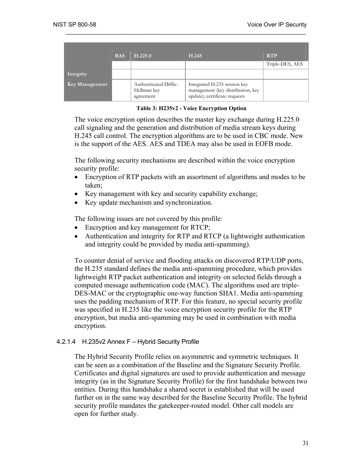|                       | <b>RAS</b> | H.225.0                                           | H.245                                                                                              | <b>RTP</b>      |
|-----------------------|------------|---------------------------------------------------|----------------------------------------------------------------------------------------------------|-----------------|
|                       |            |                                                   |                                                                                                    | Triple-DES, AES |
| Integrity             |            |                                                   |                                                                                                    |                 |
| <b>Key Management</b> |            | Authenticated Diffie-<br>Hellman key<br>agreement | Integrated H.235 session key<br>management (key distribution, key<br>update); certificate requests |                 |

<span id="page-35-0"></span> $\_$  . The contribution of the contribution of the contribution of the contribution of the contribution of the contribution of  $\mathcal{L}_\text{max}$ 

|  |  |  | Table 3: H235v2 - Voice Encryption Option |  |
|--|--|--|-------------------------------------------|--|
|--|--|--|-------------------------------------------|--|

The voice encryption option describes the master key exchange during H.225.0 call signaling and the generation and distribution of media stream keys during H.245 call control. The encryption algorithms are to be used in CBC mode. New is the support of the AES. AES and TDEA may also be used in EOFB mode.

The following security mechanisms are described within the voice encryption security profile:

- Encryption of RTP packets with an assortment of algorithms and modes to be taken;
- Key management with key and security capability exchange;
- Key update mechanism and synchronization.

The following issues are not covered by this profile:

- Encryption and key management for RTCP;
- Authentication and integrity for RTP and RTCP (a lightweight authentication and integrity could be provided by media anti-spamming).

To counter denial of service and flooding attacks on discovered RTP/UDP ports, the H.235 standard defines the media anti-spamming procedure, which provides lightweight RTP packet authentication and integrity on selected fields through a computed message authentication code (MAC). The algorithms used are triple-DES-MAC or the cryptographic one-way function SHA1. Media anti-spamming uses the padding mechanism of RTP. For this feature, no special security profile was specified in H.235 like the voice encryption security profile for the RTP encryption, but media anti-spamming may be used in combination with media encryption.

#### 4.2.1.4 H.235v2 Annex F – Hybrid Security Profile

<span id="page-35-1"></span>The Hybrid Security Profile relies on asymmetric and symmetric techniques. It can be seen as a combination of the Baseline and the Signature Security Profile. Certificates and digital signatures are used to provide authentication and message integrity (as in the Signature Security Profile) for the first handshake between two entities. During this handshake a shared secret is established that will be used further on in the same way described for the Baseline Security Profile. The hybrid security profile mandates the gatekeeper-routed model. Other call models are open for further study.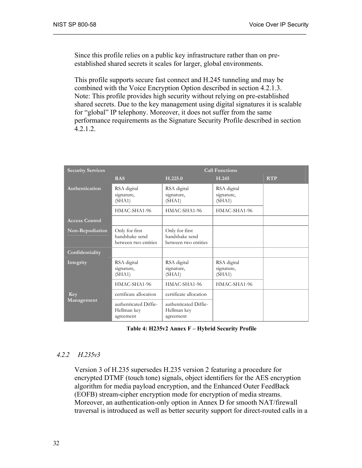Since this profile relies on a public key infrastructure rather than on preestablished shared secrets it scales for larger, global environments.

 $\mathcal{L}_\text{max}$  , and the set of the set of the set of the set of the set of the set of the set of the set of the set of the set of the set of the set of the set of the set of the set of the set of the set of the set of the

This profile supports secure fast connect and H.245 tunneling and may be combined with the Voice Encryption Option described in section [4.2.1.3.](#page-34-0) Note: This profile provides high security without relying on pre-established shared secrets. Due to the key management using digital signatures it is scalable for "global" IP telephony. Moreover, it does not suffer from the same performance requirements as the Signature Security Profile described in section [4.2.1.2.](#page-34-1)

| <b>Security Services</b> | <b>Call Functions</b>                                    |                                                          |                                     |            |
|--------------------------|----------------------------------------------------------|----------------------------------------------------------|-------------------------------------|------------|
|                          | <b>RAS</b>                                               | H.225.0                                                  | H.245                               | <b>RTP</b> |
| Authentication           | RSA digital<br>signature,<br>(SHA1)                      | RSA digital<br>signature,<br>(SHA1)                      | RSA digital<br>signature,<br>(SHA1) |            |
|                          | HMAC-SHA1-96                                             | HMAC-SHA1-96                                             | HMAC-SHA1-96                        |            |
| <b>Access Control</b>    |                                                          |                                                          |                                     |            |
| Non-Repudiation          | Only for first<br>handshake send<br>between two entities | Only for first<br>handshake send<br>between two entities |                                     |            |
| Confidentiality          |                                                          |                                                          |                                     |            |
| Integrity                | RSA digital<br>signature,<br>(SHA1)                      | RSA digital<br>signature,<br>(SHA1)                      | RSA digital<br>signature,<br>(SHA1) |            |
|                          | HMAC-SHA1-96                                             | HMAC-SHA1-96                                             | HMAC-SHA1-96                        |            |
| Key<br>Management        | certificate allocation                                   | certificate allocation                                   |                                     |            |
|                          | authenticated Diffie-<br>Hellman key<br>agreement        | authenticated Diffie-<br>Hellman key<br>agreement        |                                     |            |

**Table 4: H235v2 Annex F – Hybrid Security Profile** 

# *4.2.2 H.235v3*

Version 3 of H.235 supersedes H.235 version 2 featuring a procedure for encrypted DTMF (touch tone) signals, object identifiers for the AES encryption algorithm for media payload encryption, and the Enhanced Outer FeedBack (EOFB) stream-cipher encryption mode for encryption of media streams. Moreover, an authentication-only option in Annex D for smooth NAT/firewall traversal is introduced as well as better security support for direct-routed calls in a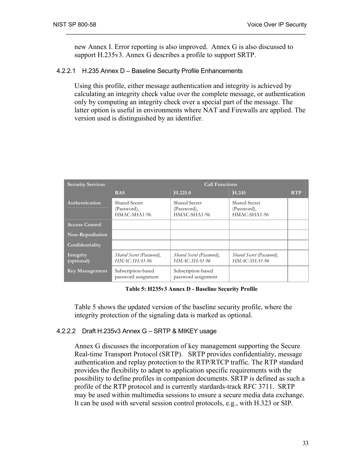new Annex I. Error reporting is also improved. Annex G is also discussed to support H.235v3. Annex G describes a profile to support SRTP.

 $\_$  . The contribution of the contribution of the contribution of the contribution of the contribution of the contribution of  $\mathcal{L}_\text{max}$ 

#### 4.2.2.1 H.235 Annex D – Baseline Security Profile Enhancements

Using this profile, either message authentication and integrity is achieved by calculating an integrity check value over the complete message, or authentication only by computing an integrity check over a special part of the message. The latter option is useful in environments where NAT and Firewalls are applied. The version used is distinguished by an identifier.

| <b>Security Services</b> | <b>Call Functions</b>                        |                                              |                                              |            |  |  |  |
|--------------------------|----------------------------------------------|----------------------------------------------|----------------------------------------------|------------|--|--|--|
|                          | <b>RAS</b>                                   | H.225.0                                      | H.245                                        | <b>RTP</b> |  |  |  |
| Authentication           | Shared Secret<br>(Password),<br>HMAC-SHA1-96 | Shared Secret<br>(Password),<br>HMAC-SHA1-96 | Shared Secret<br>(Password),<br>HMAC-SHA1-96 |            |  |  |  |
| <b>Access Control</b>    |                                              |                                              |                                              |            |  |  |  |
| Non-Repudiation          |                                              |                                              |                                              |            |  |  |  |
| Confidentiality          |                                              |                                              |                                              |            |  |  |  |
| Integrity<br>(optional)  | Shared Secret (Password),<br>HMAC-SHA1-96    | Shared Secret (Password),<br>HMAC-SHA1-96    | Shared Secret (Password),<br>HMAC-SHA1-96    |            |  |  |  |
| <b>Key Management</b>    | Subscription-based<br>password assignment    | Subscription-based<br>password assignment    |                                              |            |  |  |  |

#### <span id="page-37-0"></span>**Table 5: H235v3 Annex D - Baseline Security Profile**

[Table 5](#page-37-0) shows the updated version of the baseline security profile, where the integrity protection of the signaling data is marked as optional.

# 4.2.2.2 Draft H.235v3 Annex G – SRTP & MIKEY usage

Annex G discusses the incorporation of key management supporting the Secure Real-time Transport Protocol (SRTP). SRTP provides confidentiality, message authentication and replay protection to the RTP/RTCP traffic. The RTP standard provides the flexibility to adapt to application specific requirements with the possibility to define profiles in companion documents. SRTP is defined as such a profile of the RTP protocol and is currently stardards-track RFC 3711. SRTP may be used within multimedia sessions to ensure a secure media data exchange. It can be used with several session control protocols, e.g., with H.323 or SIP.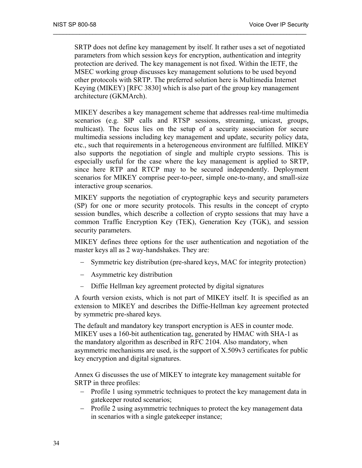SRTP does not define key management by itself. It rather uses a set of negotiated parameters from which session keys for encryption, authentication and integrity protection are derived. The key management is not fixed. Within the IETF, the MSEC working group discusses key management solutions to be used beyond other protocols with SRTP. The preferred solution here is Multimedia Internet Keying (MIKEY) [RFC 3830] which is also part of the group key management architecture (GKMArch).

 $\mathcal{L}_\text{max}$  , and the set of the set of the set of the set of the set of the set of the set of the set of the set of the set of the set of the set of the set of the set of the set of the set of the set of the set of the

MIKEY describes a key management scheme that addresses real-time multimedia scenarios (e.g. SIP calls and RTSP sessions, streaming, unicast, groups, multicast). The focus lies on the setup of a security association for secure multimedia sessions including key management and update, security policy data, etc., such that requirements in a heterogeneous environment are fulfilled. MIKEY also supports the negotiation of single and multiple crypto sessions. This is especially useful for the case where the key management is applied to SRTP, since here RTP and RTCP may to be secured independently. Deployment scenarios for MIKEY comprise peer-to-peer, simple one-to-many, and small-size interactive group scenarios.

MIKEY supports the negotiation of cryptographic keys and security parameters (SP) for one or more security protocols. This results in the concept of crypto session bundles, which describe a collection of crypto sessions that may have a common Traffic Encryption Key (TEK), Generation Key (TGK), and session security parameters.

MIKEY defines three options for the user authentication and negotiation of the master keys all as 2 way-handshakes. They are:

- Symmetric key distribution (pre-shared keys, MAC for integrity protection)
- − Asymmetric key distribution
- − Diffie Hellman key agreement protected by digital signatures

A fourth version exists, which is not part of MIKEY itself. It is specified as an extension to MIKEY and describes the Diffie-Hellman key agreement protected by symmetric pre-shared keys.

The default and mandatory key transport encryption is AES in counter mode. MIKEY uses a 160-bit authentication tag, generated by HMAC with SHA-1 as the mandatory algorithm as described in RFC 2104. Also mandatory, when asymmetric mechanisms are used, is the support of X.509v3 certificates for public key encryption and digital signatures.

Annex G discusses the use of MIKEY to integrate key management suitable for SRTP in three profiles:

- − Profile 1 using symmetric techniques to protect the key management data in gatekeeper routed scenarios;
- − Profile 2 using asymmetric techniques to protect the key management data in scenarios with a single gatekeeper instance;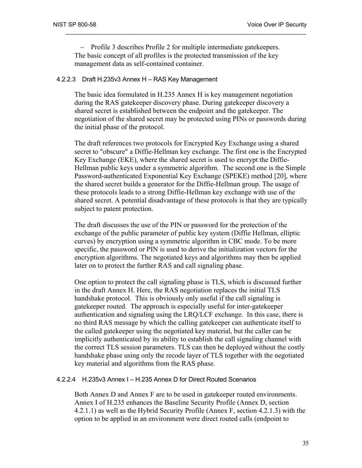− Profile 3 describes Profile 2 for multiple intermediate gatekeepers. The basic concept of all profiles is the protected transmission of the key management data as self-contained container.

 $\_$  . The contribution of the contribution of the contribution of the contribution of the contribution of the contribution of  $\mathcal{L}_\text{max}$ 

#### 4.2.2.3 Draft H.235v3 Annex H – RAS Key Management

The basic idea formulated in H.235 Annex H is key management negotiation during the RAS gatekeeper discovery phase. During gatekeeper discovery a shared secret is established between the endpoint and the gatekeeper. The negotiation of the shared secret may be protected using PINs or passwords during the initial phase of the protocol.

The draft references two protocols for Encrypted Key Exchange using a shared secret to "obscure" a Diffie-Hellman key exchange. The first one is the Encrypted Key Exchange (EKE), where the shared secret is used to encrypt the Diffie-Hellman public keys under a symmetric algorithm. The second one is the Simple Password-authenticated Exponential Key Exchange (SPEKE) method [[20\]](#page-86-0), where the shared secret builds a generator for the Diffie-Hellman group. The usage of these protocols leads to a strong Diffie-Hellman key exchange with use of the shared secret. A potential disadvantage of these protocols is that they are typically subject to patent protection.

The draft discusses the use of the PIN or password for the protection of the exchange of the public parameter of public key system (Diffie Hellman, elliptic curves) by encryption using a symmetric algorithm in CBC mode. To be more specific, the password or PIN is used to derive the initialization vectors for the encryption algorithms. The negotiated keys and algorithms may then be applied later on to protect the further RAS and call signaling phase.

One option to protect the call signaling phase is TLS, which is discussed further in the draft Annex H. Here, the RAS negotiation replaces the initial TLS handshake protocol. This is obviously only useful if the call signaling is gatekeeper routed. The approach is especially useful for inter-gatekeeper authentication and signaling using the LRQ/LCF exchange. In this case, there is no third RAS message by which the calling gatekeeper can authenticate itself to the called gatekeeper using the negotiated key material, but the caller can be implicitly authenticated by its ability to establish the call signaling channel with the correct TLS session parameters. TLS can then be deployed without the costly handshake phase using only the recode layer of TLS together with the negotiated key material and algorithms from the RAS phase.

#### 4.2.2.4 H.235v3 Annex I – H.235 Annex D for Direct Routed Scenarios

Both Annex D and Annex F are to be used in gatekeeper routed environments. Annex I of H.235 enhances the Baseline Security Profile (Annex D, section [4.2.1.1\)](#page-33-0) as well as the Hybrid Security Profile (Annex F, section [4.2.1.3\)](#page-34-0) with the option to be applied in an environment were direct routed calls (endpoint to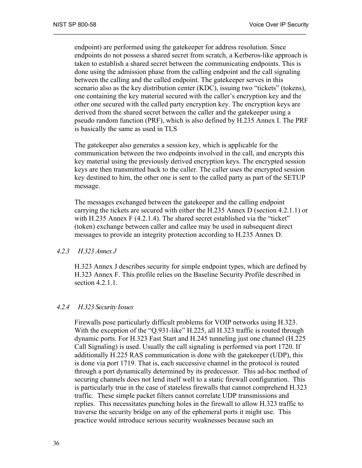endpoint) are performed using the gatekeeper for address resolution. Since endpoints do not possess a shared secret from scratch, a Kerberos-like approach is taken to establish a shared secret between the communicating endpoints. This is done using the admission phase from the calling endpoint and the call signaling between the calling and the called endpoint. The gatekeeper serves in this scenario also as the key distribution center (KDC), issuing two "tickets" (tokens), one containing the key material secured with the caller's encryption key and the other one secured with the called party encryption key. The encryption keys are derived from the shared secret between the caller and the gatekeeper using a pseudo random function (PRF), which is also defined by H.235 Annex I. The PRF is basically the same as used in TLS

 $\mathcal{L}_\text{max}$  , and the set of the set of the set of the set of the set of the set of the set of the set of the set of the set of the set of the set of the set of the set of the set of the set of the set of the set of the

The gatekeeper also generates a session key, which is applicable for the communication between the two endpoints involved in the call, and encrypts this key material using the previously derived encryption keys. The encrypted session keys are then transmitted back to the caller. The caller uses the encrypted session key destined to him, the other one is sent to the called party as part of the SETUP message.

The messages exchanged between the gatekeeper and the calling endpoint carrying the tickets are secured with either the H.235 Annex D (section [4.2.1.1\)](#page-33-0) or with H.235 Annex F [\(4.2.1.4\)](#page-35-0). The shared secret established via the "ticket" (token) exchange between caller and callee may be used in subsequent direct messages to provide an integrity protection according to H.235 Annex D.

#### *4.2.3 H.323 Annex J*

H.323 Annex J describes security for simple endpoint types, which are defined by H.323 Annex F. This profile relies on the Baseline Security Profile described in section [4.2.1.1.](#page-33-0)

#### *4.2.4 H.323 Security Issues*

Firewalls pose particularly difficult problems for VOIP networks using H.323. With the exception of the "Q.931-like" H.225, all H.323 traffic is routed through dynamic ports. For H.323 Fast Start and H.245 tunneling just one channel (H.225 Call Signaling) is used. Usually the call signaling is performed via port 1720. If additionally H.225 RAS communication is done with the gatekeeper (UDP), this is done via port 1719. That is, each successive channel in the protocol is routed through a port dynamically determined by its predecessor. This ad-hoc method of securing channels does not lend itself well to a static firewall configuration. This is particularly true in the case of stateless firewalls that cannot comprehend H.323 traffic. These simple packet filters cannot correlate UDP transmissions and replies. This necessitates punching holes in the firewall to allow H.323 traffic to traverse the security bridge on any of the ephemeral ports it might use. This practice would introduce serious security weaknesses because such an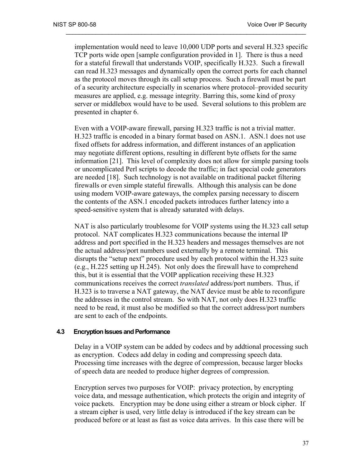implementation would need to leave 10,000 UDP ports and several H.323 specific TCP ports wide open [sample configuration provided in 1]. There is thus a need for a stateful firewall that understands VOIP, specifically H.323. Such a firewall can read H.323 messages and dynamically open the correct ports for each channel as the protocol moves through its call setup process. Such a firewall must be part of a security architecture especially in scenarios where protocol–provided security measures are applied, e.g. message integrity. Barring this, some kind of proxy server or middlebox would have to be used. Several solutions to this problem are presented in chapter [6.](#page-56-0)

 $\_$  . The contribution of the contribution of the contribution of the contribution of the contribution of the contribution of  $\mathcal{L}_\text{max}$ 

<span id="page-41-0"></span>Even with a VOIP-aware firewall, parsing H.323 traffic is not a trivial matter. H.323 traffic is encoded in a binary format based on ASN.1. ASN.1 does not use fixed offsets for address information, and different instances of an application may negotiate different options, resulting in different byte offsets for the same information [[21\]](#page-86-1). This level of complexity does not allow for simple parsing tools or uncomplicated Perl scripts to decode the traffic; in fact special code generators are needed [\[18\]](#page-32-0). Such technology is not available on traditional packet filtering firewalls or even simple stateful firewalls. Although this analysis can be done using modern VOIP-aware gateways, the complex parsing necessary to discern the contents of the ASN.1 encoded packets introduces further latency into a speed-sensitive system that is already saturated with delays.

NAT is also particularly troublesome for VOIP systems using the H.323 call setup protocol. NAT complicates H.323 communications because the internal IP address and port specified in the H.323 headers and messages themselves are not the actual address/port numbers used externally by a remote terminal. This disrupts the "setup next" procedure used by each protocol within the H.323 suite (e.g., H.225 setting up H.245). Not only does the firewall have to comprehend this, but it is essential that the VOIP application receiving these H.323 communications receives the correct *translated* address/port numbers. Thus, if H.323 is to traverse a NAT gateway, the NAT device must be able to reconfigure the addresses in the control stream. So with NAT, not only does H.323 traffic need to be read, it must also be modified so that the correct address/port numbers are sent to each of the endpoints.

#### **4.3 Encryption Issues and Performance**

Delay in a VOIP system can be added by codecs and by addtional processing such as encryption. Codecs add delay in coding and compressing speech data. Processing time increases with the degree of compression, because larger blocks of speech data are needed to produce higher degrees of compression.

Encryption serves two purposes for VOIP: privacy protection, by encrypting voice data, and message authentication, which protects the origin and integrity of voice packets. Encryption may be done using either a stream or block cipher. If a stream cipher is used, very little delay is introduced if the key stream can be produced before or at least as fast as voice data arrives. In this case there will be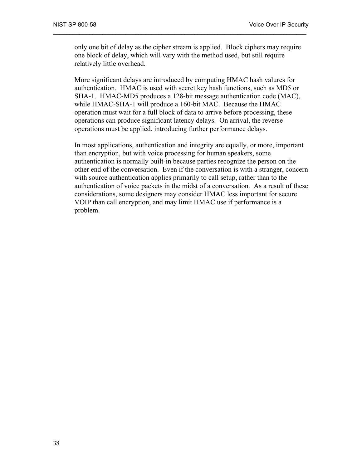only one bit of delay as the cipher stream is applied. Block ciphers may require one block of delay, which will vary with the method used, but still require relatively little overhead.

 $\mathcal{L}_\text{max}$  , and the set of the set of the set of the set of the set of the set of the set of the set of the set of the set of the set of the set of the set of the set of the set of the set of the set of the set of the

More significant delays are introduced by computing HMAC hash valures for authentication. HMAC is used with secret key hash functions, such as MD5 or SHA-1. HMAC-MD5 produces a 128-bit message authentication code (MAC), while HMAC-SHA-1 will produce a 160-bit MAC. Because the HMAC operation must wait for a full block of data to arrive before processing, these operations can produce significant latency delays. On arrival, the reverse operations must be applied, introducing further performance delays.

In most applications, authentication and integrity are equally, or more, important than encryption, but with voice processing for human speakers, some authentication is normally built-in because parties recognize the person on the other end of the conversation. Even if the conversation is with a stranger, concern with source authentication applies primarily to call setup, rather than to the authentication of voice packets in the midst of a conversation. As a result of these considerations, some designers may consider HMAC less important for secure VOIP than call encryption, and may limit HMAC use if performance is a problem.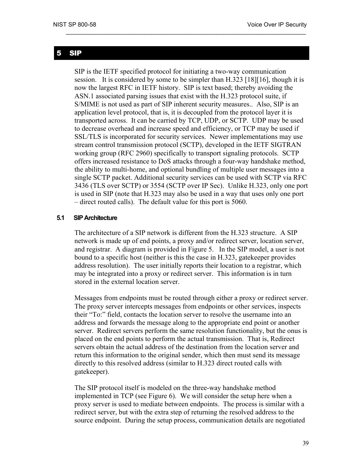# 5 SIP

SIP is the IETF specified protocol for initiating a two-way communication session. It is considered by some to be simpler than H.323 [\[18\]](#page-32-0)[\[16\]](#page-30-0), though it is now the largest RFC in IETF history. SIP is text based; thereby avoiding the ASN.1 associated parsing issues that exist with the H.323 protocol suite, if S/MIME is not used as part of SIP inherent security measures.. Also, SIP is an application level protocol, that is, it is decoupled from the protocol layer it is transported across. It can be carried by TCP, UDP, or SCTP. UDP may be used to decrease overhead and increase speed and efficiency, or TCP may be used if SSL/TLS is incorporated for security services. Newer implementations may use stream control transmission protocol (SCTP), developed in the IETF SIGTRAN working group (RFC 2960) specifically to transport signaling protocols. SCTP offers increased resistance to DoS attacks through a four-way handshake method, the ability to multi-home, and optional bundling of multiple user messages into a single SCTP packet. Additional security services can be used with SCTP via RFC 3436 (TLS over SCTP) or 3554 (SCTP over IP Sec). Unlike H.323, only one port is used in SIP (note that H.323 may also be used in a way that uses only one port – direct routed calls). The default value for this port is 5060.

<span id="page-43-0"></span> $\_$  . The contribution of the contribution of the contribution of the contribution of the contribution of the contribution of  $\mathcal{L}_\text{max}$ 

# **5.1 SIP Architecture**

The architecture of a SIP network is different from the H.323 structure. A SIP network is made up of end points, a proxy and/or redirect server, location server, and registrar. A diagram is provided in Figure 5. In the SIP model, a user is not bound to a specific host (neither is this the case in H.323, gatekeeper provides address resolution). The user initially reports their location to a registrar, which may be integrated into a proxy or redirect server. This information is in turn stored in the external location server.

Messages from endpoints must be routed through either a proxy or redirect server. The proxy server intercepts messages from endpoints or other services, inspects their "To:" field, contacts the location server to resolve the username into an address and forwards the message along to the appropriate end point or another server. Redirect servers perform the same resolution functionality, but the onus is placed on the end points to perform the actual transmission. That is, Redirect servers obtain the actual address of the destination from the location server and return this information to the original sender, which then must send its message directly to this resolved address (similar to H.323 direct routed calls with gatekeeper).

The SIP protocol itself is modeled on the three-way handshake method implemented in TCP (see [Figure 6](#page-50-0)). We will consider the setup here when a proxy server is used to mediate between endpoints. The process is similar with a redirect server, but with the extra step of returning the resolved address to the source endpoint. During the setup process, communication details are negotiated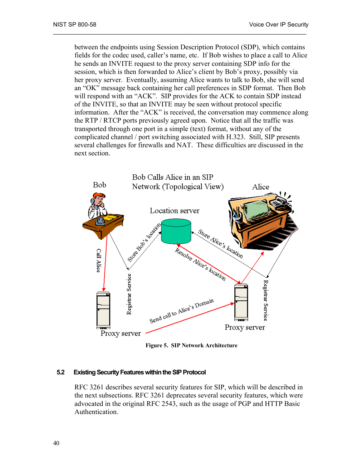between the endpoints using Session Description Protocol (SDP), which contains fields for the codec used, caller's name, etc. If Bob wishes to place a call to Alice he sends an INVITE request to the proxy server containing SDP info for the session, which is then forwarded to Alice's client by Bob's proxy, possibly via her proxy server. Eventually, assuming Alice wants to talk to Bob, she will send an "OK" message back containing her call preferences in SDP format. Then Bob will respond with an "ACK". SIP provides for the ACK to contain SDP instead of the INVITE, so that an INVITE may be seen without protocol specific information. After the "ACK" is received, the conversation may commence along the RTP / RTCP ports previously agreed upon. Notice that all the traffic was transported through one port in a simple (text) format, without any of the complicated channel / port switching associated with H.323. Still, SIP presents several challenges for firewalls and NAT. These difficulties are discussed in the next section.

 $\mathcal{L}_\text{max}$  , and the set of the set of the set of the set of the set of the set of the set of the set of the set of the set of the set of the set of the set of the set of the set of the set of the set of the set of the



**Figure 5. SIP Network Architecture** 

#### **5.2 Existing Security Features within the SIP Protocol**

RFC 3261 describes several security features for SIP, which will be described in the next subsections. RFC 3261 deprecates several security features, which were advocated in the original RFC 2543, such as the usage of PGP and HTTP Basic Authentication.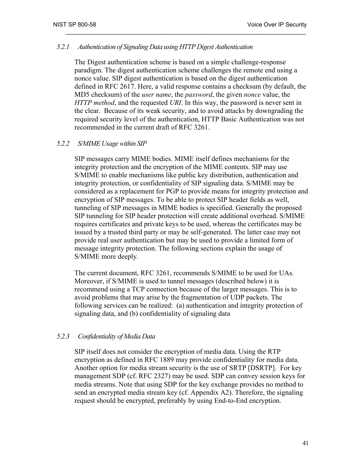#### *5.2.1 Authentication of Signaling Data using HTTP Digest Authentication*

The Digest authentication scheme is based on a simple challenge-response paradigm. The digest authentication scheme challenges the remote end using a nonce value. SIP digest authentication is based on the digest authentication defined in RFC 2617. Here, a valid response contains a checksum (by default, the MD5 checksum) of the *user name*, the *password*, the given *nonce* value, the *HTTP method*, and the requested *URI*. In this way, the password is never sent in the clear. Because of its weak security, and to avoid attacks by downgrading the required security level of the authentication, HTTP Basic Authentication was not recommended in the current draft of RFC 3261.

 $\_$  . The contribution of the contribution of the contribution of the contribution of the contribution of the contribution of  $\mathcal{L}_\text{max}$ 

# *5.2.2 S/MIME Usage within SIP*

SIP messages carry MIME bodies. MIME itself defines mechanisms for the integrity protection and the encryption of the MIME contents. SIP may use S/MIME to enable mechanisms like public key distribution, authentication and integrity protection, or confidentiality of SIP signaling data. S/MIME may be considered as a replacement for PGP to provide means for integrity protection and encryption of SIP messages. To be able to protect SIP header fields as well, tunneling of SIP messages in MIME bodies is specified. Generally the proposed SIP tunneling for SIP header protection will create additional overhead. S/MIME requires certificates and private keys to be used, whereas the certificates may be issued by a trusted third party or may be self-generated. The latter case may not provide real user authentication but may be used to provide a limited form of message integrity protection. The following sections explain the usage of S/MIME more deeply.

The current document, RFC 3261, recommends S/MIME to be used for UAs. Moreover, if S/MIME is used to tunnel messages (described below) it is recommend using a TCP connection because of the larger messages. This is to avoid problems that may arise by the fragmentation of UDP packets. The following services can be realized: (a) authentication and integrity protection of signaling data, and (b) confidentiality of signaling data

# *5.2.3 Confidentiality of Media Data*

SIP itself does not consider the encryption of media data. Using the RTP encryption as defined in RFC 1889 may provide confidentiality for media data. Another option for media stream security is the use of SRTP [DSRTP]. For key management SDP (cf. RFC 2327) may be used. SDP can convey session keys for media streams. Note that using SDP for the key exchange provides no method to send an encrypted media stream key (cf. Appendix A2). Therefore, the signaling request should be encrypted, preferably by using End-to-End encryption.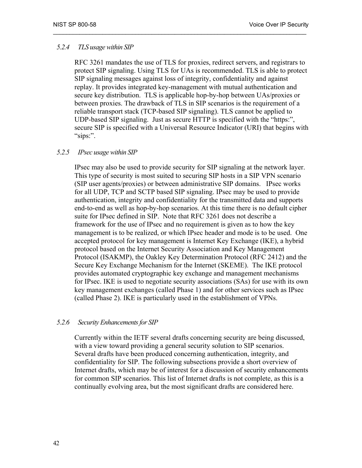#### *5.2.4 TLS usage within SIP*

RFC 3261 mandates the use of TLS for proxies, redirect servers, and registrars to protect SIP signaling. Using TLS for UAs is recommended. TLS is able to protect SIP signaling messages against loss of integrity, confidentiality and against replay. It provides integrated key-management with mutual authentication and secure key distribution. TLS is applicable hop-by-hop between UAs/proxies or between proxies. The drawback of TLS in SIP scenarios is the requirement of a reliable transport stack (TCP-based SIP signaling). TLS cannot be applied to UDP-based SIP signaling. Just as secure HTTP is specified with the "https:", secure SIP is specified with a Universal Resource Indicator (URI) that begins with "sips:".

 $\mathcal{L}_\text{max}$  , and the set of the set of the set of the set of the set of the set of the set of the set of the set of the set of the set of the set of the set of the set of the set of the set of the set of the set of the

#### *5.2.5 IPsec usage within SIP*

IPsec may also be used to provide security for SIP signaling at the network layer. This type of security is most suited to securing SIP hosts in a SIP VPN scenario (SIP user agents/proxies) or between administrative SIP domains. IPsec works for all UDP, TCP and SCTP based SIP signaling. IPsec may be used to provide authentication, integrity and confidentiality for the transmitted data and supports end-to-end as well as hop-by-hop scenarios. At this time there is no default cipher suite for IPsec defined in SIP. Note that RFC 3261 does not describe a framework for the use of IPsec and no requirement is given as to how the key management is to be realized, or which IPsec header and mode is to be used. One accepted protocol for key management is Internet Key Exchange (IKE), a hybrid protocol based on the Internet Security Association and Key Management Protocol (ISAKMP), the Oakley Key Determination Protocol (RFC 2412) and the Secure Key Exchange Mechanism for the Internet (SKEME). The IKE protocol provides automated cryptographic key exchange and management mechanisms for IPsec. IKE is used to negotiate security associations (SAs) for use with its own key management exchanges (called Phase 1) and for other services such as IPsec (called Phase 2). IKE is particularly used in the establishment of VPNs.

#### *5.2.6 Security Enhancements for SIP*

Currently within the IETF several drafts concerning security are being discussed, with a view toward providing a general security solution to SIP scenarios. Several drafts have been produced concerning authentication, integrity, and confidentiality for SIP. The following subsections provide a short overview of Internet drafts, which may be of interest for a discussion of security enhancements for common SIP scenarios. This list of Internet drafts is not complete, as this is a continually evolving area, but the most significant drafts are considered here.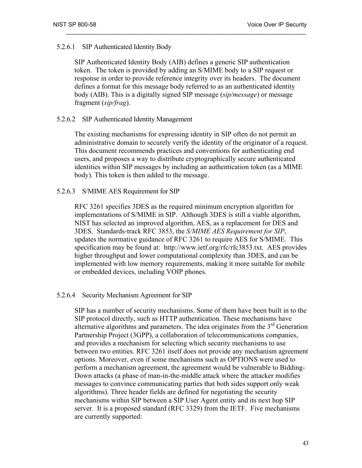# 5.2.6.1 SIP Authenticated Identity Body

SIP Authenticated Identity Body (AIB) defines a generic SIP authentication token. The token is provided by adding an S/MIME body to a SIP request or response in order to provide reference integrity over its headers. The document defines a format for this message body referred to as an authenticated identity body (AIB). This is a digitally signed SIP message (*sip/message*) or message fragment (*sip/frag*).

 $\_$  . The contribution of the contribution of the contribution of the contribution of the contribution of the contribution of  $\mathcal{L}_\text{max}$ 

#### 5.2.6.2 SIP Authenticated Identity Management

The existing mechanisms for expressing identity in SIP often do not permit an administrative domain to securely verify the identity of the originator of a request. This document recommends practices and conventions for authenticating end users, and proposes a way to distribute cryptographically secure authenticated identities within SIP messages by including an authentication token (as a MIME body). This token is then added to the message.

#### 5.2.6.3 S/MIME AES Requirement for SIP

RFC 3261 specifies 3DES as the required minimum encryption algorithm for implementations of S/MIME in SIP. Although 3DES is still a viable algorithm, NIST has selected an improved algorithm, AES, as a replacement for DES and 3DES. Standards-track RFC 3853, the *S/MIME AES Requirement for SIP*, updates the normative guidance of RFC 3261 to require AES for S/MIME. This specification may be found at: http://www.ietf.org/rfc/rfc3853.txt. AES provides higher throughput and lower computational complexity than 3DES, and can be implemented with low memory requirements, making it more suitable for mobile or embedded devices, including VOIP phones.

# 5.2.6.4 Security Mechanism Agreement for SIP

SIP has a number of security mechanisms. Some of them have been built in to the SIP protocol directly, such as HTTP authentication. These mechanisms have alternative algorithms and parameters. The idea originates from the  $3<sup>rd</sup>$  Generation Partnership Project (3GPP), a collaboration of telecommunications companies, and provides a mechanism for selecting which security mechanisms to use between two entities. RFC 3261 itself does not provide any mechanism agreement options. Moreover, even if some mechanisms such as OPTIONS were used to perform a mechanism agreement, the agreement would be vulnerable to Bidding-Down attacks (a phase of man-in-the-middle attack where the attacker modifies messages to convince communicating parties that both sides support only weak algorithms). Three header fields are defined for negotiating the security mechanisms within SIP between a SIP User Agent entity and its next hop SIP server. It is a proposed standard (RFC 3329) from the IETF. Five mechanisms are currently supported: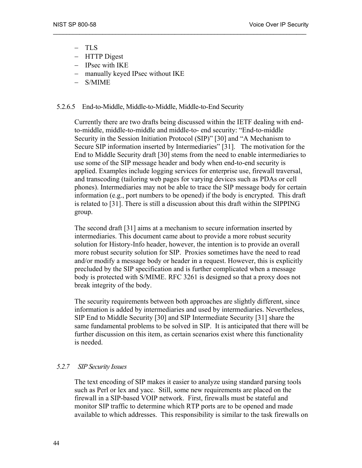- − TLS
- − HTTP Digest
- − IPsec with IKE
- − manually keyed IPsec without IKE
- − S/MIME

5.2.6.5 End-to-Middle, Middle-to-Middle, Middle-to-End Security

Currently there are two drafts being discussed within the IETF dealing with endto-middle, middle-to-middle and middle-to- end security: "End-to-middle Security in the Session Initiation Protocol (SIP)" [30] and "A Mechanism to Secure SIP information inserted by Intermediaries" [31]. The motivation for the End to Middle Security draft [30] stems from the need to enable intermediaries to use some of the SIP message header and body when end-to-end security is applied. Examples include logging services for enterprise use, firewall traversal, and transcoding (tailoring web pages for varying devices such as PDAs or cell phones). Intermediaries may not be able to trace the SIP message body for certain information (e.g., port numbers to be opened) if the body is encrypted. This draft is related to [31]. There is still a discussion about this draft within the SIPPING group.

 $\mathcal{L}_\text{max}$  , and the set of the set of the set of the set of the set of the set of the set of the set of the set of the set of the set of the set of the set of the set of the set of the set of the set of the set of the

The second draft [31] aims at a mechanism to secure information inserted by intermediaries. This document came about to provide a more robust security solution for History-Info header, however, the intention is to provide an overall more robust security solution for SIP. Proxies sometimes have the need to read and/or modify a message body or header in a request. However, this is explicitly precluded by the SIP specification and is further complicated when a message body is protected with S/MIME. RFC 3261 is designed so that a proxy does not break integrity of the body.

The security requirements between both approaches are slightly different, since information is added by intermediaries and used by intermediaries. Nevertheless, SIP End to Middle Security [30] and SIP Intermediate Security [31] share the same fundamental problems to be solved in SIP. It is anticipated that there will be further discussion on this item, as certain scenarios exist where this functionality is needed.

#### *5.2.7 SIP Security Issues*

The text encoding of SIP makes it easier to analyze using standard parsing tools such as Perl or lex and yacc. Still, some new requirements are placed on the firewall in a SIP-based VOIP network. First, firewalls must be stateful and monitor SIP traffic to determine which RTP ports are to be opened and made available to which addresses. This responsibility is similar to the task firewalls on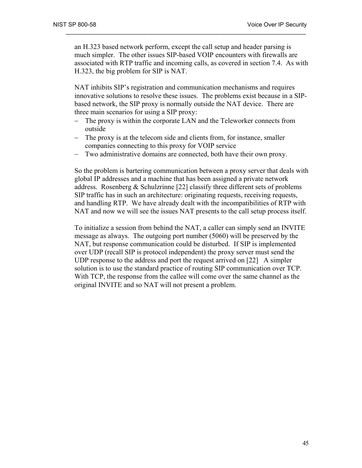an H.323 based network perform, except the call setup and header parsing is much simpler. The other issues SIP-based VOIP encounters with firewalls are associated with RTP traffic and incoming calls, as covered in section [7.4.](#page-62-0) As with H.323, the big problem for SIP is NAT.

 $\_$  . The contribution of the contribution of the contribution of the contribution of the contribution of the contribution of  $\mathcal{L}_\text{max}$ 

NAT inhibits SIP's registration and communication mechanisms and requires innovative solutions to resolve these issues. The problems exist because in a SIPbased network, the SIP proxy is normally outside the NAT device. There are three main scenarios for using a SIP proxy:

- − The proxy is within the corporate LAN and the Teleworker connects from outside
- − The proxy is at the telecom side and clients from, for instance, smaller companies connecting to this proxy for VOIP service
- − Two administrative domains are connected, both have their own proxy.

<span id="page-49-0"></span>So the problem is bartering communication between a proxy server that deals with global IP addresses and a machine that has been assigned a private network address. Rosenberg & Schulzrinne [[22\]](#page-86-2) classify three different sets of problems SIP traffic has in such an architecture: originating requests, receiving requests, and handling RTP. We have already dealt with the incompatibilities of RTP with NAT and now we will see the issues NAT presents to the call setup process itself.

To initialize a session from behind the NAT, a caller can simply send an INVITE message as always. The outgoing port number (5060) will be preserved by the NAT, but response communication could be disturbed. If SIP is implemented over UDP (recall SIP is protocol independent) the proxy server must send the UDP response to the address and port the request arrived on [\[22\]](#page-49-0) A simpler solution is to use the standard practice of routing SIP communication over TCP. With TCP, the response from the callee will come over the same channel as the original INVITE and so NAT will not present a problem.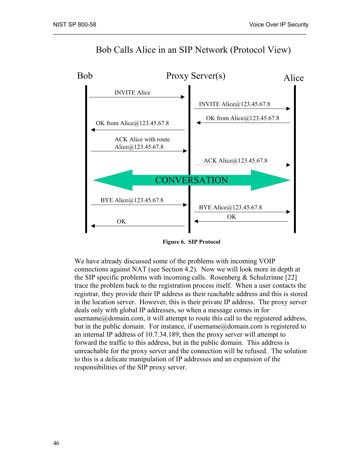

# Bob Calls Alice in an SIP Network (Protocol View)

 $\mathcal{L}_\text{max}$  , and the set of the set of the set of the set of the set of the set of the set of the set of the set of the set of the set of the set of the set of the set of the set of the set of the set of the set of the

<span id="page-50-0"></span>**Figure 6. SIP Protocol**

We have already discussed some of the problems with incoming VOIP connections against NAT (see Section [4.2\)](#page-32-1). Now we will look more in depth at the SIP specific problems with incoming calls. Rosenberg  $& Schulzri (22)$ trace the problem back to the registration process itself. When a user contacts the registrar, they provide their IP address as their reachable address and this is stored in the location server. However, this is their private IP address. The proxy server deals only with global IP addresses, so when a message comes in for username $@$  domain.com, it will attempt to route this call to the registered address, but in the public domain. For instance, if [username@domain.com](mailto:username@domain.com) is registered to an internal IP address of 10.7.34.189, then the proxy server will attempt to forward the traffic to this address, but in the public domain. This address is unreachable for the proxy server and the connection will be refused. The solution to this is a delicate manipulation of IP addresses and an expansion of the responsibilities of the SIP proxy server.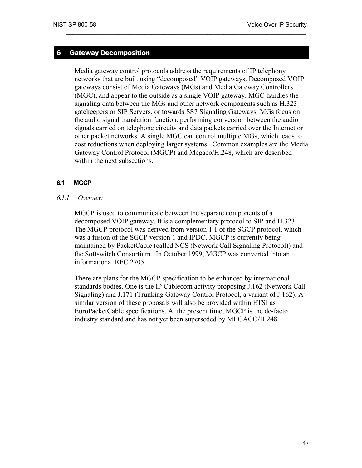# 6 Gateway Decomposition

Media gateway control protocols address the requirements of IP telephony networks that are built using "decomposed" VOIP gateways. Decomposed VOIP gateways consist of Media Gateways (MGs) and Media Gateway Controllers (MGC), and appear to the outside as a single VOIP gateway. MGC handles the signaling data between the MGs and other network components such as H.323 gatekeepers or SIP Servers, or towards SS7 Signaling Gateways. MGs focus on the audio signal translation function, performing conversion between the audio signals carried on telephone circuits and data packets carried over the Internet or other packet networks. A single MGC can control multiple MGs, which leads to cost reductions when deploying larger systems. Common examples are the Media Gateway Control Protocol (MGCP) and Megaco/H.248, which are described within the next subsections.

 $\_$  . The contribution of the contribution of the contribution of the contribution of the contribution of the contribution of  $\mathcal{L}_\text{max}$ 

#### **6.1 MGCP**

#### *6.1.1 Overview*

MGCP is used to communicate between the separate components of a decomposed VOIP gateway. It is a complementary protocol to SIP and H.323. The MGCP protocol was derived from version 1.1 of the SGCP protocol, which was a fusion of the SGCP version 1 and IPDC. MGCP is currently being maintained by PacketCable (called NCS (Network Call Signaling Protocol)) and the Softswitch Consortium. In October 1999, MGCP was converted into an informational RFC 2705.

There are plans for the MGCP specification to be enhanced by international standards bodies. One is the IP Cablecom activity proposing J.162 (Network Call Signaling) and J.171 (Trunking Gateway Control Protocol, a variant of J.162). A similar version of these proposals will also be provided within ETSI as EuroPacketCable specifications. At the present time, MGCP is the de-facto industry standard and has not yet been superseded by MEGACO/H.248.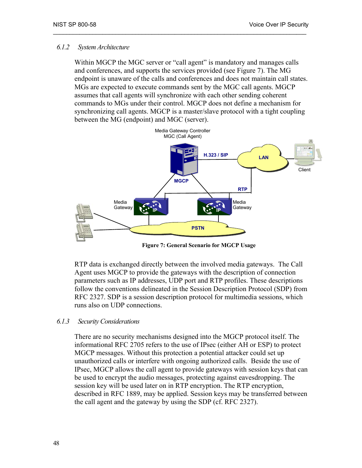#### *6.1.2 System Architecture*

Within MGCP the MGC server or "call agent" is mandatory and manages calls and conferences, and supports the services provided (see Figure 7). The MG endpoint is unaware of the calls and conferences and does not maintain call states. MGs are expected to execute commands sent by the MGC call agents. MGCP assumes that call agents will synchronize with each other sending coherent commands to MGs under their control. MGCP does not define a mechanism for synchronizing call agents. MGCP is a master/slave protocol with a tight coupling between the MG (endpoint) and MGC (server).

 $\mathcal{L}_\text{max}$  , and the set of the set of the set of the set of the set of the set of the set of the set of the set of the set of the set of the set of the set of the set of the set of the set of the set of the set of the



**Figure 7: General Scenario for MGCP Usage** 

RTP data is exchanged directly between the involved media gateways. The Call Agent uses MGCP to provide the gateways with the description of connection parameters such as IP addresses, UDP port and RTP profiles. These descriptions follow the conventions delineated in the Session Description Protocol (SDP) from RFC 2327. SDP is a session description protocol for multimedia sessions, which runs also on UDP connections.

# *6.1.3 Security Considerations*

There are no security mechanisms designed into the MGCP protocol itself. The informational RFC 2705 refers to the use of IPsec (either AH or ESP) to protect MGCP messages. Without this protection a potential attacker could set up unauthorized calls or interfere with ongoing authorized calls. Beside the use of IPsec, MGCP allows the call agent to provide gateways with session keys that can be used to encrypt the audio messages, protecting against eavesdropping. The session key will be used later on in RTP encryption. The RTP encryption, described in RFC 1889, may be applied. Session keys may be transferred between the call agent and the gateway by using the SDP (cf. RFC 2327).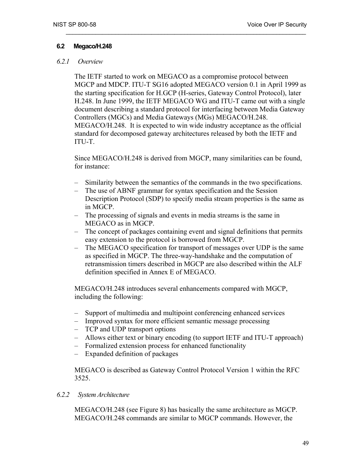#### **6.2 Megaco/H.248**

#### *6.2.1 Overview*

The IETF started to work on MEGACO as a compromise protocol between MGCP and MDCP. ITU-T SG16 adopted MEGACO version 0.1 in April 1999 as the starting specification for H.GCP (H-series, Gateway Control Protocol), later H.248. In June 1999, the IETF MEGACO WG and ITU-T came out with a single document describing a standard protocol for interfacing between Media Gateway Controllers (MGCs) and Media Gateways (MGs) MEGACO/H.248. MEGACO/H.248. It is expected to win wide industry acceptance as the official standard for decomposed gateway architectures released by both the IETF and ITU-T.

 $\_$  . The contribution of the contribution of the contribution of the contribution of the contribution of the contribution of  $\mathcal{L}_\text{max}$ 

Since MEGACO/H.248 is derived from MGCP, many similarities can be found, for instance:

- Similarity between the semantics of the commands in the two specifications.
- The use of ABNF grammar for syntax specification and the Session Description Protocol (SDP) to specify media stream properties is the same as in MGCP.
- The processing of signals and events in media streams is the same in MEGACO as in MGCP.
- The concept of packages containing event and signal definitions that permits easy extension to the protocol is borrowed from MGCP.
- The MEGACO specification for transport of messages over UDP is the same as specified in MGCP. The three-way-handshake and the computation of retransmission timers described in MGCP are also described within the ALF definition specified in Annex E of MEGACO.

MEGACO/H.248 introduces several enhancements compared with MGCP, including the following:

- Support of multimedia and multipoint conferencing enhanced services
- Improved syntax for more efficient semantic message processing
- TCP and UDP transport options
- Allows either text or binary encoding (to support IETF and ITU-T approach)
- Formalized extension process for enhanced functionality
- Expanded definition of packages

MEGACO is described as Gateway Control Protocol Version 1 within the RFC 3525.

# *6.2.2 System Architecture*

MEGACO/H.248 (see Figure 8) has basically the same architecture as MGCP. MEGACO/H.248 commands are similar to MGCP commands. However, the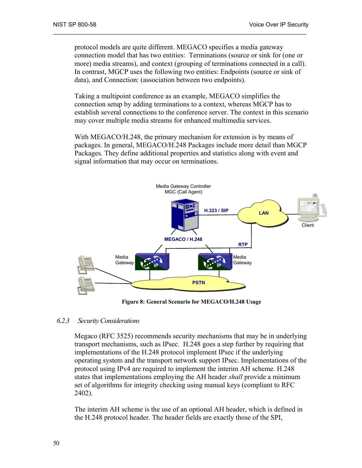protocol models are quite different. MEGACO specifies a media gateway connection model that has two entities: Terminations (source or sink for (one or more) media streams), and context (grouping of terminations connected in a call). In contrast, MGCP uses the following two entities: Endpoints (source or sink of data), and Connection: (association between two endpoints).

 $\mathcal{L}_\text{max}$  , and the set of the set of the set of the set of the set of the set of the set of the set of the set of the set of the set of the set of the set of the set of the set of the set of the set of the set of the

Taking a multipoint conference as an example, MEGACO simplifies the connection setup by adding terminations to a context, whereas MGCP has to establish several connections to the conference server. The context in this scenario may cover multiple media streams for enhanced multimedia services.

With MEGACO/H.248, the primary mechanism for extension is by means of packages. In general, MEGACO/H.248 Packages include more detail than MGCP Packages. They define additional properties and statistics along with event and signal information that may occur on terminations.



**Figure 8: General Scenario for MEGACO/H.248 Usage**

#### *6.2.3 Security Considerations*

Megaco (RFC 3525) recommends security mechanisms that may be in underlying transport mechanisms, such as IPsec. H.248 goes a step further by requiring that implementations of the H.248 protocol implement IPsec if the underlying operating system and the transport network support IPsec. Implementations of the protocol using IPv4 are required to implement the interim AH scheme. H.248 states that implementations employing the AH header *shall* provide a minimum set of algorithms for integrity checking using manual keys (compliant to RFC 2402).

The interim AH scheme is the use of an optional AH header, which is defined in the H.248 protocol header. The header fields are exactly those of the SPI,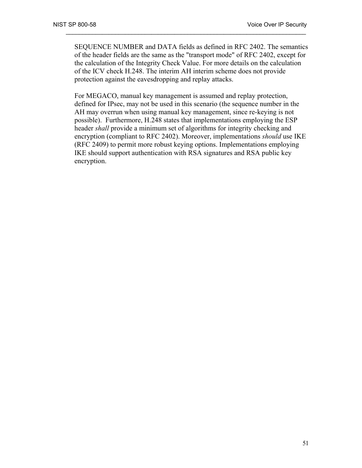SEQUENCE NUMBER and DATA fields as defined in RFC 2402. The semantics of the header fields are the same as the "transport mode" of RFC 2402, except for the calculation of the Integrity Check Value. For more details on the calculation of the ICV check H.248. The interim AH interim scheme does not provide protection against the eavesdropping and replay attacks.

 $\_$  . The contribution of the contribution of the contribution of the contribution of the contribution of the contribution of  $\mathcal{L}_\text{max}$ 

For MEGACO, manual key management is assumed and replay protection, defined for IPsec, may not be used in this scenario (the sequence number in the AH may overrun when using manual key management, since re-keying is not possible). Furthermore, H.248 states that implementations employing the ESP header *shall* provide a minimum set of algorithms for integrity checking and encryption (compliant to RFC 2402). Moreover, implementations *should* use IKE (RFC 2409) to permit more robust keying options. Implementations employing IKE should support authentication with RSA signatures and RSA public key encryption.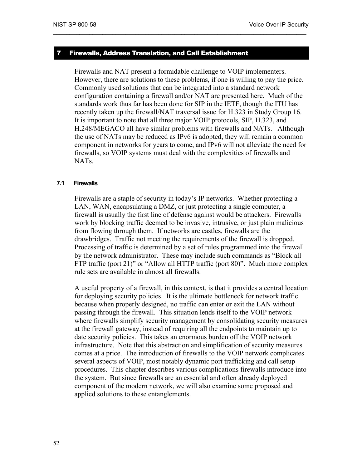# <span id="page-56-0"></span>7 Firewalls, Address Translation, and Call Establishment

Firewalls and NAT present a formidable challenge to VOIP implementers. However, there are solutions to these problems, if one is willing to pay the price. Commonly used solutions that can be integrated into a standard network configuration containing a firewall and/or NAT are presented here. Much of the standards work thus far has been done for SIP in the IETF, though the ITU has recently taken up the firewall/NAT traversal issue for H.323 in Study Group 16. It is important to note that all three major VOIP protocols, SIP, H.323, and H.248/MEGACO all have similar problems with firewalls and NATs. Although the use of NATs may be reduced as IPv6 is adopted, they will remain a common component in networks for years to come, and IPv6 will not alleviate the need for firewalls, so VOIP systems must deal with the complexities of firewalls and NATs.

 $\mathcal{L}_\text{max}$  , and the set of the set of the set of the set of the set of the set of the set of the set of the set of the set of the set of the set of the set of the set of the set of the set of the set of the set of the

#### **7.1 Firewalls**

Firewalls are a staple of security in today's IP networks. Whether protecting a LAN, WAN, encapsulating a DMZ, or just protecting a single computer, a firewall is usually the first line of defense against would be attackers. Firewalls work by blocking traffic deemed to be invasive, intrusive, or just plain malicious from flowing through them. If networks are castles, firewalls are the drawbridges. Traffic not meeting the requirements of the firewall is dropped. Processing of traffic is determined by a set of rules programmed into the firewall by the network administrator. These may include such commands as "Block all FTP traffic (port 21)" or "Allow all HTTP traffic (port 80)". Much more complex rule sets are available in almost all firewalls.

A useful property of a firewall, in this context, is that it provides a central location for deploying security policies. It is the ultimate bottleneck for network traffic because when properly designed, no traffic can enter or exit the LAN without passing through the firewall. This situation lends itself to the VOIP network where firewalls simplify security management by consolidating security measures at the firewall gateway, instead of requiring all the endpoints to maintain up to date security policies. This takes an enormous burden off the VOIP network infrastructure. Note that this abstraction and simplification of security measures comes at a price. The introduction of firewalls to the VOIP network complicates several aspects of VOIP, most notably dynamic port trafficking and call setup procedures. This chapter describes various complications firewalls introduce into the system. But since firewalls are an essential and often already deployed component of the modern network, we will also examine some proposed and applied solutions to these entanglements.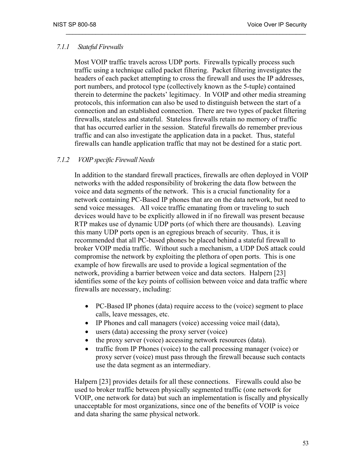# *7.1.1 Stateful Firewalls*

Most VOIP traffic travels across UDP ports. Firewalls typically process such traffic using a technique called packet filtering. Packet filtering investigates the headers of each packet attempting to cross the firewall and uses the IP addresses, port numbers, and protocol type (collectively known as the 5-tuple) contained therein to determine the packets' legitimacy. In VOIP and other media streaming protocols, this information can also be used to distinguish between the start of a connection and an established connection. There are two types of packet filtering firewalls, stateless and stateful. Stateless firewalls retain no memory of traffic that has occurred earlier in the session. Stateful firewalls do remember previous traffic and can also investigate the application data in a packet. Thus, stateful firewalls can handle application traffic that may not be destined for a static port.

 $\_$  . The contribution of the contribution of the contribution of the contribution of the contribution of the contribution of  $\mathcal{L}_\text{max}$ 

# *7.1.2 VOIP specific Firewall Needs*

In addition to the standard firewall practices, firewalls are often deployed in VOIP networks with the added responsibility of brokering the data flow between the voice and data segments of the network. This is a crucial functionality for a network containing PC-Based IP phones that are on the data network, but need to send voice messages. All voice traffic emanating from or traveling to such devices would have to be explicitly allowed in if no firewall was present because RTP makes use of dynamic UDP ports (of which there are thousands). Leaving this many UDP ports open is an egregious breach of security. Thus, it is recommended that all PC-based phones be placed behind a stateful firewall to broker VOIP media traffic. Without such a mechanism, a UDP DoS attack could compromise the network by exploiting the plethora of open ports. This is one example of how firewalls are used to provide a logical segmentation of the network, providing a barrier between voice and data sectors. Halpern [[23\]](#page-86-3) identifies some of the key points of collision between voice and data traffic where firewalls are necessary, including:

- <span id="page-57-0"></span>• PC-Based IP phones (data) require access to the (voice) segment to place calls, leave messages, etc.
- IP Phones and call managers (voice) accessing voice mail (data),
- users (data) accessing the proxy server (voice)
- the proxy server (voice) accessing network resources (data).
- traffic from IP Phones (voice) to the call processing manager (voice) or proxy server (voice) must pass through the firewall because such contacts use the data segment as an intermediary.

Halpern [\[23\]](#page-57-0) provides details for all these connections. Firewalls could also be used to broker traffic between physically segmented traffic (one network for VOIP, one network for data) but such an implementation is fiscally and physically unacceptable for most organizations, since one of the benefits of VOIP is voice and data sharing the same physical network.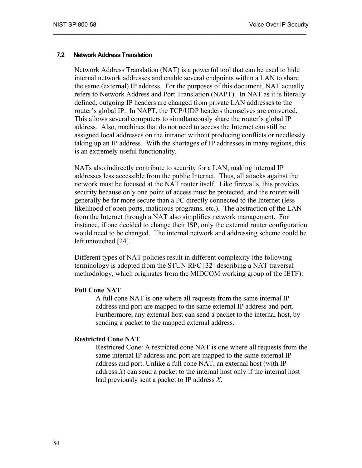#### **7.2 NetworkAddress Translation**

Network Address Translation (NAT) is a powerful tool that can be used to hide internal network addresses and enable several endpoints within a LAN to share the same (external) IP address. For the purposes of this document, NAT actually refers to Network Address and Port Translation (NAPT). In NAT as it is literally defined, outgoing IP headers are changed from private LAN addresses to the router's global IP. In NAPT, the TCP/UDP headers themselves are converted. This allows several computers to simultaneously share the router's global IP address. Also, machines that do not need to access the Internet can still be assigned local addresses on the intranet without producing conflicts or needlessly taking up an IP address. With the shortages of IP addresses in many regions, this is an extremely useful functionality.

 $\mathcal{L}_\text{max}$  , and the set of the set of the set of the set of the set of the set of the set of the set of the set of the set of the set of the set of the set of the set of the set of the set of the set of the set of the

NATs also indirectly contribute to security for a LAN, making internal IP addresses less accessible from the public Internet. Thus, all attacks against the network must be focused at the NAT router itself. Like firewalls, this provides security because only one point of access must be protected, and the router will generally be far more secure than a PC directly connected to the Internet (less likelihood of open ports, malicious programs, etc.). The abstraction of the LAN from the Internet through a NAT also simplifies network management. For instance, if one decided to change their ISP, only the external router configuration would need to be changed. The internal network and addressing scheme could be left untouched [[24\]](#page-86-4).

Different types of NAT policies result in different complexity (the following terminology is adopted from the STUN RFC [32] describing a NAT traversal methodology, which originates from the MIDCOM working group of the IETF):

#### **Full Cone NAT**

A full cone NAT is one where all requests from the same internal IP address and port are mapped to the same external IP address and port. Furthermore, any external host can send a packet to the internal host, by sending a packet to the mapped external address.

#### **Restricted Cone NAT**

Restricted Cone: A restricted cone NAT is one where all requests from the same internal IP address and port are mapped to the same external IP address and port. Unlike a full cone NAT, an external host (with IP address *X*) can send a packet to the internal host only if the internal host had previously sent a packet to IP address *X*.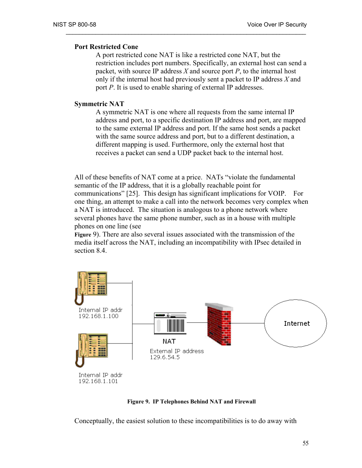# **Port Restricted Cone**

A port restricted cone NAT is like a restricted cone NAT, but the restriction includes port numbers. Specifically, an external host can send a packet, with source IP address *X* and source port *P*, to the internal host only if the internal host had previously sent a packet to IP address *X* and port *P*. It is used to enable sharing of external IP addresses.

 $\_$  . The contribution of the contribution of the contribution of the contribution of the contribution of the contribution of  $\mathcal{L}_\text{max}$ 

# **Symmetric NAT**

A symmetric NAT is one where all requests from the same internal IP address and port, to a specific destination IP address and port, are mapped to the same external IP address and port. If the same host sends a packet with the same source address and port, but to a different destination, a different mapping is used. Furthermore, only the external host that receives a packet can send a UDP packet back to the internal host.

<span id="page-59-1"></span>All of these benefits of NAT come at a price. NATs "violate the fundamental semantic of the IP address, that it is a globally reachable point for communications" [[25\]](#page-86-5). This design has significant implications for VOIP. For one thing, an attempt to make a call into the network becomes very complex when a NAT is introduced. The situation is analogous to a phone network where several phones have the same phone number, such as in a house with multiple phones on one line (see

**[Figure](#page-59-0)** 9). There are also several issues associated with the transmission of the media itself across the NAT, including an incompatibility with IPsec detailed in section [8.4.](#page-69-0)



<span id="page-59-0"></span>**Figure 9. IP Telephones Behind NAT and Firewall** 

Conceptually, the easiest solution to these incompatibilities is to do away with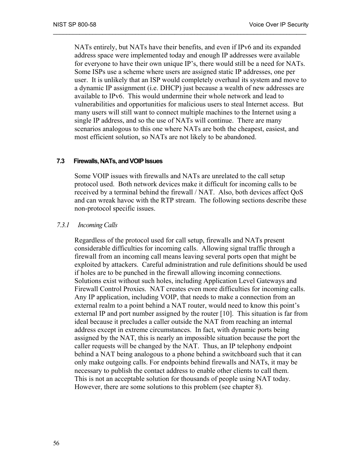NATs entirely, but NATs have their benefits, and even if IPv6 and its expanded address space were implemented today and enough IP addresses were available for everyone to have their own unique IP's, there would still be a need for NATs. Some ISPs use a scheme where users are assigned static IP addresses, one per user. It is unlikely that an ISP would completely overhaul its system and move to a dynamic IP assignment (i.e. DHCP) just because a wealth of new addresses are available to IPv6. This would undermine their whole network and lead to vulnerabilities and opportunities for malicious users to steal Internet access. But many users will still want to connect multiple machines to the Internet using a single IP address, and so the use of NATs will continue. There are many scenarios analogous to this one where NATs are both the cheapest, easiest, and most efficient solution, so NATs are not likely to be abandoned.

 $\mathcal{L}_\text{max}$  , and the set of the set of the set of the set of the set of the set of the set of the set of the set of the set of the set of the set of the set of the set of the set of the set of the set of the set of the

#### **7.3 Firewalls, NATs, and VOIP Issues**

Some VOIP issues with firewalls and NATs are unrelated to the call setup protocol used. Both network devices make it difficult for incoming calls to be received by a terminal behind the firewall / NAT. Also, both devices affect QoS and can wreak havoc with the RTP stream. The following sections describe these non-protocol specific issues.

## *7.3.1 Incoming Calls*

Regardless of the protocol used for call setup, firewalls and NATs present considerable difficulties for incoming calls. Allowing signal traffic through a firewall from an incoming call means leaving several ports open that might be exploited by attackers. Careful administration and rule definitions should be used if holes are to be punched in the firewall allowing incoming connections. Solutions exist without such holes, including Application Level Gateways and Firewall Control Proxies. NAT creates even more difficulties for incoming calls. Any IP application, including VOIP, that needs to make a connection from an external realm to a point behind a NAT router, would need to know this point's external IP and port number assigned by the router [\[10\]](#page-23-0). This situation is far from ideal because it precludes a caller outside the NAT from reaching an internal address except in extreme circumstances. In fact, with dynamic ports being assigned by the NAT, this is nearly an impossible situation because the port the caller requests will be changed by the NAT. Thus, an IP telephony endpoint behind a NAT being analogous to a phone behind a switchboard such that it can only make outgoing calls. For endpoints behind firewalls and NATs, it may be necessary to publish the contact address to enable other clients to call them. This is not an acceptable solution for thousands of people using NAT today. However, there are some solutions to this problem (see chapter [8\)](#page-67-0).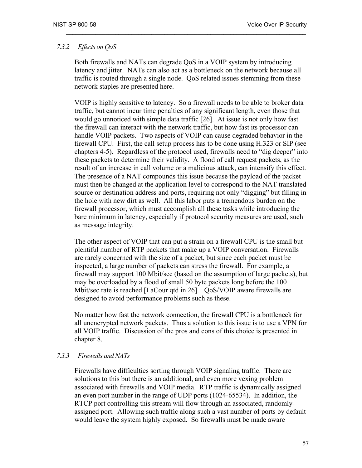# *7.3.2 Effects on QoS*

Both firewalls and NATs can degrade QoS in a VOIP system by introducing latency and jitter. NATs can also act as a bottleneck on the network because all traffic is routed through a single node. QoS related issues stemming from these network staples are presented here.

 $\_$  . The contribution of the contribution of the contribution of the contribution of the contribution of the contribution of  $\mathcal{L}_\text{max}$ 

<span id="page-61-0"></span>VOIP is highly sensitive to latency. So a firewall needs to be able to broker data traffic, but cannot incur time penalties of any significant length, even those that would go unnoticed with simple data traffic [[26\]](#page-86-6). At issue is not only how fast the firewall can interact with the network traffic, but how fast its processor can handle VOIP packets. Two aspects of VOIP can cause degraded behavior in the firewall CPU. First, the call setup process has to be done using H.323 or SIP (see chapters 4-[5\)](#page-43-0). Regardless of the protocol used, firewalls need to "dig deeper" into these packets to determine their validity. A flood of call request packets, as the result of an increase in call volume or a malicious attack, can intensify this effect. The presence of a NAT compounds this issue because the payload of the packet must then be changed at the application level to correspond to the NAT translated source or destination address and ports, requiring not only "digging" but filling in the hole with new dirt as well. All this labor puts a tremendous burden on the firewall processor, which must accomplish all these tasks while introducing the bare minimum in latency, especially if protocol security measures are used, such as message integrity.

The other aspect of VOIP that can put a strain on a firewall CPU is the small but plentiful number of RTP packets that make up a VOIP conversation. Firewalls are rarely concerned with the size of a packet, but since each packet must be inspected, a large number of packets can stress the firewall. For example, a firewall may support 100 Mbit/sec (based on the assumption of large packets), but may be overloaded by a flood of small 50 byte packets long before the 100 Mbit/sec rate is reached [LaCour qtd in [26\]](#page-61-0). QoS/VOIP aware firewalls are designed to avoid performance problems such as these.

No matter how fast the network connection, the firewall CPU is a bottleneck for all unencrypted network packets. Thus a solution to this issue is to use a VPN for all VOIP traffic. Discussion of the pros and cons of this choice is presented in chapter [8.](#page-67-0)

# *7.3.3 Firewalls and NATs*

Firewalls have difficulties sorting through VOIP signaling traffic. There are solutions to this but there is an additional, and even more vexing problem associated with firewalls and VOIP media. RTP traffic is dynamically assigned an even port number in the range of UDP ports (1024-65534). In addition, the RTCP port controlling this stream will flow through an associated, randomlyassigned port. Allowing such traffic along such a vast number of ports by default would leave the system highly exposed. So firewalls must be made aware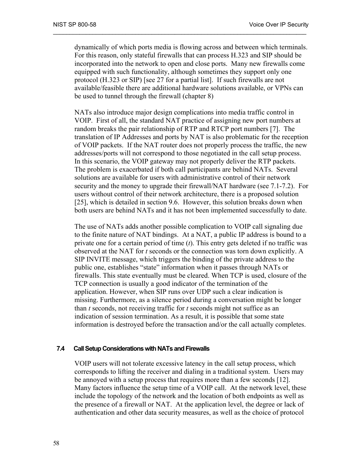dynamically of which ports media is flowing across and between which terminals. For this reason, only stateful firewalls that can process H.323 and SIP should be incorporated into the network to open and close ports. Many new firewalls come equipped with such functionality, although sometimes they support only one protocol (H.323 or SIP) [see [27](#page-86-7) for a partial list]. If such firewalls are not available/feasible there are additional hardware solutions available, or VPNs can be used to tunnel through the firewall (chapter [8\)](#page-67-0)

 $\mathcal{L}_\text{max}$  , and the set of the set of the set of the set of the set of the set of the set of the set of the set of the set of the set of the set of the set of the set of the set of the set of the set of the set of the

NATs also introduce major design complications into media traffic control in VOIP. First of all, the standard NAT practice of assigning new port numbers at random breaks the pair relationship of RTP and RTCP port numbers [[7\]](#page-23-1). The translation of IP Addresses and ports by NAT is also problematic for the reception of VOIP packets. If the NAT router does not properly process the traffic, the new addresses/ports will not correspond to those negotiated in the call setup process. In this scenario, the VOIP gateway may not properly deliver the RTP packets. The problem is exacerbated if both call participants are behind NATs. Several solutions are available for users with administrative control of their network security and the money to upgrade their firewall/NAT hardware (see 7.1-7.2). For users without control of their network architecture, there is a proposed solution [[25\]](#page-59-1), which is detailed in section [9.6.](#page-77-0) However, this solution breaks down when both users are behind NATs and it has not been implemented successfully to date.

The use of NATs adds another possible complication to VOIP call signaling due to the finite nature of NAT bindings. At a NAT, a public IP address is bound to a private one for a certain period of time (*t*). This entry gets deleted if no traffic was observed at the NAT for *t* seconds or the connection was torn down explicitly. A SIP INVITE message, which triggers the binding of the private address to the public one, establishes "state" information when it passes through NATs or firewalls. This state eventually must be cleared. When TCP is used, closure of the TCP connection is usually a good indicator of the termination of the application. However, when SIP runs over UDP such a clear indication is missing. Furthermore, as a silence period during a conversation might be longer than *t* seconds, not receiving traffic for *t* seconds might not suffice as an indication of session termination. As a result, it is possible that some state information is destroyed before the transaction and/or the call actually completes.

### **7.4 CallSetup Considerationswith NATs and Firewalls**

<span id="page-62-0"></span>VOIP users will not tolerate excessive latency in the call setup process, which corresponds to lifting the receiver and dialing in a traditional system. Users may be annoyed with a setup process that requires more than a few seconds [\[12\]](#page-26-0). Many factors influence the setup time of a VOIP call. At the network level, these include the topology of the network and the location of both endpoints as well as the presence of a firewall or NAT. At the application level, the degree or lack of authentication and other data security measures, as well as the choice of protocol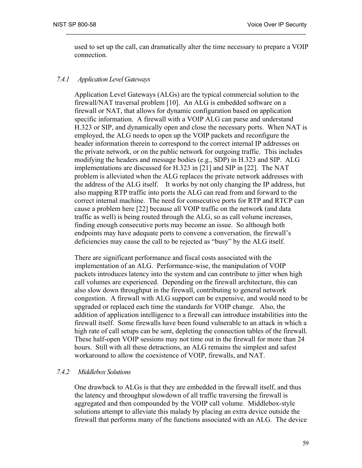used to set up the call, can dramatically alter the time necessary to prepare a VOIP connection.

 $\_$  . The contribution of the contribution of the contribution of the contribution of the contribution of the contribution of  $\mathcal{L}_\text{max}$ 

# *7.4.1 Application Level Gateways*

Application Level Gateways (ALGs) are the typical commercial solution to the firewall/NAT traversal problem [\[10\]](#page-23-0). An ALG is embedded software on a firewall or NAT, that allows for dynamic configuration based on application specific information. A firewall with a VOIP ALG can parse and understand H.323 or SIP, and dynamically open and close the necessary ports. When NAT is employed, the ALG needs to open up the VOIP packets and reconfigure the header information therein to correspond to the correct internal IP addresses on the private network, or on the public network for outgoing traffic. This includes modifying the headers and message bodies (e.g., SDP) in H.323 and SIP. ALG implementations are discussed for H.323 in [\[21\]](#page-41-0) and SIP in [\[22\]](#page-49-0). The NAT problem is alleviated when the ALG replaces the private network addresses with the address of the ALG itself. It works by not only changing the IP address, but also mapping RTP traffic into ports the ALG can read from and forward to the correct internal machine. The need for consecutive ports for RTP and RTCP can cause a problem here [\[22\]](#page-49-0) because all VOIP traffic on the network (and data traffic as well) is being routed through the ALG, so as call volume increases, finding enough consecutive ports may become an issue. So although both endpoints may have adequate ports to convene a conversation, the firewall's deficiencies may cause the call to be rejected as "busy" by the ALG itself.

There are significant performance and fiscal costs associated with the implementation of an ALG. Performance-wise, the manipulation of VOIP packets introduces latency into the system and can contribute to jitter when high call volumes are experienced. Depending on the firewall architecture, this can also slow down throughput in the firewall, contributing to general network congestion. A firewall with ALG support can be expensive, and would need to be upgraded or replaced each time the standards for VOIP change. Also, the addition of application intelligence to a firewall can introduce instabilities into the firewall itself. Some firewalls have been found vulnerable to an attack in which a high rate of call setups can be sent, depleting the connection tables of the firewall. These half-open VOIP sessions may not time out in the firewall for more than 24 hours. Still with all these detractions, an ALG remains the simplest and safest workaround to allow the coexistence of VOIP, firewalls, and NAT.

# *7.4.2 Middlebox Solutions*

One drawback to ALGs is that they are embedded in the firewall itself, and thus the latency and throughput slowdown of all traffic traversing the firewall is aggregated and then compounded by the VOIP call volume. Middlebox-style solutions attempt to alleviate this malady by placing an extra device outside the firewall that performs many of the functions associated with an ALG. The device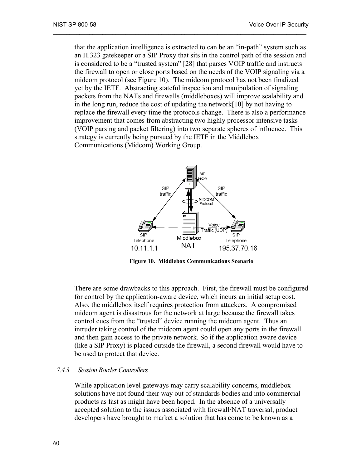that the application intelligence is extracted to can be an "in-path" system such as an H.323 gatekeeper or a SIP Proxy that sits in the control path of the session and is considered to be a "trusted system" [[28\]](#page-86-8) that parses VOIP traffic and instructs the firewall to open or close ports based on the needs of the VOIP signaling via a midcom protocol (see [Figure 1](#page-64-0)0). The midcom protocol has not been finalized yet by the IETF. Abstracting stateful inspection and manipulation of signaling packets from the NATs and firewalls (middleboxes) will improve scalability and in the long run, reduce the cost of updating the network[\[10\]](#page-23-0) by not having to replace the firewall every time the protocols change. There is also a performance improvement that comes from abstracting two highly processor intensive tasks (VOIP parsing and packet filtering) into two separate spheres of influence. This strategy is currently being pursued by the IETF in the Middlebox Communications (Midcom) Working Group.

 $\mathcal{L}_\text{max}$  , and the set of the set of the set of the set of the set of the set of the set of the set of the set of the set of the set of the set of the set of the set of the set of the set of the set of the set of the



<span id="page-64-0"></span>**Figure 10. Middlebox Communications Scenario** 

There are some drawbacks to this approach. First, the firewall must be configured for control by the application-aware device, which incurs an initial setup cost. Also, the middlebox itself requires protection from attackers. A compromised midcom agent is disastrous for the network at large because the firewall takes control cues from the "trusted" device running the midcom agent. Thus an intruder taking control of the midcom agent could open any ports in the firewall and then gain access to the private network. So if the application aware device (like a SIP Proxy) is placed outside the firewall, a second firewall would have to be used to protect that device.

#### *7.4.3 Session Border Controllers*

While application level gateways may carry scalability concerns, middlebox solutions have not found their way out of standards bodies and into commercial products as fast as might have been hoped. In the absence of a universally accepted solution to the issues associated with firewall/NAT traversal, product developers have brought to market a solution that has come to be known as a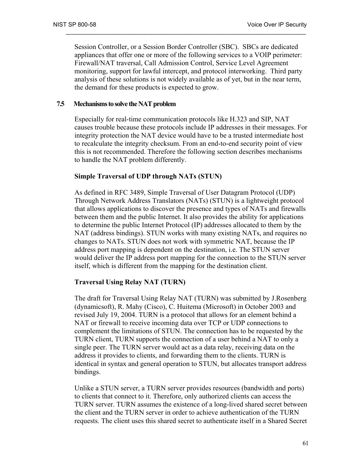Session Controller, or a Session Border Controller (SBC). SBCs are dedicated appliances that offer one or more of the following services to a VOIP perimeter: Firewall/NAT traversal, Call Admission Control, Service Level Agreement monitoring, support for lawful intercept, and protocol interworking. Third party analysis of these solutions is not widely available as of yet, but in the near term, the demand for these products is expected to grow.

 $\_$  . The contribution of the contribution of the contribution of the contribution of the contribution of the contribution of  $\mathcal{L}_\text{max}$ 

# **7.5 Mechanisms to solve the NAT problem**

Especially for real-time communication protocols like H.323 and SIP, NAT causes trouble because these protocols include IP addresses in their messages. For integrity protection the NAT device would have to be a trusted intermediate host to recalculate the integrity checksum. From an end-to-end security point of view this is not recommended. Therefore the following section describes mechanisms to handle the NAT problem differently.

# **Simple Traversal of UDP through NATs (STUN)**

As defined in RFC 3489, Simple Traversal of User Datagram Protocol (UDP) Through Network Address Translators (NATs) (STUN) is a lightweight protocol that allows applications to discover the presence and types of NATs and firewalls between them and the public Internet. It also provides the ability for applications to determine the public Internet Protocol (IP) addresses allocated to them by the NAT (address bindings). STUN works with many existing NATs, and requires no changes to NATs. STUN does not work with symmetric NAT, because the IP address port mapping is dependent on the destination, i.e. The STUN server would deliver the IP address port mapping for the connection to the STUN server itself, which is different from the mapping for the destination client.

# **Traversal Using Relay NAT (TURN)**

The draft for Traversal Using Relay NAT (TURN) was submitted by J.Rosenberg (dynamicsoft), R. Mahy (Cisco), C. Huitema (Microsoft) in October 2003 and revised July 19, 2004. TURN is a protocol that allows for an element behind a NAT or firewall to receive incoming data over TCP or UDP connections to complement the limitations of STUN. The connection has to be requested by the TURN client, TURN supports the connection of a user behind a NAT to only a single peer. The TURN server would act as a data relay, receiving data on the address it provides to clients, and forwarding them to the clients. TURN is identical in syntax and general operation to STUN, but allocates transport address bindings.

Unlike a STUN server, a TURN server provides resources (bandwidth and ports) to clients that connect to it. Therefore, only authorized clients can access the TURN server. TURN assumes the existence of a long-lived shared secret between the client and the TURN server in order to achieve authentication of the TURN requests. The client uses this shared secret to authenticate itself in a Shared Secret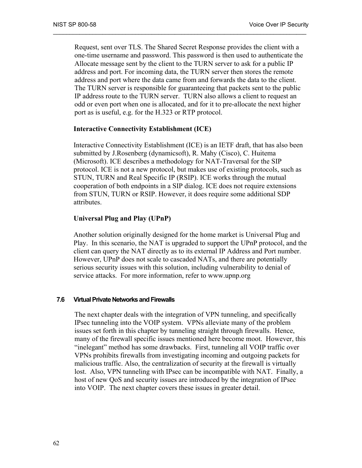Request, sent over TLS. The Shared Secret Response provides the client with a one-time username and password. This password is then used to authenticate the Allocate message sent by the client to the TURN server to ask for a public IP address and port. For incoming data, the TURN server then stores the remote address and port where the data came from and forwards the data to the client. The TURN server is responsible for guaranteeing that packets sent to the public IP address route to the TURN server. TURN also allows a client to request an odd or even port when one is allocated, and for it to pre-allocate the next higher port as is useful, e.g. for the H.323 or RTP protocol.

 $\mathcal{L}_\text{max}$  , and the set of the set of the set of the set of the set of the set of the set of the set of the set of the set of the set of the set of the set of the set of the set of the set of the set of the set of the

#### **Interactive Connectivity Establishment (ICE)**

Interactive Connectivity Establishment (ICE) is an IETF draft, that has also been submitted by J.Rosenberg (dynamicsoft), R. Mahy (Cisco), C. Huitema (Microsoft). ICE describes a methodology for NAT-Traversal for the SIP protocol. ICE is not a new protocol, but makes use of existing protocols, such as STUN, TURN and Real Specific IP (RSIP). ICE works through the mutual cooperation of both endpoints in a SIP dialog. ICE does not require extensions from STUN, TURN or RSIP. However, it does require some additional SDP attributes.

# **Universal Plug and Play (UPnP)**

Another solution originally designed for the home market is Universal Plug and Play. In this scenario, the NAT is upgraded to support the UPnP protocol, and the client can query the NAT directly as to its external IP Address and Port number. However, UPnP does not scale to cascaded NATs, and there are potentially serious security issues with this solution, including vulnerability to denial of service attacks. For more information, refer to www.upnp.org

#### **7.6 Virtual Private Networks and Firewalls**

The next chapter deals with the integration of VPN tunneling, and specifically IPsec tunneling into the VOIP system. VPNs alleviate many of the problem issues set forth in this chapter by tunneling straight through firewalls. Hence, many of the firewall specific issues mentioned here become moot. However, this "inelegant" method has some drawbacks. First, tunneling all VOIP traffic over VPNs prohibits firewalls from investigating incoming and outgoing packets for malicious traffic. Also, the centralization of security at the firewall is virtually lost. Also, VPN tunneling with IPsec can be incompatible with NAT. Finally, a host of new QoS and security issues are introduced by the integration of IPsec into VOIP. The next chapter covers these issues in greater detail.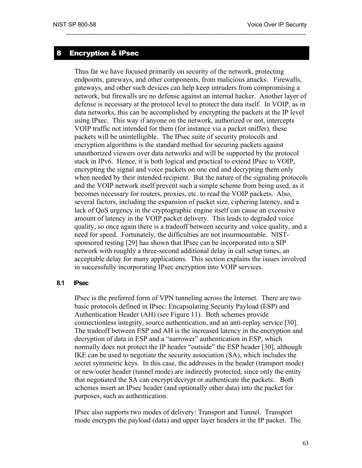# 8 Encryption & IPsec

Thus far we have focused primarily on security of the network, protecting endpoints, gateways, and other components, from malicious attacks. Firewalls, gateways, and other such devices can help keep intruders from compromising a network, but firewalls are no defense against an internal hacker. Another layer of defense is necessary at the protocol level to protect the data itself. In VOIP, as in data networks, this can be accomplished by encrypting the packets at the IP level using IPsec. This way if anyone on the network, authorized or not, intercepts VOIP traffic not intended for them (for instance via a packet sniffer), these packets will be unintelligible. The IPsec suite of security protocols and encryption algorithms is the standard method for securing packets against unauthorized viewers over data networks and will be supported by the protocol stack in IPv6. Hence, it is both logical and practical to extend IPsec to VOIP, encrypting the signal and voice packets on one end and decrypting them only when needed by their intended recipient. But the nature of the signaling protocols and the VOIP network itself prevent such a simple scheme from being used, as it becomes necessary for routers, proxies, etc. to read the VOIP packets. Also, several factors, including the expansion of packet size, ciphering latency, and a lack of QoS urgency in the cryptographic engine itself can cause an excessive amount of latency in the VOIP packet delivery. This leads to degraded voice quality, so once again there is a tradeoff between security and voice quality, and a need for speed. Fortunately, the difficulties are not insurmountable. NISTsponsored testing [[29\]](#page-86-9) has shown that IPsec can be incorporated into a SIP network with roughly a three-second additional delay in call setup times, an acceptable delay for many applications. This section explains the issues involved in successfully incorporating IPsec encryption into VOIP services.

<span id="page-67-0"></span> $\_$  . The contribution of the contribution of the contribution of the contribution of the contribution of the contribution of  $\mathcal{L}_\text{max}$ 

#### **8.1 IPsec**

<span id="page-67-1"></span>IPsec is the preferred form of VPN tunneling across the Internet. There are two basic protocols defined in IPsec: Encapsulating Security Payload (ESP) and Authentication Header (AH) (see [Figure 1](#page-68-0)1). Both schemes provide connectionless integrity, source authentication, and an anti-replay service [\[30\]](#page-86-10). The tradeoff between ESP and AH is the increased latency in the encryption and decryption of data in ESP and a "narrower" authentication in ESP, which normally does not protect the IP header "outside" the ESP header [\[30\]](#page-67-1), although IKE can be used to negotiate the security association (SA), which includes the secret symmetric keys. In this case, the addresses in the header (transport mode) or new/outer header (tunnel mode) are indirectly protected, since only the entity that negotiated the SA can encrypt/decrypt or authenticate the packets.. Both schemes insert an IPsec header (and optionally other data) into the packet for purposes, such as authentication.

IPsec also supports two modes of delivery: Transport and Tunnel. Transport mode encrypts the payload (data) and upper layer headers in the IP packet. The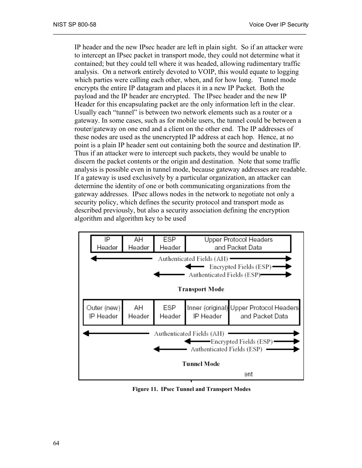IP header and the new IPsec header are left in plain sight. So if an attacker were to intercept an IPsec packet in transport mode, they could not determine what it contained; but they could tell where it was headed, allowing rudimentary traffic analysis. On a network entirely devoted to VOIP, this would equate to logging which parties were calling each other, when, and for how long. Tunnel mode encrypts the entire IP datagram and places it in a new IP Packet. Both the payload and the IP header are encrypted. The IPsec header and the new IP Header for this encapsulating packet are the only information left in the clear. Usually each "tunnel" is between two network elements such as a router or a gateway. In some cases, such as for mobile users, the tunnel could be between a router/gateway on one end and a client on the other end. The IP addresses of these nodes are used as the unencrypted IP address at each hop. Hence, at no point is a plain IP header sent out containing both the source and destination IP. Thus if an attacker were to intercept such packets, they would be unable to discern the packet contents or the origin and destination. Note that some traffic analysis is possible even in tunnel mode, because gateway addresses are readable. If a gateway is used exclusively by a particular organization, an attacker can determine the identity of one or both communicating organizations from the gateway addresses. IPsec allows nodes in the network to negotiate not only a security policy, which defines the security protocol and transport mode as described previously, but also a security association defining the encryption algorithm and algorithm key to be used

 $\mathcal{L}_\text{max}$  , and the set of the set of the set of the set of the set of the set of the set of the set of the set of the set of the set of the set of the set of the set of the set of the set of the set of the set of the



<span id="page-68-0"></span>**Figure 11. IPsec Tunnel and Transport Modes**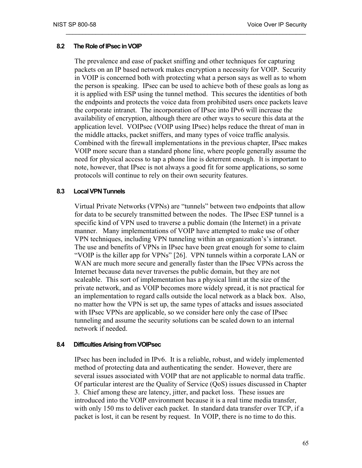## **8.2 The Role of IPsec inVOIP**

The prevalence and ease of packet sniffing and other techniques for capturing packets on an IP based network makes encryption a necessity for VOIP. Security in VOIP is concerned both with protecting what a person says as well as to whom the person is speaking. IPsec can be used to achieve both of these goals as long as it is applied with ESP using the tunnel method. This secures the identities of both the endpoints and protects the voice data from prohibited users once packets leave the corporate intranet. The incorporation of IPsec into IPv6 will increase the availability of encryption, although there are other ways to secure this data at the application level. VOIPsec (VOIP using IPsec) helps reduce the threat of man in the middle attacks, packet sniffers, and many types of voice traffic analysis. Combined with the firewall implementations in the previous chapter, IPsec makes VOIP more secure than a standard phone line, where people generally assume the need for physical access to tap a phone line is deterrent enough. It is important to note, however, that IPsec is not always a good fit for some applications, so some protocols will continue to rely on their own security features.

 $\_$  . The contribution of the contribution of the contribution of the contribution of the contribution of the contribution of  $\mathcal{L}_\text{max}$ 

#### **8.3 LocalVPN Tunnels**

Virtual Private Networks (VPNs) are "tunnels" between two endpoints that allow for data to be securely transmitted between the nodes. The IPsec ESP tunnel is a specific kind of VPN used to traverse a public domain (the Internet) in a private manner. Many implementations of VOIP have attempted to make use of other VPN techniques, including VPN tunneling within an organization's's intranet. The use and benefits of VPNs in IPsec have been great enough for some to claim "VOIP is the killer app for VPNs" [\[26\]](#page-61-0). VPN tunnels within a corporate LAN or WAN are much more secure and generally faster than the IPsec VPNs across the Internet because data never traverses the public domain, but they are not scaleable. This sort of implementation has a physical limit at the size of the private network, and as VOIP becomes more widely spread, it is not practical for an implementation to regard calls outside the local network as a black box. Also, no matter how the VPN is set up, the same types of attacks and issues associated with IPsec VPNs are applicable, so we consider here only the case of IPsec tunneling and assume the security solutions can be scaled down to an internal network if needed.

#### **8.4 Difficulties Arising from VOIPsec**

<span id="page-69-0"></span>IPsec has been included in IPv6. It is a reliable, robust, and widely implemented method of protecting data and authenticating the sender. However, there are several issues associated with VOIP that are not applicable to normal data traffic. Of particular interest are the Quality of Service (QoS) issues discussed in Chapter [3.](#page-23-2) Chief among these are latency, jitter, and packet loss. These issues are introduced into the VOIP environment because it is a real time media transfer, with only 150 ms to deliver each packet. In standard data transfer over TCP, if a packet is lost, it can be resent by request. In VOIP, there is no time to do this.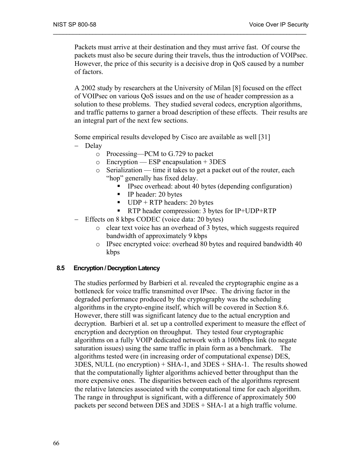Packets must arrive at their destination and they must arrive fast. Of course the packets must also be secure during their travels, thus the introduction of VOIPsec. However, the price of this security is a decisive drop in QoS caused by a number of factors.

 $\mathcal{L}_\text{max}$  , and the set of the set of the set of the set of the set of the set of the set of the set of the set of the set of the set of the set of the set of the set of the set of the set of the set of the set of the

A 2002 study by researchers at the University of Milan [\[8\]](#page-23-3) focused on the effect of VOIPsec on various QoS issues and on the use of header compression as a solution to these problems. They studied several codecs, encryption algorithms, and traffic patterns to garner a broad description of these effects. Their results are an integral part of the next few sections.

Some empirical results developed by Cisco are available as well [[31\]](#page-86-11)

- − Delay
	- o Processing—PCM to G.729 to packet
	- $\circ$  Encryption ESP encapsulation + 3DES
	- o Serialization time it takes to get a packet out of the router, each "hop" generally has fixed delay.
		- IPsec overhead: about 40 bytes (depending configuration)
		- **IP header: 20 bytes**
		- $UDP + RTP$  headers: 20 bytes
		- RTP header compression: 3 bytes for IP+UDP+RTP
- − Effects on 8 kbps CODEC (voice data: 20 bytes)
	- o clear text voice has an overhead of 3 bytes, which suggests required bandwidth of approximately 9 kbps
	- o IPsec encrypted voice: overhead 80 bytes and required bandwidth 40 kbps

# **8.5 Encryption / Decryption Latency**

The studies performed by Barbieri et al. revealed the cryptographic engine as a bottleneck for voice traffic transmitted over IPsec. The driving factor in the degraded performance produced by the cryptography was the scheduling algorithms in the crypto-engine itself, which will be covered in Section [8.6.](#page-71-0) However, there still was significant latency due to the actual encryption and decryption. Barbieri et al. set up a controlled experiment to measure the effect of encryption and decryption on throughput. They tested four cryptographic algorithms on a fully VOIP dedicated network with a 100Mbps link (to negate saturation issues) using the same traffic in plain form as a benchmark. The algorithms tested were (in increasing order of computational expense) DES, 3DES, NULL (no encryption) + SHA-1, and 3DES + SHA-1. The results showed that the computationally lighter algorithms achieved better throughput than the more expensive ones. The disparities between each of the algorithms represent the relative latencies associated with the computational time for each algorithm. The range in throughput is significant, with a difference of approximately 500 packets per second between DES and 3DES + SHA-1 at a high traffic volume.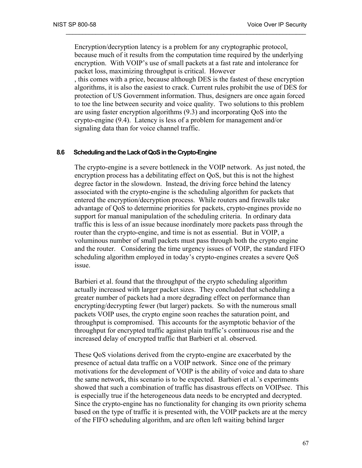Encryption/decryption latency is a problem for any cryptographic protocol, because much of it results from the computation time required by the underlying encryption. With VOIP's use of small packets at a fast rate and intolerance for packet loss, maximizing throughput is critical. However , this comes with a price, because although DES is the fastest of these encryption algorithms, it is also the easiest to crack. Current rules prohibit the use of DES for protection of US Government information. Thus, designers are once again forced to toe the line between security and voice quality. Two solutions to this problem are using faster encryption algorithms (9.3) and incorporating QoS into the crypto-engine (9.4). Latency is less of a problem for management and/or signaling data than for voice channel traffic.

 $\_$  . The contribution of the contribution of the contribution of the contribution of the contribution of the contribution of  $\mathcal{L}_\text{max}$ 

#### **8.6 Scheduling and the Lackof QoS in the Crypto-Engine**

<span id="page-71-0"></span>The crypto-engine is a severe bottleneck in the VOIP network. As just noted, the encryption process has a debilitating effect on QoS, but this is not the highest degree factor in the slowdown. Instead, the driving force behind the latency associated with the crypto-engine is the scheduling algorithm for packets that entered the encryption/decryption process. While routers and firewalls take advantage of QoS to determine priorities for packets, crypto-engines provide no support for manual manipulation of the scheduling criteria. In ordinary data traffic this is less of an issue because inordinately more packets pass through the router than the crypto-engine, and time is not as essential. But in VOIP, a voluminous number of small packets must pass through both the crypto engine and the router. Considering the time urgency issues of VOIP, the standard FIFO scheduling algorithm employed in today's crypto-engines creates a severe QoS issue.

Barbieri et al. found that the throughput of the crypto scheduling algorithm actually increased with larger packet sizes. They concluded that scheduling a greater number of packets had a more degrading effect on performance than encrypting/decrypting fewer (but larger) packets. So with the numerous small packets VOIP uses, the crypto engine soon reaches the saturation point, and throughput is compromised. This accounts for the asymptotic behavior of the throughput for encrypted traffic against plain traffic's continuous rise and the increased delay of encrypted traffic that Barbieri et al. observed.

These QoS violations derived from the crypto-engine are exacerbated by the presence of actual data traffic on a VOIP network. Since one of the primary motivations for the development of VOIP is the ability of voice and data to share the same network, this scenario is to be expected. Barbieri et al.'s experiments showed that such a combination of traffic has disastrous effects on VOIPsec. This is especially true if the heterogeneous data needs to be encrypted and decrypted. Since the crypto-engine has no functionality for changing its own priority schema based on the type of traffic it is presented with, the VOIP packets are at the mercy of the FIFO scheduling algorithm, and are often left waiting behind larger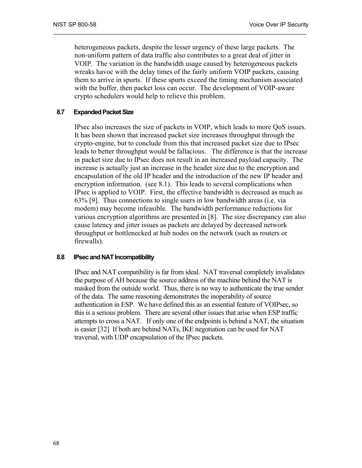heterogeneous packets, despite the lesser urgency of these large packets. The non-uniform pattern of data traffic also contributes to a great deal of jitter in VOIP. The variation in the bandwidth usage caused by heterogeneous packets wreaks havoc with the delay times of the fairly uniform VOIP packets, causing them to arrive in spurts. If these spurts exceed the timing mechanism associated with the buffer, then packet loss can occur. The development of VOIP-aware crypto schedulers would help to relieve this problem.

 $\mathcal{L}_\text{max}$  , and the set of the set of the set of the set of the set of the set of the set of the set of the set of the set of the set of the set of the set of the set of the set of the set of the set of the set of the

### **8.7** Expanded Packet Size

IPsec also increases the size of packets in VOIP, which leads to more QoS issues. It has been shown that increased packet size increases throughput through the crypto-engine, but to conclude from this that increased packet size due to IPsec leads to better throughput would be fallacious. The difference is that the increase in packet size due to IPsec does not result in an increased payload capacity. The increase is actually just an increase in the header size due to the encryption and encapsulation of the old IP header and the introduction of the new IP header and encryption information. (see 8.1). This leads to several complications when IPsec is applied to VOIP. First, the effective bandwidth is decreased as much as 63% [9]. Thus connections to single users in low bandwidth areas (i.e. via modem) may become infeasible. The bandwidth performance reductions for various encryption algorithms are presented in [[8\]](#page-23-0). The size discrepancy can also cause latency and jitter issues as packets are delayed by decreased network throughput or bottlenecked at hub nodes on the network (such as routers or firewalls).

#### **8.8 IPsec and NAT Incompatibility**

<span id="page-72-0"></span>IPsec and NAT compatibility is far from ideal. NAT traversal completely invalidates the purpose of AH because the source address of the machine behind the NAT is masked from the outside world. Thus, there is no way to authenticate the true sender of the data. The same reasoning demonstrates the inoperability of source authentication in ESP. We have defined this as an essential feature of VOIPsec, so this is a serious problem. There are several other issues that arise when ESP traffic attempts to cross a NAT. If only one of the endpoints is behind a NAT, the situation is easier [[32\]](#page-86-0) If both are behind NATs, IKE negotiation can be used for NAT traversal, with UDP encapsulation of the IPsec packets.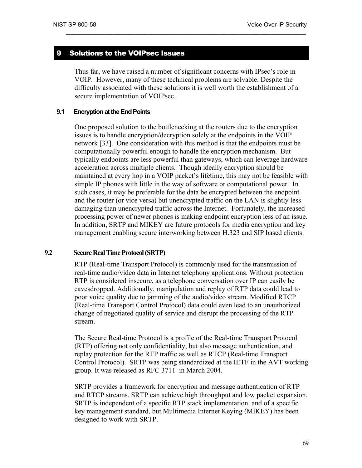## 9 Solutions to the VOIPsec Issues

Thus far, we have raised a number of significant concerns with IPsec's role in VOIP. However, many of these technical problems are solvable. Despite the difficulty associated with these solutions it is well worth the establishment of a secure implementation of VOIPsec.

 $\_$  . The contribution of the contribution of the contribution of the contribution of the contribution of the contribution of  $\mathcal{L}_\text{max}$ 

## **9.1 Encryption at theEnd Points**

One proposed solution to the bottlenecking at the routers due to the encryption issues is to handle encryption/decryption solely at the endpoints in the VOIP network [[33\]](#page-86-1). One consideration with this method is that the endpoints must be computationally powerful enough to handle the encryption mechanism. But typically endpoints are less powerful than gateways, which can leverage hardware acceleration across multiple clients. Though ideally encryption should be maintained at every hop in a VOIP packet's lifetime, this may not be feasible with simple IP phones with little in the way of software or computational power. In such cases, it may be preferable for the data be encrypted between the endpoint and the router (or vice versa) but unencrypted traffic on the LAN is slightly less damaging than unencrypted traffic across the Internet. Fortunately, the increased processing power of newer phones is making endpoint encryption less of an issue. In addition, SRTP and MIKEY are future protocols for media encryption and key management enabling secure interworking between H.323 and SIP based clients.

## **9.2 Secure Real Time Protocol (SRTP)**

RTP (Real-time Transport Protocol) is commonly used for the transmission of real-time audio/video data in Internet telephony applications. Without protection RTP is considered insecure, as a telephone conversation over IP can easily be eavesdropped. Additionally, manipulation and replay of RTP data could lead to poor voice quality due to jamming of the audio/video stream. Modified RTCP (Real-time Transport Control Protocol) data could even lead to an unauthorized change of negotiated quality of service and disrupt the processing of the RTP stream.

The Secure Real-time Protocol is a profile of the Real-time Transport Protocol (RTP) offering not only confidentiality, but also message authentication, and replay protection for the RTP traffic as well as RTCP (Real-time Transport Control Protocol). SRTP was being standardized at the IETF in the AVT working group. It was released as RFC 3711 in March 2004.

SRTP provides a framework for encryption and message authentication of RTP and RTCP streams. SRTP can achieve high throughput and low packet expansion. SRTP is independent of a specific RTP stack implementation and of a specific key management standard, but Multimedia Internet Keying (MIKEY) has been designed to work with SRTP.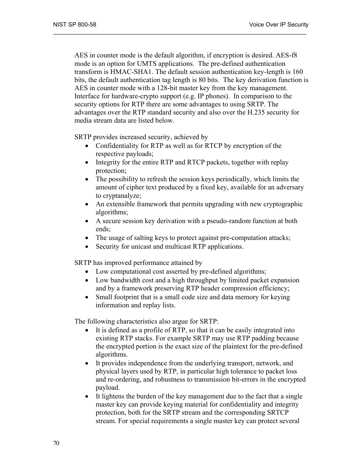AES in counter mode is the default algorithm, if encryption is desired. AES-f8 mode is an option for UMTS applications. The pre-defined authentication transform is HMAC-SHA1. The default session authentication key-length is 160 bits, the default authentication tag length is 80 bits. The key derivation function is AES in counter mode with a 128-bit master key from the key management. Interface for hardware-crypto support (e.g. IP phones). In comparison to the security options for RTP there are some advantages to using SRTP. The advantages over the RTP standard security and also over the H.235 security for media stream data are listed below.

 $\mathcal{L}_\text{max}$  , and the set of the set of the set of the set of the set of the set of the set of the set of the set of the set of the set of the set of the set of the set of the set of the set of the set of the set of the

SRTP provides increased security, achieved by

- Confidentiality for RTP as well as for RTCP by encryption of the respective payloads;
- Integrity for the entire RTP and RTCP packets, together with replay protection;
- The possibility to refresh the session keys periodically, which limits the amount of cipher text produced by a fixed key, available for an adversary to cryptanalyze;
- An extensible framework that permits upgrading with new cryptographic algorithms;
- A secure session key derivation with a pseudo-random function at both ends;
- The usage of salting keys to protect against pre-computation attacks;
- Security for unicast and multicast RTP applications.

SRTP has improved performance attained by

- Low computational cost asserted by pre-defined algorithms;
- Low bandwidth cost and a high throughput by limited packet expansion and by a framework preserving RTP header compression efficiency;
- Small footprint that is a small code size and data memory for keying information and replay lists.

The following characteristics also argue for SRTP:

- It is defined as a profile of RTP, so that it can be easily integrated into existing RTP stacks. For example SRTP may use RTP padding because the encrypted portion is the exact size of the plaintext for the pre-defined algorithms.
- It provides independence from the underlying transport, network, and physical layers used by RTP, in particular high tolerance to packet loss and re-ordering, and robustness to transmission bit-errors in the encrypted payload.
- It lightens the burden of the key management due to the fact that a single master key can provide keying material for confidentiality and integrity protection, both for the SRTP stream and the corresponding SRTCP stream. For special requirements a single master key can protect several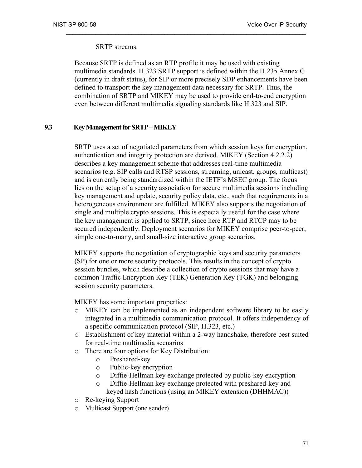SRTP streams.

Because SRTP is defined as an RTP profile it may be used with existing multimedia standards. H.323 SRTP support is defined within the H.235 Annex G (currently in draft status), for SIP or more precisely SDP enhancements have been defined to transport the key management data necessary for SRTP. Thus, the combination of SRTP and MIKEY may be used to provide end-to-end encryption even between different multimedia signaling standards like H.323 and SIP.

 $\_$  . The contribution of the contribution of the contribution of the contribution of the contribution of the contribution of  $\mathcal{L}_\text{max}$ 

## **9.3 Key Management for SRTP – MIKEY**

SRTP uses a set of negotiated parameters from which session keys for encryption, authentication and integrity protection are derived. MIKEY (Section [4.2.2.2\)](#page-37-0) describes a key management scheme that addresses real-time multimedia scenarios (e.g. SIP calls and RTSP sessions, streaming, unicast, groups, multicast) and is currently being standardized within the IETF's MSEC group. The focus lies on the setup of a security association for secure multimedia sessions including key management and update, security policy data, etc., such that requirements in a heterogeneous environment are fulfilled. MIKEY also supports the negotiation of single and multiple crypto sessions. This is especially useful for the case where the key management is applied to SRTP, since here RTP and RTCP may to be secured independently. Deployment scenarios for MIKEY comprise peer-to-peer, simple one-to-many, and small-size interactive group scenarios.

MIKEY supports the negotiation of cryptographic keys and security parameters (SP) for one or more security protocols. This results in the concept of crypto session bundles, which describe a collection of crypto sessions that may have a common Traffic Encryption Key (TEK) Generation Key (TGK) and belonging session security parameters.

MIKEY has some important properties:

- o MIKEY can be implemented as an independent software library to be easily integrated in a multimedia communication protocol. It offers independency of a specific communication protocol (SIP, H.323, etc.)
- o Establishment of key material within a 2-way handshake, therefore best suited for real-time multimedia scenarios
- o There are four options for Key Distribution:
	- o Preshared-key
	- o Public-key encryption
	- o Diffie-Hellman key exchange protected by public-key encryption
	- o Diffie-Hellman key exchange protected with preshared-key and
		- keyed hash functions (using an MIKEY extension (DHHMAC))
- o Re-keying Support
- o Multicast Support (one sender)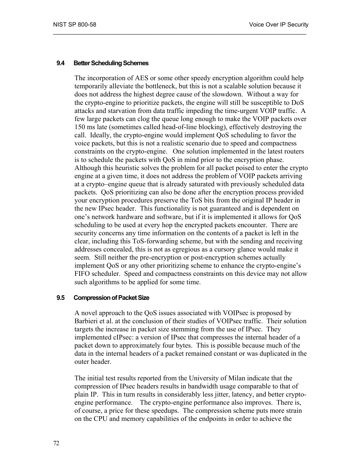#### **9.4 Better Scheduling Schemes**

The incorporation of AES or some other speedy encryption algorithm could help temporarily alleviate the bottleneck, but this is not a scalable solution because it does not address the highest degree cause of the slowdown. Without a way for the crypto-engine to prioritize packets, the engine will still be susceptible to DoS attacks and starvation from data traffic impeding the time-urgent VOIP traffic. A few large packets can clog the queue long enough to make the VOIP packets over 150 ms late (sometimes called head-of-line blocking), effectively destroying the call. Ideally, the crypto-engine would implement QoS scheduling to favor the voice packets, but this is not a realistic scenario due to speed and compactness constraints on the crypto-engine. One solution implemented in the latest routers is to schedule the packets with QoS in mind prior to the encryption phase. Although this heuristic solves the problem for all packet poised to enter the crypto engine at a given time, it does not address the problem of VOIP packets arriving at a crypto–engine queue that is already saturated with previously scheduled data packets. QoS prioritizing can also be done after the encryption process provided your encryption procedures preserve the ToS bits from the original IP header in the new IPsec header. This functionality is not guaranteed and is dependent on one's network hardware and software, but if it is implemented it allows for QoS scheduling to be used at every hop the encrypted packets encounter. There are security concerns any time information on the contents of a packet is left in the clear, including this ToS-forwarding scheme, but with the sending and receiving addresses concealed, this is not as egregious as a cursory glance would make it seem. Still neither the pre-encryption or post-encryption schemes actually implement QoS or any other prioritizing scheme to enhance the crypto-engine's FIFO scheduler. Speed and compactness constraints on this device may not allow such algorithms to be applied for some time.

 $\mathcal{L}_\text{max}$  , and the set of the set of the set of the set of the set of the set of the set of the set of the set of the set of the set of the set of the set of the set of the set of the set of the set of the set of the

#### **9.5 Compression of Packet Size**

A novel approach to the QoS issues associated with VOIPsec is proposed by Barbieri et al. at the conclusion of their studies of VOIPsec traffic. Their solution targets the increase in packet size stemming from the use of IPsec. They implemented cIPsec: a version of IPsec that compresses the internal header of a packet down to approximately four bytes. This is possible because much of the data in the internal headers of a packet remained constant or was duplicated in the outer header.

The initial test results reported from the University of Milan indicate that the compression of IPsec headers results in bandwidth usage comparable to that of plain IP. This in turn results in considerably less jitter, latency, and better cryptoengine performance. The crypto-engine performance also improves. There is, of course, a price for these speedups. The compression scheme puts more strain on the CPU and memory capabilities of the endpoints in order to achieve the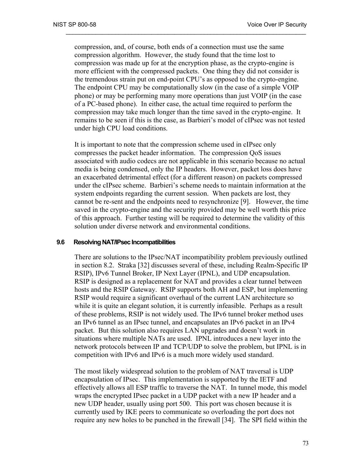compression, and, of course, both ends of a connection must use the same compression algorithm. However, the study found that the time lost to compression was made up for at the encryption phase, as the crypto-engine is more efficient with the compressed packets. One thing they did not consider is the tremendous strain put on end-point CPU's as opposed to the crypto-engine. The endpoint CPU may be computationally slow (in the case of a simple VOIP phone) or may be performing many more operations than just VOIP (in the case of a PC-based phone). In either case, the actual time required to perform the compression may take much longer than the time saved in the crypto-engine. It remains to be seen if this is the case, as Barbieri's model of cIPsec was not tested under high CPU load conditions.

 $\_$  . The contribution of the contribution of the contribution of the contribution of the contribution of the contribution of  $\mathcal{L}_\text{max}$ 

It is important to note that the compression scheme used in cIPsec only compresses the packet header information. The compression QoS issues associated with audio codecs are not applicable in this scenario because no actual media is being condensed, only the IP headers. However, packet loss does have an exacerbated detrimental effect (for a different reason) on packets compressed under the cIPsec scheme. Barbieri's scheme needs to maintain information at the system endpoints regarding the current session. When packets are lost, they cannot be re-sent and the endpoints need to resynchronize [9]. However, the time saved in the crypto-engine and the security provided may be well worth this price of this approach. Further testing will be required to determine the validity of this solution under diverse network and environmental conditions.

#### **9.6 Resolving NAT/IPsec Incompatibilities**

There are solutions to the IPsec/NAT incompatibility problem previously outlined in section [8.2.](#page-69-0) Straka [\[32\]](#page-72-0) discusses several of these, including Realm-Specific IP RSIP), IPv6 Tunnel Broker, IP Next Layer (IPNL), and UDP encapsulation. RSIP is designed as a replacement for NAT and provides a clear tunnel between hosts and the RSIP Gateway. RSIP supports both AH and ESP, but implementing RSIP would require a significant overhaul of the current LAN architecture so while it is quite an elegant solution, it is currently infeasible. Perhaps as a result of these problems, RSIP is not widely used. The IPv6 tunnel broker method uses an IPv6 tunnel as an IPsec tunnel, and encapsulates an IPv6 packet in an IPv4 packet. But this solution also requires LAN upgrades and doesn't work in situations where multiple NATs are used. IPNL introduces a new layer into the network protocols between IP and TCP/UDP to solve the problem, but IPNL is in competition with IPv6 and IPv6 is a much more widely used standard.

The most likely widespread solution to the problem of NAT traversal is UDP encapsulation of IPsec. This implementation is supported by the IETF and effectively allows all ESP traffic to traverse the NAT. In tunnel mode, this model wraps the encrypted IPsec packet in a UDP packet with a new IP header and a new UDP header, usually using port 500. This port was chosen because it is currently used by IKE peers to communicate so overloading the port does not require any new holes to be punched in the firewall [[34\]](#page-86-2). The SPI field within the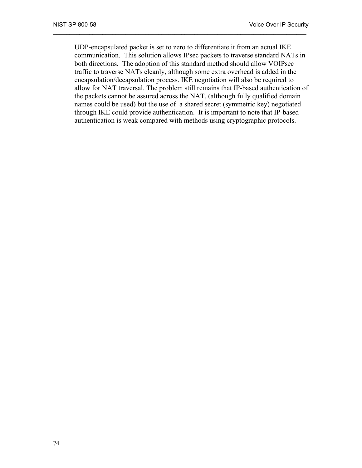UDP-encapsulated packet is set to zero to differentiate it from an actual IKE communication. This solution allows IPsec packets to traverse standard NATs in both directions. The adoption of this standard method should allow VOIPsec traffic to traverse NATs cleanly, although some extra overhead is added in the encapsulation/decapsulation process. IKE negotiation will also be required to allow for NAT traversal. The problem still remains that IP-based authentication of the packets cannot be assured across the NAT, (although fully qualified domain names could be used) but the use of a shared secret (symmetric key) negotiated through IKE could provide authentication. It is important to note that IP-based authentication is weak compared with methods using cryptographic protocols.

 $\mathcal{L}_\text{max}$  , and the set of the set of the set of the set of the set of the set of the set of the set of the set of the set of the set of the set of the set of the set of the set of the set of the set of the set of the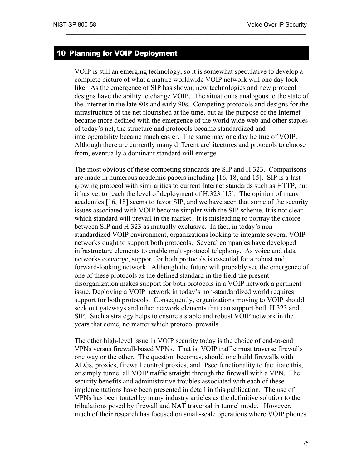## 10 Planning for VOIP Deployment

VOIP is still an emerging technology, so it is somewhat speculative to develop a complete picture of what a mature worldwide VOIP network will one day look like. As the emergence of SIP has shown, new technologies and new protocol designs have the ability to change VOIP. The situation is analogous to the state of the Internet in the late 80s and early 90s. Competing protocols and designs for the infrastructure of the net flourished at the time, but as the purpose of the Internet became more defined with the emergence of the world wide web and other staples of today's net, the structure and protocols became standardized and interoperability became much easier. The same may one day be true of VOIP. Although there are currently many different architectures and protocols to choose from, eventually a dominant standard will emerge.

 $\_$  . The contribution of the contribution of the contribution of the contribution of the contribution of the contribution of  $\mathcal{L}_\text{max}$ 

The most obvious of these competing standards are SIP and H.323. Comparisons are made in numerous academic papers including [\[16,](#page-30-0) [18,](#page-32-0) and [15\]](#page-30-1). SIP is a fast growing protocol with similarities to current Internet standards such as HTTP, but it has yet to reach the level of deployment of H.323 [[15\]](#page-30-1). The opinion of many academics [\[16,](#page-30-0) [18\]](#page-32-0) seems to favor SIP, and we have seen that some of the security issues associated with VOIP become simpler with the SIP scheme. It is not clear which standard will prevail in the market. It is misleading to portray the choice between SIP and H.323 as mutually exclusive. In fact, in today's nonstandardized VOIP environment, organizations looking to integrate several VOIP networks ought to support both protocols. Several companies have developed infrastructure elements to enable multi-protocol telephony. As voice and data networks converge, support for both protocols is essential for a robust and forward-looking network. Although the future will probably see the emergence of one of these protocols as the defined standard in the field the present disorganization makes support for both protocols in a VOIP network a pertinent issue. Deploying a VOIP network in today's non-standardized world requires support for both protocols. Consequently, organizations moving to VOIP should seek out gateways and other network elements that can support both H.323 and SIP. Such a strategy helps to ensure a stable and robust VOIP network in the years that come, no matter which protocol prevails.

The other high-level issue in VOIP security today is the choice of end-to-end VPNs versus firewall-based VPNs. That is, VOIP traffic must traverse firewalls one way or the other. The question becomes, should one build firewalls with ALGs, proxies, firewall control proxies, and IPsec functionality to facilitate this, or simply tunnel all VOIP traffic straight through the firewall with a VPN. The security benefits and administrative troubles associated with each of these implementations have been presented in detail in this publication. The use of VPNs has been touted by many industry articles as the definitive solution to the tribulations posed by firewall and NAT traversal in tunnel mode. However, much of their research has focused on small-scale operations where VOIP phones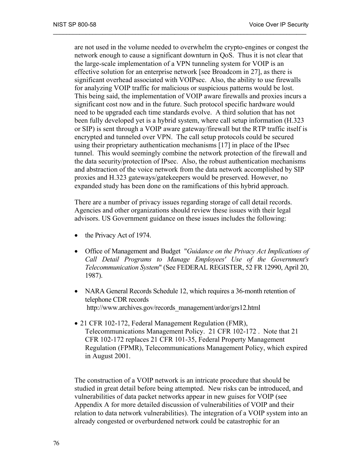are not used in the volume needed to overwhelm the crypto-engines or congest the network enough to cause a significant downturn in QoS. Thus it is not clear that the large-scale implementation of a VPN tunneling system for VOIP is an effective solution for an enterprise network [see Broadcom in [27\]](#page-62-0), as there is significant overhead associated with VOIPsec. Also, the ability to use firewalls for analyzing VOIP traffic for malicious or suspicious patterns would be lost. This being said, the implementation of VOIP aware firewalls and proxies incurs a significant cost now and in the future. Such protocol specific hardware would need to be upgraded each time standards evolve. A third solution that has not been fully developed yet is a hybrid system, where call setup information (H.323 or SIP) is sent through a VOIP aware gateway/firewall but the RTP traffic itself is encrypted and tunneled over VPN. The call setup protocols could be secured using their proprietary authentication mechanisms [\[17\]](#page-30-2) in place of the IPsec tunnel. This would seemingly combine the network protection of the firewall and the data security/protection of IPsec. Also, the robust authentication mechanisms and abstraction of the voice network from the data network accomplished by SIP proxies and H.323 gateways/gatekeepers would be preserved. However, no expanded study has been done on the ramifications of this hybrid approach.

 $\mathcal{L}_\text{max}$  , and the set of the set of the set of the set of the set of the set of the set of the set of the set of the set of the set of the set of the set of the set of the set of the set of the set of the set of the

There are a number of privacy issues regarding storage of call detail records. Agencies and other organizations should review these issues with their legal advisors. US Government guidance on these issues includes the following:

- the Privacy Act of 1974.
- Office of Management and Budget "*Guidance on the Privacy Act Implications of Call Detail Programs to Manage Employees' Use of the Government's Telecommunication System*" (See FEDERAL REGISTER, 52 FR 12990, April 20, 1987).
- NARA General Records Schedule 12, which requires a 36-month retention of telephone CDR records [http://www.archives.gov/records\\_management/ardor/grs12.html](http://www.archives.gov/records_management/ardor/grs12.html)
- 21 CFR 102-172, Federal Management Regulation (FMR), Telecommunications Management Policy. 21 CFR 102-172 . Note that 21 CFR 102-172 replaces 21 CFR 101-35, Federal Property Management Regulation (FPMR), Telecommunications Management Policy, which expired in August 2001.

The construction of a VOIP network is an intricate procedure that should be studied in great detail before being attempted. New risks can be introduced, and vulnerabilities of data packet networks appear in new guises for VOIP (see Appendix A for more detailed discussion of vulnerabilities of VOIP and their relation to data network vulnerabilities). The integration of a VOIP system into an already congested or overburdened network could be catastrophic for an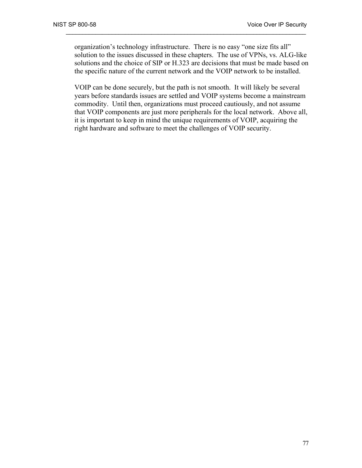organization's technology infrastructure. There is no easy "one size fits all" solution to the issues discussed in these chapters. The use of VPNs, vs. ALG-like solutions and the choice of SIP or H.323 are decisions that must be made based on the specific nature of the current network and the VOIP network to be installed.

 $\_$  . The contribution of the contribution of the contribution of the contribution of the contribution of the contribution of  $\mathcal{L}_\text{max}$ 

VOIP can be done securely, but the path is not smooth. It will likely be several years before standards issues are settled and VOIP systems become a mainstream commodity. Until then, organizations must proceed cautiously, and not assume that VOIP components are just more peripherals for the local network. Above all, it is important to keep in mind the unique requirements of VOIP, acquiring the right hardware and software to meet the challenges of VOIP security.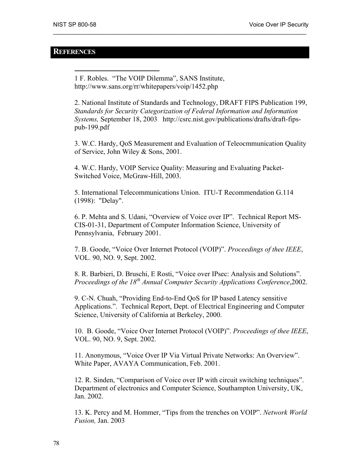### **REFERENCES**

 $\overline{a}$ 

1 F. Robles. "The VOIP Dilemma", SANS Institute, <http://www.sans.org/rr/whitepapers/voip/1452.php>

2. National Institute of Standards and Technology, DRAFT FIPS Publication 199, *Standards for Security Categorization of Federal Information and Information Systems,* September 18, 2003 http://csrc.nist.gov/publications/drafts/draft-fipspub-199.pdf

 $\mathcal{L}_\text{max}$  , and the set of the set of the set of the set of the set of the set of the set of the set of the set of the set of the set of the set of the set of the set of the set of the set of the set of the set of the

3. W.C. Hardy, QoS Measurement and Evaluation of Teleocmmunication Quality of Service, John Wiley & Sons, 2001.

4. W.C. Hardy, VOIP Service Quality: Measuring and Evaluating Packet-Switched Voice, McGraw-Hill, 2003.

5. International Telecommunications Union. ITU-T Recommendation G.114 (1998): "Delay".

6. P. Mehta and S. Udani, "Overview of Voice over IP". Technical Report MS-CIS-01-31, Department of Computer Information Science, University of Pennsylvania, February 2001.

7. B. Goode, "Voice Over Internet Protocol (VOIP)". *Proceedings of thee IEEE*, VOL. 90, NO. 9, Sept. 2002.

8. R. Barbieri, D. Bruschi, E Rosti, "Voice over IPsec: Analysis and Solutions". *Proceedings of the 18th Annual Computer Security Applications Conference*,2002.

9. C-N. Chuah, "Providing End-to-End QoS for IP based Latency sensitive Applications.". Technical Report, Dept. of Electrical Engineering and Computer Science, University of California at Berkeley, 2000.

10. B. Goode, "Voice Over Internet Protocol (VOIP)". *Proceedings of thee IEEE*, VOL. 90, NO. 9, Sept. 2002.

11. Anonymous, "Voice Over IP Via Virtual Private Networks: An Overview". White Paper, AVAYA Communication, Feb. 2001.

12. R. Sinden, "Comparison of Voice over IP with circuit switching techniques". Department of electronics and Computer Science, Southampton University, UK, Jan. 2002.

13. K. Percy and M. Hommer, "Tips from the trenches on VOIP". *Network World Fusion,* Jan. 2003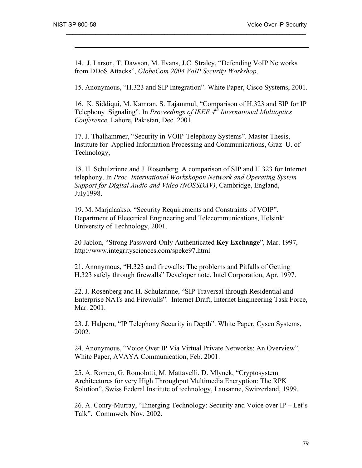$\overline{a}$ 

14. J. Larson, T. Dawson, M. Evans, J.C. Straley, "Defending VoIP Networks from DDoS Attacks", *GlobeCom 2004 VoIP Security Workshop*.

 $\_$  . The contribution of the contribution of the contribution of the contribution of the contribution of the contribution of  $\mathcal{L}_\text{max}$ 

15. Anonymous, "H.323 and SIP Integration". White Paper, Cisco Systems, 2001.

16. K. Siddiqui, M. Kamran, S. Tajammul, "Comparison of H.323 and SIP for IP Telephony Signaling". In *Proceedings of IEEE 4th International Multioptics Conference,* Lahore, Pakistan, Dec. 2001.

17. J. Thalhammer, "Security in VOIP-Telephony Systems". Master Thesis, Institute for Applied Information Processing and Communications, Graz U. of Technology,

18. H. Schulzrinne and J. Rosenberg. A comparison of SIP and H.323 for Internet telephony. In *Proc. International Workshopon Network and Operating System Support for Digital Audio and Video (NOSSDAV)*, Cambridge, England, July1998.

19. M. Marjalaakso, "Security Requirements and Constraints of VOIP". Department of Eleectrical Engineering and Telecommunications, Helsinki University of Technology, 2001.

20 Jablon, "Strong Password-Only Authenticated **Key Exchange**", Mar. 1997, <http://www.integritysciences.com/speke97.html>

21. Anonymous, "H.323 and firewalls: The problems and Pitfalls of Getting H.323 safely through firewalls" Developer note, Intel Corporation, Apr. 1997.

22. J. Rosenberg and H. Schulzrinne, "SIP Traversal through Residential and Enterprise NATs and Firewalls". Internet Draft, Internet Engineering Task Force, Mar. 2001.

23. J. Halpern, "IP Telephony Security in Depth". White Paper, Cysco Systems, 2002.

24. Anonymous, "Voice Over IP Via Virtual Private Networks: An Overview". White Paper, AVAYA Communication, Feb. 2001.

25. A. Romeo, G. Romolotti, M. Mattavelli, D. Mlynek, "Cryptosystem Architectures for very High Throughput Multimedia Encryption: The RPK Solution", Swiss Federal Institute of technology, Lausanne, Switzerland, 1999.

26. A. Conry-Murray, "Emerging Technology: Security and Voice over IP – Let's Talk". Commweb, Nov. 2002.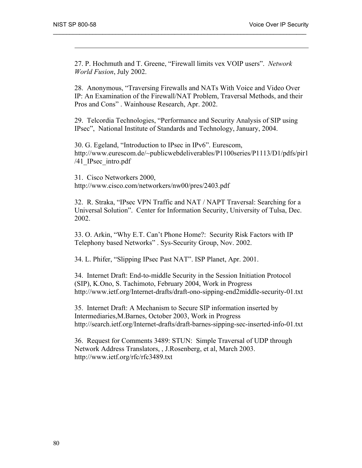$\overline{a}$ 

27. P. Hochmuth and T. Greene, "Firewall limits vex VOIP users". *Network World Fusion*, July 2002.

 $\mathcal{L}_\text{max}$  , and the set of the set of the set of the set of the set of the set of the set of the set of the set of the set of the set of the set of the set of the set of the set of the set of the set of the set of the

28. Anonymous, "Traversing Firewalls and NATs With Voice and Video Over IP: An Examination of the Firewall/NAT Problem, Traversal Methods, and their Pros and Cons" . Wainhouse Research, Apr. 2002.

29. Telcordia Technologies, "Performance and Security Analysis of SIP using IPsec", National Institute of Standards and Technology, January, 2004.

30. G. Egeland, "Introduction to IPsec in IPv6". Eurescom, [http://www.eurescom.de/~publicwebdeliverables/P1100series/P1113/D1/pdfs/pir1](http://www.eurescom.de/~publicwebdeliverables/P1100series/P1113/D1/pdfs/pir41/41_ipsec_intro.pdf) /41 IPsec intro.pdf

31. Cisco Networkers 2000, <http://www.cisco.com/networkers/nw00/pres/2403.pdf>

32. R. Straka, "IPsec VPN Traffic and NAT / NAPT Traversal: Searching for a Universal Solution". Center for Information Security, University of Tulsa, Dec. 2002.

33. O. Arkin, "Why E.T. Can't Phone Home?: Security Risk Factors with IP Telephony based Networks" . Sys-Security Group, Nov. 2002.

34. L. Phifer, "Slipping IPsec Past NAT". ISP Planet, Apr. 2001.

34. Internet Draft: End-to-middle Security in the Session Initiation Protocol (SIP), K.Ono, S. Tachimoto, February 2004, Work in Progress [http://www.ietf.org/Internet-drafts/draft-ono-sipping-end2middle-security-01.txt](http://www.ietf.org/internet-drafts/draft-ono-sipping-end2middle-security-01.txt)

35. Internet Draft: A Mechanism to Secure SIP information inserted by Intermediaries,M.Barnes, October 2003, Work in Progress [http://search.ietf.org/Internet-drafts/draft-barnes-sipping-sec-inserted-info-01.txt](http://search.ietf.org/internet-drafts/draft-barnes-sipping-sec-inserted-info-01.txt)

36. Request for Comments 3489: STUN: Simple Traversal of UDP through Network Address Translators, , J.Rosenberg, et al, March 2003. http://www.ietf.org/rfc/rfc3489.txt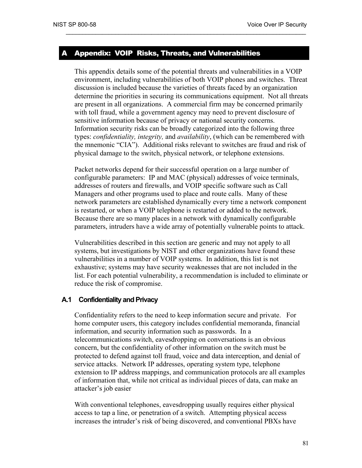# Appendix: VOIP Risks, Threats, and Vulnerabilities

This appendix details some of the potential threats and vulnerabilities in a VOIP environment, including vulnerabilities of both VOIP phones and switches. Threat discussion is included because the varieties of threats faced by an organization determine the priorities in securing its communications equipment. Not all threats are present in all organizations. A commercial firm may be concerned primarily with toll fraud, while a government agency may need to prevent disclosure of sensitive information because of privacy or national security concerns. Information security risks can be broadly categorized into the following three types: *confidentiality, integrity,* and *availability*, (which can be remembered with the mnemonic "CIA"). Additional risks relevant to switches are fraud and risk of physical damage to the switch, physical network, or telephone extensions.

 $\_$  . The contribution of the contribution of the contribution of the contribution of the contribution of the contribution of  $\mathcal{L}_\text{max}$ 

<span id="page-86-1"></span>Packet networks depend for their successful operation on a large number of configurable parameters: IP and MAC (physical) addresses of voice terminals, addresses of routers and firewalls, and VOIP specific software such as Call Managers and other programs used to place and route calls. Many of these network parameters are established dynamically every time a network component is restarted, or when a VOIP telephone is restarted or added to the network. Because there are so many places in a network with dynamically configurable parameters, intruders have a wide array of potentially vulnerable points to attack.

Vulnerabilities described in this section are generic and may not apply to all systems, but investigations by NIST and other organizations have found these vulnerabilities in a number of VOIP systems. In addition, this list is not exhaustive; systems may have security weaknesses that are not included in the list. For each potential vulnerability, a recommendation is included to eliminate or reduce the risk of compromise.

## <span id="page-86-0"></span>**A.1 Confidentiality and Privacy**

Confidentiality refers to the need to keep information secure and private. For home computer users, this category includes confidential memoranda, financial information, and security information such as passwords. In a telecommunications switch, eavesdropping on conversations is an obvious concern, but the confidentiality of other information on the switch must be protected to defend against toll fraud, voice and data interception, and denial of service attacks. Network IP addresses, operating system type, telephone extension to IP address mappings, and communication protocols are all examples of information that, while not critical as individual pieces of data, can make an attacker's job easier

<span id="page-86-2"></span>With conventional telephones, eavesdropping usually requires either physical access to tap a line, or penetration of a switch. Attempting physical access increases the intruder's risk of being discovered, and conventional PBXs have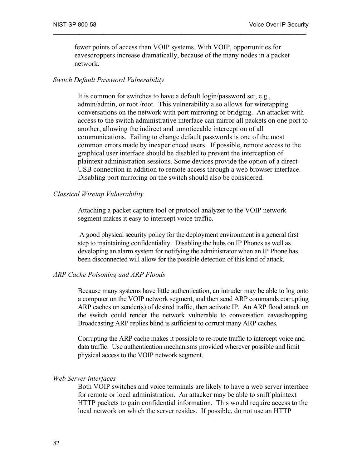fewer points of access than VOIP systems. With VOIP, opportunities for eavesdroppers increase dramatically, because of the many nodes in a packet network.

 $\mathcal{L}_\text{max}$  , and the set of the set of the set of the set of the set of the set of the set of the set of the set of the set of the set of the set of the set of the set of the set of the set of the set of the set of the

### *Switch Default Password Vulnerability*

It is common for switches to have a default login/password set, e.g., admin/admin, or root /root. This vulnerability also allows for wiretapping conversations on the network with port mirroring or bridging. An attacker with access to the switch administrative interface can mirror all packets on one port to another, allowing the indirect and unnoticeable interception of all communications. Failing to change default passwords is one of the most common errors made by inexperienced users. If possible, remote access to the graphical user interface should be disabled to prevent the interception of plaintext administration sessions. Some devices provide the option of a direct USB connection in addition to remote access through a web browser interface. Disabling port mirroring on the switch should also be considered.

#### *Classical Wiretap Vulnerability*

Attaching a packet capture tool or protocol analyzer to the VOIP network segment makes it easy to intercept voice traffic.

 A good physical security policy for the deployment environment is a general first step to maintaining confidentiality. Disabling the hubs on IP Phones as well as developing an alarm system for notifying the administrator when an IP Phone has been disconnected will allow for the possible detection of this kind of attack.

#### *ARP Cache Poisoning and ARP Floods*

Because many systems have little authentication, an intruder may be able to log onto a computer on the VOIP network segment, and then send ARP commands corrupting ARP caches on sender(s) of desired traffic, then activate IP. An ARP flood attack on the switch could render the network vulnerable to conversation eavesdropping. Broadcasting ARP replies blind is sufficient to corrupt many ARP caches.

Corrupting the ARP cache makes it possible to re-route traffic to intercept voice and data traffic. Use authentication mechanisms provided wherever possible and limit physical access to the VOIP network segment.

#### *Web Server interfaces*

Both VOIP switches and voice terminals are likely to have a web server interface for remote or local administration. An attacker may be able to sniff plaintext HTTP packets to gain confidential information. This would require access to the local network on which the server resides. If possible, do not use an HTTP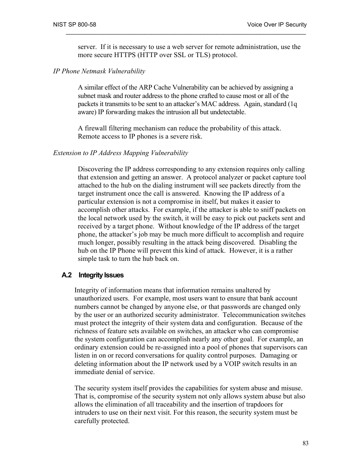server. If it is necessary to use a web server for remote administration, use the more secure HTTPS (HTTP over SSL or TLS) protocol.

 $\_$  . The contribution of the contribution of the contribution of the contribution of the contribution of the contribution of  $\mathcal{L}_\text{max}$ 

#### *IP Phone Netmask Vulnerability*

A similar effect of the ARP Cache Vulnerability can be achieved by assigning a subnet mask and router address to the phone crafted to cause most or all of the packets it transmits to be sent to an attacker's MAC address. Again, standard (1q aware) IP forwarding makes the intrusion all but undetectable.

A firewall filtering mechanism can reduce the probability of this attack. Remote access to IP phones is a severe risk.

#### *Extension to IP Address Mapping Vulnerability*

Discovering the IP address corresponding to any extension requires only calling that extension and getting an answer. A protocol analyzer or packet capture tool attached to the hub on the dialing instrument will see packets directly from the target instrument once the call is answered. Knowing the IP address of a particular extension is not a compromise in itself, but makes it easier to accomplish other attacks. For example, if the attacker is able to sniff packets on the local network used by the switch, it will be easy to pick out packets sent and received by a target phone. Without knowledge of the IP address of the target phone, the attacker's job may be much more difficult to accomplish and require much longer, possibly resulting in the attack being discovered. Disabling the hub on the IP Phone will prevent this kind of attack. However, it is a rather simple task to turn the hub back on.

#### **A.2 Integrity Issues**

Integrity of information means that information remains unaltered by unauthorized users. For example, most users want to ensure that bank account numbers cannot be changed by anyone else, or that passwords are changed only by the user or an authorized security administrator. Telecommunication switches must protect the integrity of their system data and configuration. Because of the richness of feature sets available on switches, an attacker who can compromise the system configuration can accomplish nearly any other goal. For example, an ordinary extension could be re-assigned into a pool of phones that supervisors can listen in on or record conversations for quality control purposes. Damaging or deleting information about the IP network used by a VOIP switch results in an immediate denial of service.

The security system itself provides the capabilities for system abuse and misuse. That is, compromise of the security system not only allows system abuse but also allows the elimination of all traceability and the insertion of trapdoors for intruders to use on their next visit. For this reason, the security system must be carefully protected.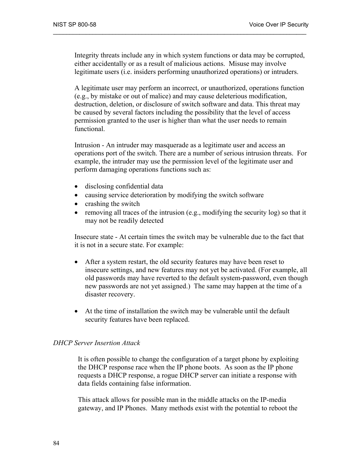Integrity threats include any in which system functions or data may be corrupted, either accidentally or as a result of malicious actions. Misuse may involve legitimate users (i.e. insiders performing unauthorized operations) or intruders.

 $\mathcal{L}_\text{max}$  , and the set of the set of the set of the set of the set of the set of the set of the set of the set of the set of the set of the set of the set of the set of the set of the set of the set of the set of the

A legitimate user may perform an incorrect, or unauthorized, operations function (e.g., by mistake or out of malice) and may cause deleterious modification, destruction, deletion, or disclosure of switch software and data. This threat may be caused by several factors including the possibility that the level of access permission granted to the user is higher than what the user needs to remain functional.

Intrusion - An intruder may masquerade as a legitimate user and access an operations port of the switch. There are a number of serious intrusion threats. For example, the intruder may use the permission level of the legitimate user and perform damaging operations functions such as:

- disclosing confidential data
- causing service deterioration by modifying the switch software
- crashing the switch
- removing all traces of the intrusion (e.g., modifying the security log) so that it may not be readily detected

Insecure state - At certain times the switch may be vulnerable due to the fact that it is not in a secure state. For example:

- After a system restart, the old security features may have been reset to insecure settings, and new features may not yet be activated. (For example, all old passwords may have reverted to the default system-password, even though new passwords are not yet assigned.) The same may happen at the time of a disaster recovery.
- At the time of installation the switch may be vulnerable until the default security features have been replaced.

## *DHCP Server Insertion Attack*

It is often possible to change the configuration of a target phone by exploiting the DHCP response race when the IP phone boots. As soon as the IP phone requests a DHCP response, a rogue DHCP server can initiate a response with data fields containing false information.

This attack allows for possible man in the middle attacks on the IP-media gateway, and IP Phones. Many methods exist with the potential to reboot the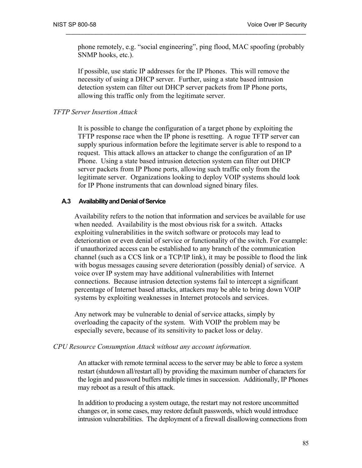phone remotely, e.g. "social engineering", ping flood, MAC spoofing (probably SNMP hooks, etc.).

 $\_$  . The contribution of the contribution of the contribution of the contribution of the contribution of the contribution of  $\mathcal{L}_\text{max}$ 

If possible, use static IP addresses for the IP Phones. This will remove the necessity of using a DHCP server. Further, using a state based intrusion detection system can filter out DHCP server packets from IP Phone ports, allowing this traffic only from the legitimate server.

## *TFTP Server Insertion Attack*

It is possible to change the configuration of a target phone by exploiting the TFTP response race when the IP phone is resetting. A rogue TFTP server can supply spurious information before the legitimate server is able to respond to a request. This attack allows an attacker to change the configuration of an IP Phone. Using a state based intrusion detection system can filter out DHCP server packets from IP Phone ports, allowing such traffic only from the legitimate server. Organizations looking to deploy VOIP systems should look for IP Phone instruments that can download signed binary files.

#### **A.3 Availability and Denialof Service**

Availability refers to the notion that information and services be available for use when needed. Availability is the most obvious risk for a switch. Attacks exploiting vulnerabilities in the switch software or protocols may lead to deterioration or even denial of service or functionality of the switch. For example: if unauthorized access can be established to any branch of the communication channel (such as a CCS link or a TCP/IP link), it may be possible to flood the link with bogus messages causing severe deterioration (possibly denial) of service. A voice over IP system may have additional vulnerabilities with Internet connections. Because intrusion detection systems fail to intercept a significant percentage of Internet based attacks, attackers may be able to bring down VOIP systems by exploiting weaknesses in Internet protocols and services.

Any network may be vulnerable to denial of service attacks, simply by overloading the capacity of the system. With VOIP the problem may be especially severe, because of its sensitivity to packet loss or delay.

#### *CPU Resource Consumption Attack without any account information.*

An attacker with remote terminal access to the server may be able to force a system restart (shutdown all/restart all) by providing the maximum number of characters for the login and password buffers multiple times in succession. Additionally, IP Phones may reboot as a result of this attack.

In addition to producing a system outage, the restart may not restore uncommitted changes or, in some cases, may restore default passwords, which would introduce intrusion vulnerabilities. The deployment of a firewall disallowing connections from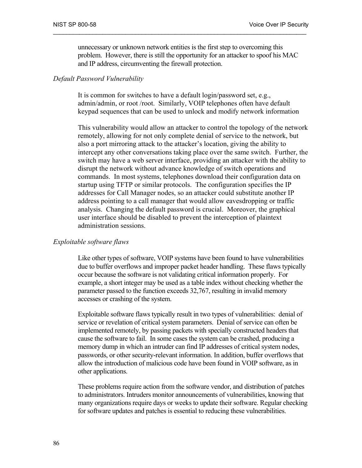unnecessary or unknown network entities is the first step to overcoming this problem. However, there is still the opportunity for an attacker to spoof his MAC and IP address, circumventing the firewall protection.

 $\mathcal{L}_\text{max}$  , and the set of the set of the set of the set of the set of the set of the set of the set of the set of the set of the set of the set of the set of the set of the set of the set of the set of the set of the

#### *Default Password Vulnerability*

It is common for switches to have a default login/password set, e.g., admin/admin, or root /root. Similarly, VOIP telephones often have default keypad sequences that can be used to unlock and modify network information

This vulnerability would allow an attacker to control the topology of the network remotely, allowing for not only complete denial of service to the network, but also a port mirroring attack to the attacker's location, giving the ability to intercept any other conversations taking place over the same switch. Further, the switch may have a web server interface, providing an attacker with the ability to disrupt the network without advance knowledge of switch operations and commands. In most systems, telephones download their configuration data on startup using TFTP or similar protocols. The configuration specifies the IP addresses for Call Manager nodes, so an attacker could substitute another IP address pointing to a call manager that would allow eavesdropping or traffic analysis. Changing the default password is crucial. Moreover, the graphical user interface should be disabled to prevent the interception of plaintext administration sessions.

## *Exploitable software flaws*

Like other types of software, VOIP systems have been found to have vulnerabilities due to buffer overflows and improper packet header handling. These flaws typically occur because the software is not validating critical information properly. For example, a short integer may be used as a table index without checking whether the parameter passed to the function exceeds 32,767, resulting in invalid memory accesses or crashing of the system.

Exploitable software flaws typically result in two types of vulnerabilities: denial of service or revelation of critical system parameters. Denial of service can often be implemented remotely, by passing packets with specially constructed headers that cause the software to fail. In some cases the system can be crashed, producing a memory dump in which an intruder can find IP addresses of critical system nodes, passwords, or other security-relevant information. In addition, buffer overflows that allow the introduction of malicious code have been found in VOIP software, as in other applications.

These problems require action from the software vendor, and distribution of patches to administrators. Intruders monitor announcements of vulnerabilities, knowing that many organizations require days or weeks to update their software. Regular checking for software updates and patches is essential to reducing these vulnerabilities.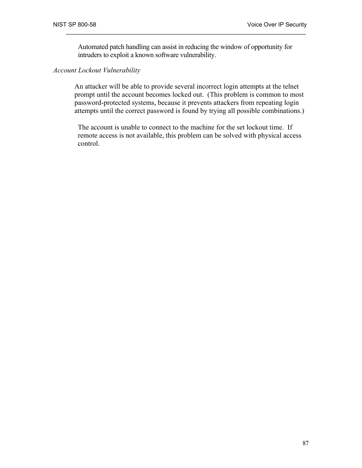Automated patch handling can assist in reducing the window of opportunity for intruders to exploit a known software vulnerability.

 $\_$  . The contribution of the contribution of the contribution of the contribution of the contribution of the contribution of  $\mathcal{L}_\text{max}$ 

#### *Account Lockout Vulnerability*

An attacker will be able to provide several incorrect login attempts at the telnet prompt until the account becomes locked out. (This problem is common to most password-protected systems, because it prevents attackers from repeating login attempts until the correct password is found by trying all possible combinations.)

The account is unable to connect to the machine for the set lockout time. If remote access is not available, this problem can be solved with physical access control.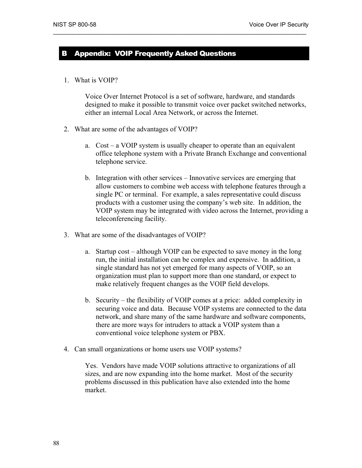# B Appendix: VOIP Frequently Asked Questions

1. What is VOIP?

Voice Over Internet Protocol is a set of software, hardware, and standards designed to make it possible to transmit voice over packet switched networks, either an internal Local Area Network, or across the Internet.

 $\mathcal{L}_\text{max}$  , and the set of the set of the set of the set of the set of the set of the set of the set of the set of the set of the set of the set of the set of the set of the set of the set of the set of the set of the

- 2. What are some of the advantages of VOIP?
	- a. Cost a VOIP system is usually cheaper to operate than an equivalent office telephone system with a Private Branch Exchange and conventional telephone service.
	- b. Integration with other services Innovative services are emerging that allow customers to combine web access with telephone features through a single PC or terminal. For example, a sales representative could discuss products with a customer using the company's web site. In addition, the VOIP system may be integrated with video across the Internet, providing a teleconferencing facility.
- 3. What are some of the disadvantages of VOIP?
	- a. Startup cost although VOIP can be expected to save money in the long run, the initial installation can be complex and expensive. In addition, a single standard has not yet emerged for many aspects of VOIP, so an organization must plan to support more than one standard, or expect to make relatively frequent changes as the VOIP field develops.
	- b. Security the flexibility of VOIP comes at a price: added complexity in securing voice and data. Because VOIP systems are connected to the data network, and share many of the same hardware and software components, there are more ways for intruders to attack a VOIP system than a conventional voice telephone system or PBX.
- 4. Can small organizations or home users use VOIP systems?

Yes. Vendors have made VOIP solutions attractive to organizations of all sizes, and are now expanding into the home market. Most of the security problems discussed in this publication have also extended into the home market.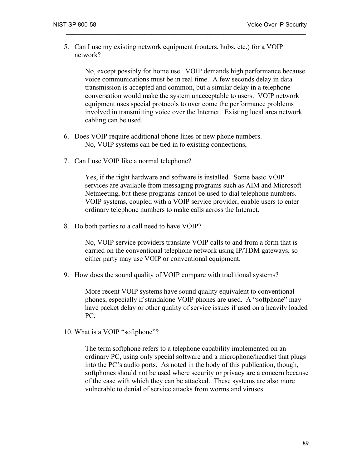5. Can I use my existing network equipment (routers, hubs, etc.) for a VOIP network?

 $\_$  . The contribution of the contribution of the contribution of the contribution of the contribution of the contribution of  $\mathcal{L}_\text{max}$ 

No, except possibly for home use. VOIP demands high performance because voice communications must be in real time. A few seconds delay in data transmission is accepted and common, but a similar delay in a telephone conversation would make the system unacceptable to users. VOIP network equipment uses special protocols to over come the performance problems involved in transmitting voice over the Internet. Existing local area network cabling can be used.

- 6. Does VOIP require additional phone lines or new phone numbers. No, VOIP systems can be tied in to existing connections,
- 7. Can I use VOIP like a normal telephone?

Yes, if the right hardware and software is installed. Some basic VOIP services are available from messaging programs such as AIM and Microsoft Netmeeting, but these programs cannot be used to dial telephone numbers. VOIP systems, coupled with a VOIP service provider, enable users to enter ordinary telephone numbers to make calls across the Internet.

8. Do both parties to a call need to have VOIP?

No, VOIP service providers translate VOIP calls to and from a form that is carried on the conventional telephone network using IP/TDM gateways, so either party may use VOIP or conventional equipment.

9. How does the sound quality of VOIP compare with traditional systems?

More recent VOIP systems have sound quality equivalent to conventional phones, especially if standalone VOIP phones are used. A "softphone" may have packet delay or other quality of service issues if used on a heavily loaded PC.

10. What is a VOIP "softphone"?

The term softphone refers to a telephone capability implemented on an ordinary PC, using only special software and a microphone/headset that plugs into the PC's audio ports. As noted in the body of this publication, though, softphones should not be used where security or privacy are a concern because of the ease with which they can be attacked. These systems are also more vulnerable to denial of service attacks from worms and viruses.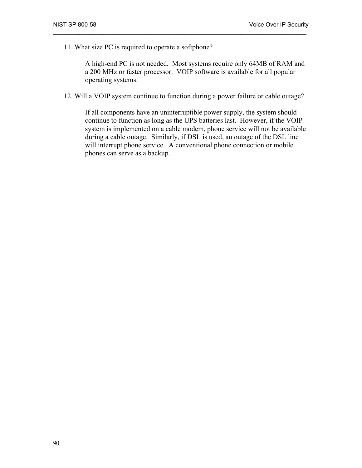11. What size PC is required to operate a softphone?

A high-end PC is not needed. Most systems require only 64MB of RAM and a 200 MHz or faster processor. VOIP software is available for all popular operating systems.

12. Will a VOIP system continue to function during a power failure or cable outage?

 $\mathcal{L}_\text{max}$  , and the set of the set of the set of the set of the set of the set of the set of the set of the set of the set of the set of the set of the set of the set of the set of the set of the set of the set of the

If all components have an uninterruptible power supply, the system should continue to function as long as the UPS batteries last. However, if the VOIP system is implemented on a cable modem, phone service will not be available during a cable outage. Similarly, if DSL is used, an outage of the DSL line will interrupt phone service. A conventional phone connection or mobile phones can serve as a backup.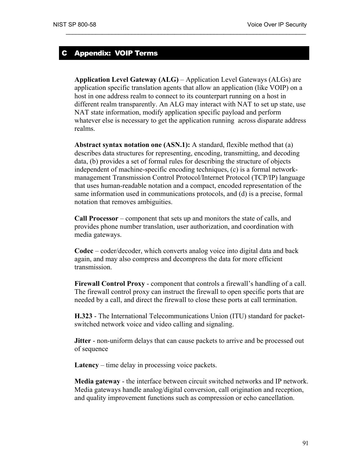# **Appendix: VOIP Terms**

**Application Level Gateway (ALG)** – Application Level Gateways (ALGs) are application specific translation agents that allow an application (like VOIP) on a host in one address realm to connect to its counterpart running on a host in different realm transparently. An ALG may interact with NAT to set up state, use NAT state information, modify application specific payload and perform whatever else is necessary to get the application running across disparate address realms.

 $\_$  . The contribution of the contribution of the contribution of the contribution of the contribution of the contribution of  $\mathcal{L}_\text{max}$ 

**Abstract syntax notation one (ASN.1):** A standard, flexible method that (a) describes data structures for representing, encoding, transmitting, and decoding data, (b) provides a set of formal rules for describing the structure of objects independent of machine-specific encoding techniques, (c) is a formal networkmanagement Transmission Control Protocol/Internet Protocol (TCP/IP) language that uses human-readable notation and a compact, encoded representation of the same [information](http://www.its.bldrdoc.gov/fs-1037/dir-019/_2720.htm) used in [communications](http://www.its.bldrdoc.gov/fs-1037/dir-008/_1115.htm) protocols, and (d) is a precise, formal notation that removes ambiguities.

**Call Processor** – component that sets up and monitors the state of calls, and provides phone number translation, user authorization, and coordination with media gateways.

**Codec** – coder/decoder, which converts analog voice into digital data and back again, and may also compress and decompress the data for more efficient transmission.

**Firewall Control Proxy** - component that controls a firewall's handling of a call. The firewall control proxy can instruct the firewall to open specific ports that are needed by a call, and direct the firewall to close these ports at call termination.

**H.323** - The International Telecommunications Union (ITU) standard for packetswitched network voice and video calling and signaling.

**Jitter** - non-uniform delays that can cause packets to arrive and be processed out of sequence

**Latency** – time delay in processing voice packets.

**Media gateway** - the interface between circuit switched networks and IP network. Media gateways handle analog/digital conversion, call origination and reception, and quality improvement functions such as compression or echo cancellation.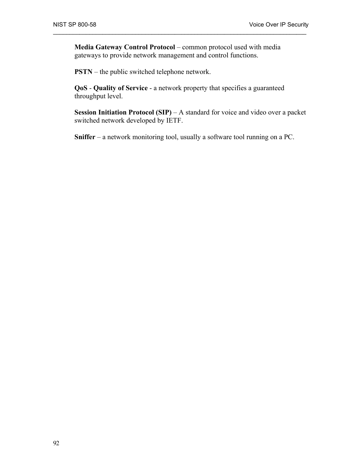**Media Gateway Control Protocol** – common protocol used with media gateways to provide network management and control functions.

 $\mathcal{L}_\text{max}$  , and the set of the set of the set of the set of the set of the set of the set of the set of the set of the set of the set of the set of the set of the set of the set of the set of the set of the set of the

**PSTN** – the public switched telephone network.

**QoS** - **Quality of Service** - a network property that specifies a guaranteed throughput level.

**Session Initiation Protocol (SIP)** – A standard for voice and video over a packet switched network developed by IETF.

**Sniffer** – a network monitoring tool, usually a software tool running on a PC.